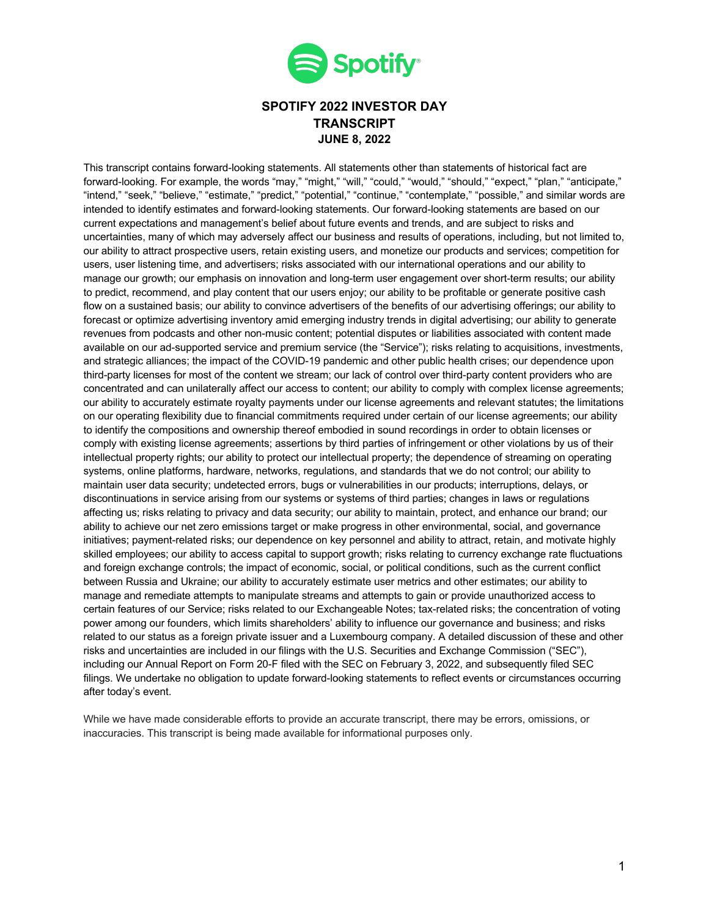

### **SPOTIFY 2022 INVESTOR DAY TRANSCRIPT JUNE 8, 2022**

This transcript contains forward-looking statements. All statements other than statements of historical fact are forward-looking. For example, the words "may," "might," "will," "could," "would," "should," "expect," "plan," "anticipate," "intend," "seek," "believe," "estimate," "predict," "potential," "continue," "contemplate," "possible," and similar words are intended to identify estimates and forward-looking statements. Our forward-looking statements are based on our current expectations and management's belief about future events and trends, and are subject to risks and uncertainties, many of which may adversely affect our business and results of operations, including, but not limited to, our ability to attract prospective users, retain existing users, and monetize our products and services; competition for users, user listening time, and advertisers; risks associated with our international operations and our ability to manage our growth; our emphasis on innovation and long-term user engagement over short-term results; our ability to predict, recommend, and play content that our users enjoy; our ability to be profitable or generate positive cash flow on a sustained basis; our ability to convince advertisers of the benefits of our advertising offerings; our ability to forecast or optimize advertising inventory amid emerging industry trends in digital advertising; our ability to generate revenues from podcasts and other non-music content; potential disputes or liabilities associated with content made available on our ad-supported service and premium service (the "Service"); risks relating to acquisitions, investments, and strategic alliances; the impact of the COVID-19 pandemic and other public health crises; our dependence upon third-party licenses for most of the content we stream; our lack of control over third-party content providers who are concentrated and can unilaterally affect our access to content; our ability to comply with complex license agreements; our ability to accurately estimate royalty payments under our license agreements and relevant statutes; the limitations on our operating flexibility due to financial commitments required under certain of our license agreements; our ability to identify the compositions and ownership thereof embodied in sound recordings in order to obtain licenses or comply with existing license agreements; assertions by third parties of infringement or other violations by us of their intellectual property rights; our ability to protect our intellectual property; the dependence of streaming on operating systems, online platforms, hardware, networks, regulations, and standards that we do not control; our ability to maintain user data security; undetected errors, bugs or vulnerabilities in our products; interruptions, delays, or discontinuations in service arising from our systems or systems of third parties; changes in laws or regulations affecting us; risks relating to privacy and data security; our ability to maintain, protect, and enhance our brand; our ability to achieve our net zero emissions target or make progress in other environmental, social, and governance initiatives; payment-related risks; our dependence on key personnel and ability to attract, retain, and motivate highly skilled employees; our ability to access capital to support growth; risks relating to currency exchange rate fluctuations and foreign exchange controls; the impact of economic, social, or political conditions, such as the current conflict between Russia and Ukraine; our ability to accurately estimate user metrics and other estimates; our ability to manage and remediate attempts to manipulate streams and attempts to gain or provide unauthorized access to certain features of our Service; risks related to our Exchangeable Notes; tax-related risks; the concentration of voting power among our founders, which limits shareholders' ability to influence our governance and business; and risks related to our status as a foreign private issuer and a Luxembourg company. A detailed discussion of these and other risks and uncertainties are included in our filings with the U.S. Securities and Exchange Commission ("SEC"), including our Annual Report on Form 20-F filed with the SEC on February 3, 2022, and subsequently filed SEC filings. We undertake no obligation to update forward-looking statements to reflect events or circumstances occurring after today's event.

While we have made considerable efforts to provide an accurate transcript, there may be errors, omissions, or inaccuracies. This transcript is being made available for informational purposes only.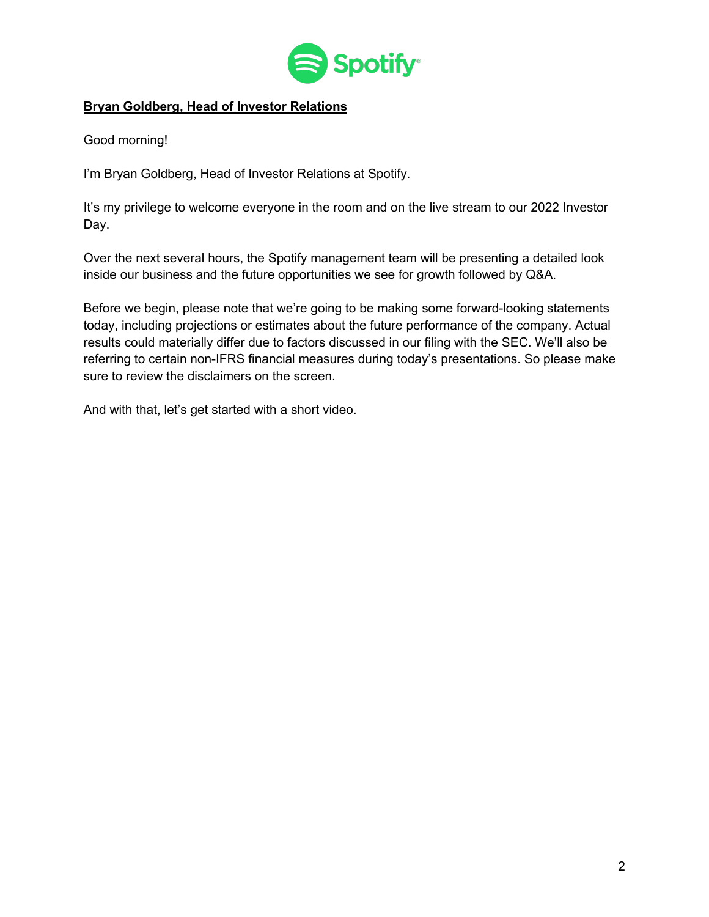

## **Bryan Goldberg, Head of Investor Relations**

Good morning!

I'm Bryan Goldberg, Head of Investor Relations at Spotify.

It's my privilege to welcome everyone in the room and on the live stream to our 2022 Investor Day.

Over the next several hours, the Spotify management team will be presenting a detailed look inside our business and the future opportunities we see for growth followed by Q&A.

Before we begin, please note that we're going to be making some forward-looking statements today, including projections or estimates about the future performance of the company. Actual results could materially differ due to factors discussed in our filing with the SEC. We'll also be referring to certain non-IFRS financial measures during today's presentations. So please make sure to review the disclaimers on the screen.

And with that, let's get started with a short video.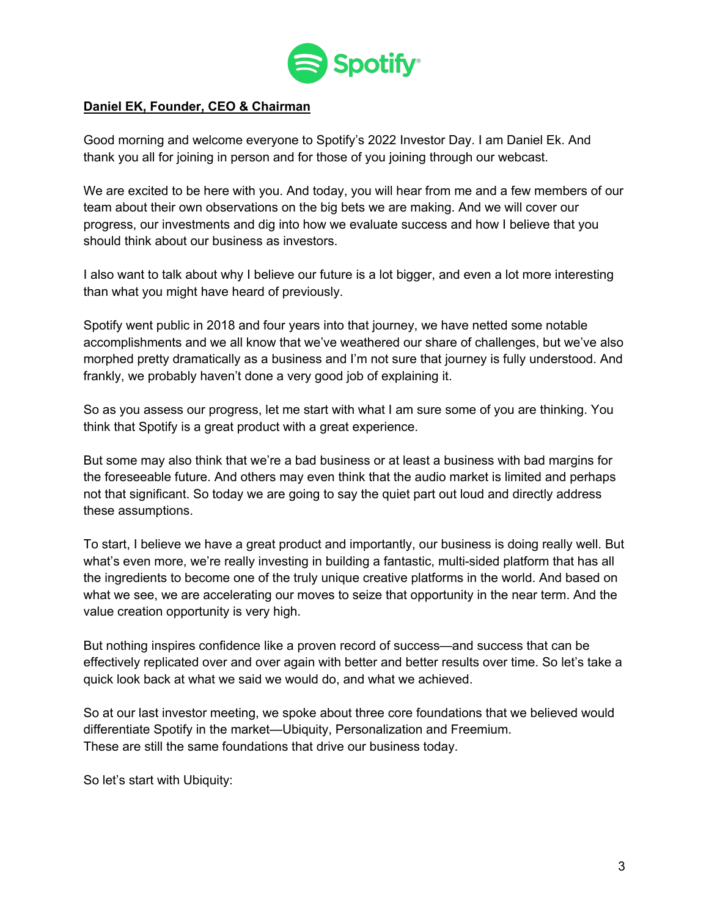

### **Daniel EK, Founder, CEO & Chairman**

Good morning and welcome everyone to Spotify's 2022 Investor Day. I am Daniel Ek. And thank you all for joining in person and for those of you joining through our webcast.

We are excited to be here with you. And today, you will hear from me and a few members of our team about their own observations on the big bets we are making. And we will cover our progress, our investments and dig into how we evaluate success and how I believe that you should think about our business as investors.

I also want to talk about why I believe our future is a lot bigger, and even a lot more interesting than what you might have heard of previously.

Spotify went public in 2018 and four years into that journey, we have netted some notable accomplishments and we all know that we've weathered our share of challenges, but we've also morphed pretty dramatically as a business and I'm not sure that journey is fully understood. And frankly, we probably haven't done a very good job of explaining it.

So as you assess our progress, let me start with what I am sure some of you are thinking. You think that Spotify is a great product with a great experience.

But some may also think that we're a bad business or at least a business with bad margins for the foreseeable future. And others may even think that the audio market is limited and perhaps not that significant. So today we are going to say the quiet part out loud and directly address these assumptions.

To start, I believe we have a great product and importantly, our business is doing really well. But what's even more, we're really investing in building a fantastic, multi-sided platform that has all the ingredients to become one of the truly unique creative platforms in the world. And based on what we see, we are accelerating our moves to seize that opportunity in the near term. And the value creation opportunity is very high.

But nothing inspires confidence like a proven record of success—and success that can be effectively replicated over and over again with better and better results over time. So let's take a quick look back at what we said we would do, and what we achieved.

So at our last investor meeting, we spoke about three core foundations that we believed would differentiate Spotify in the market—Ubiquity, Personalization and Freemium. These are still the same foundations that drive our business today.

So let's start with Ubiquity: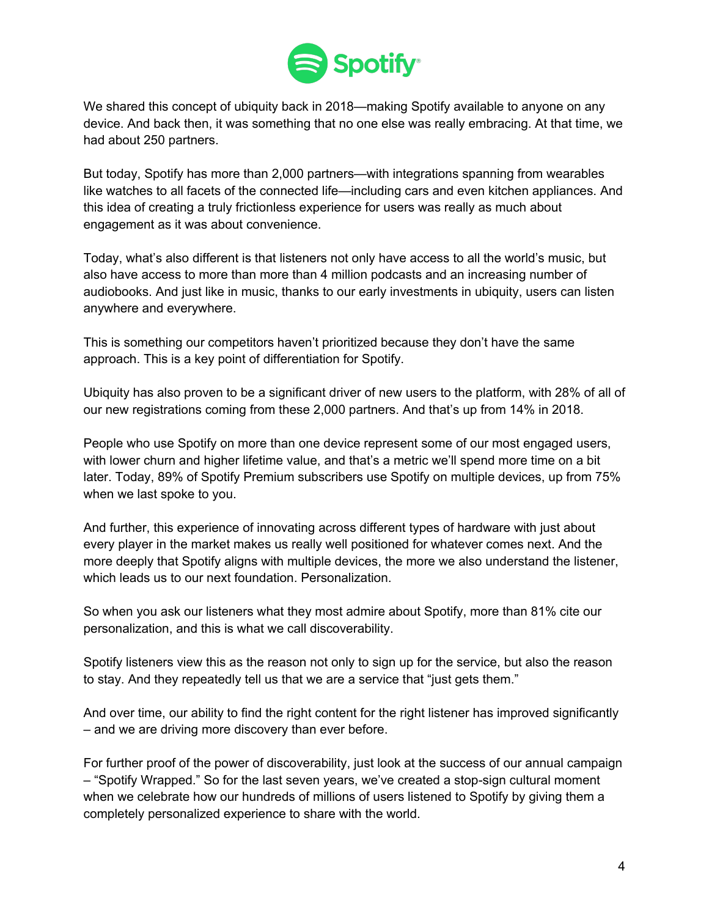

We shared this concept of ubiquity back in 2018—making Spotify available to anyone on any device. And back then, it was something that no one else was really embracing. At that time, we had about 250 partners.

But today, Spotify has more than 2,000 partners—with integrations spanning from wearables like watches to all facets of the connected life—including cars and even kitchen appliances. And this idea of creating a truly frictionless experience for users was really as much about engagement as it was about convenience.

Today, what's also different is that listeners not only have access to all the world's music, but also have access to more than more than 4 million podcasts and an increasing number of audiobooks. And just like in music, thanks to our early investments in ubiquity, users can listen anywhere and everywhere.

This is something our competitors haven't prioritized because they don't have the same approach. This is a key point of differentiation for Spotify.

Ubiquity has also proven to be a significant driver of new users to the platform, with 28% of all of our new registrations coming from these 2,000 partners. And that's up from 14% in 2018.

People who use Spotify on more than one device represent some of our most engaged users, with lower churn and higher lifetime value, and that's a metric we'll spend more time on a bit later. Today, 89% of Spotify Premium subscribers use Spotify on multiple devices, up from 75% when we last spoke to you.

And further, this experience of innovating across different types of hardware with just about every player in the market makes us really well positioned for whatever comes next. And the more deeply that Spotify aligns with multiple devices, the more we also understand the listener, which leads us to our next foundation. Personalization.

So when you ask our listeners what they most admire about Spotify, more than 81% cite our personalization, and this is what we call discoverability.

Spotify listeners view this as the reason not only to sign up for the service, but also the reason to stay. And they repeatedly tell us that we are a service that "just gets them."

And over time, our ability to find the right content for the right listener has improved significantly – and we are driving more discovery than ever before.

For further proof of the power of discoverability, just look at the success of our annual campaign – "Spotify Wrapped." So for the last seven years, we've created a stop-sign cultural moment when we celebrate how our hundreds of millions of users listened to Spotify by giving them a completely personalized experience to share with the world.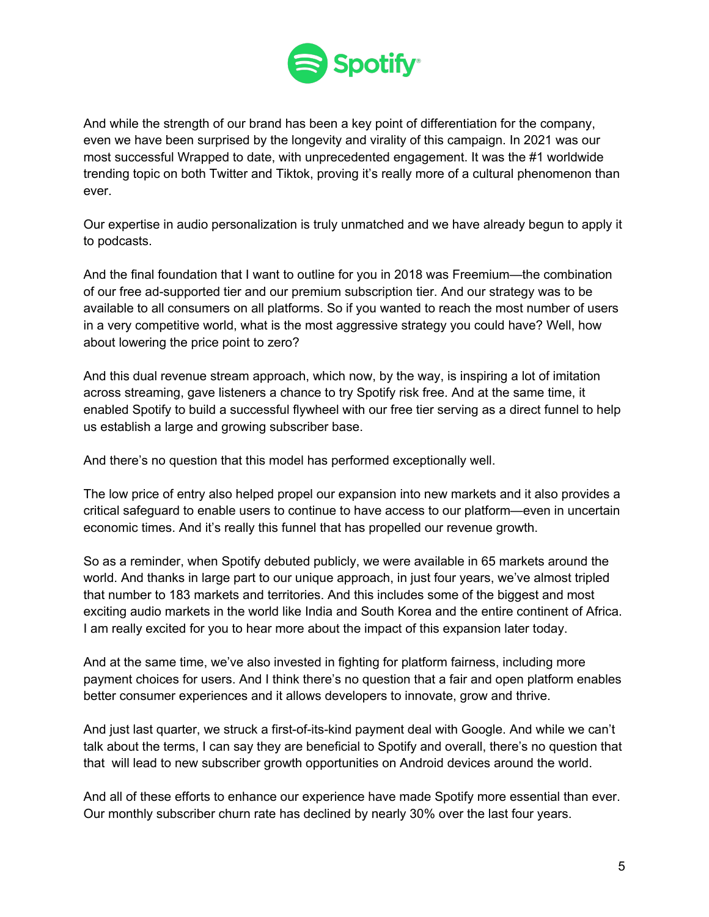

And while the strength of our brand has been a key point of differentiation for the company, even we have been surprised by the longevity and virality of this campaign. In 2021 was our most successful Wrapped to date, with unprecedented engagement. It was the #1 worldwide trending topic on both Twitter and Tiktok, proving it's really more of a cultural phenomenon than ever.

Our expertise in audio personalization is truly unmatched and we have already begun to apply it to podcasts.

And the final foundation that I want to outline for you in 2018 was Freemium—the combination of our free ad-supported tier and our premium subscription tier. And our strategy was to be available to all consumers on all platforms. So if you wanted to reach the most number of users in a very competitive world, what is the most aggressive strategy you could have? Well, how about lowering the price point to zero?

And this dual revenue stream approach, which now, by the way, is inspiring a lot of imitation across streaming, gave listeners a chance to try Spotify risk free. And at the same time, it enabled Spotify to build a successful flywheel with our free tier serving as a direct funnel to help us establish a large and growing subscriber base.

And there's no question that this model has performed exceptionally well.

The low price of entry also helped propel our expansion into new markets and it also provides a critical safeguard to enable users to continue to have access to our platform—even in uncertain economic times. And it's really this funnel that has propelled our revenue growth.

So as a reminder, when Spotify debuted publicly, we were available in 65 markets around the world. And thanks in large part to our unique approach, in just four years, we've almost tripled that number to 183 markets and territories. And this includes some of the biggest and most exciting audio markets in the world like India and South Korea and the entire continent of Africa. I am really excited for you to hear more about the impact of this expansion later today.

And at the same time, we've also invested in fighting for platform fairness, including more payment choices for users. And I think there's no question that a fair and open platform enables better consumer experiences and it allows developers to innovate, grow and thrive.

And just last quarter, we struck a first-of-its-kind payment deal with Google. And while we can't talk about the terms, I can say they are beneficial to Spotify and overall, there's no question that that will lead to new subscriber growth opportunities on Android devices around the world.

And all of these efforts to enhance our experience have made Spotify more essential than ever. Our monthly subscriber churn rate has declined by nearly 30% over the last four years.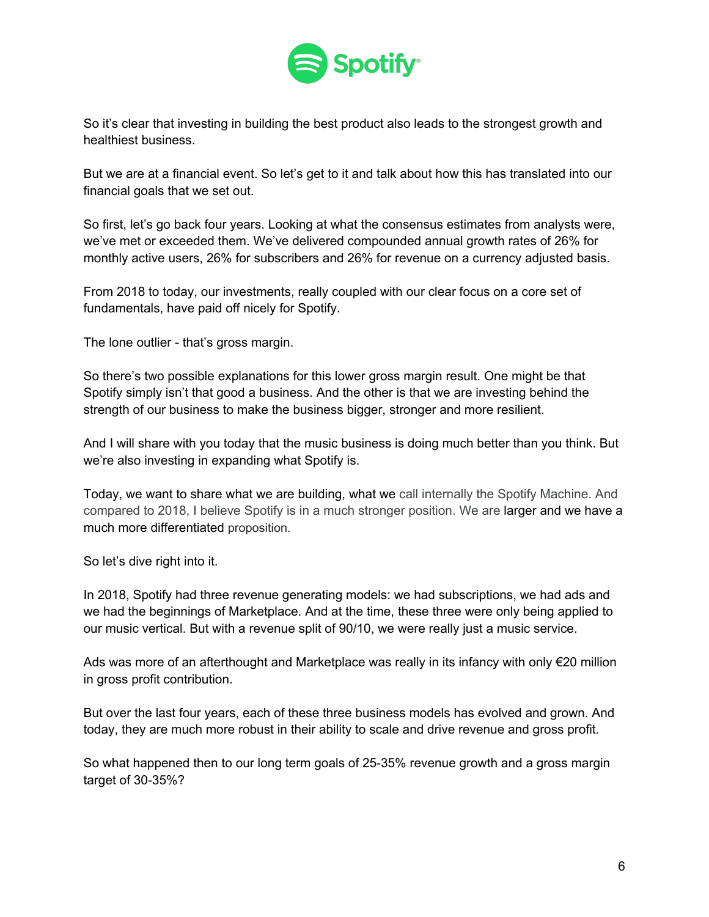

So it's clear that investing in building the best product also leads to the strongest growth and healthiest business.

But we are at a financial event. So let's get to it and talk about how this has translated into our financial goals that we set out.

So first, let's go back four years. Looking at what the consensus estimates from analysts were, we've met or exceeded them. We've delivered compounded annual growth rates of 26% for monthly active users, 26% for subscribers and 26% for revenue on a currency adjusted basis.

From 2018 to today, our investments, really coupled with our clear focus on a core set of fundamentals, have paid off nicely for Spotify.

The lone outlier - that's gross margin.

So there's two possible explanations for this lower gross margin result. One might be that Spotify simply isn't that good a business. And the other is that we are investing behind the strength of our business to make the business bigger, stronger and more resilient.

And I will share with you today that the music business is doing much better than you think. But we're also investing in expanding what Spotify is.

Today, we want to share what we are building, what we call internally the Spotify Machine. And compared to 2018, I believe Spotify is in a much stronger position. We are larger and we have a much more differentiated proposition.

So let's dive right into it.

In 2018, Spotify had three revenue generating models: we had subscriptions, we had ads and we had the beginnings of Marketplace. And at the time, these three were only being applied to our music vertical. But with a revenue split of 90/10, we were really just a music service.

Ads was more of an afterthought and Marketplace was really in its infancy with only €20 million in gross profit contribution.

But over the last four years, each of these three business models has evolved and grown. And today, they are much more robust in their ability to scale and drive revenue and gross profit.

So what happened then to our long term goals of 25-35% revenue growth and a gross margin target of 30-35%?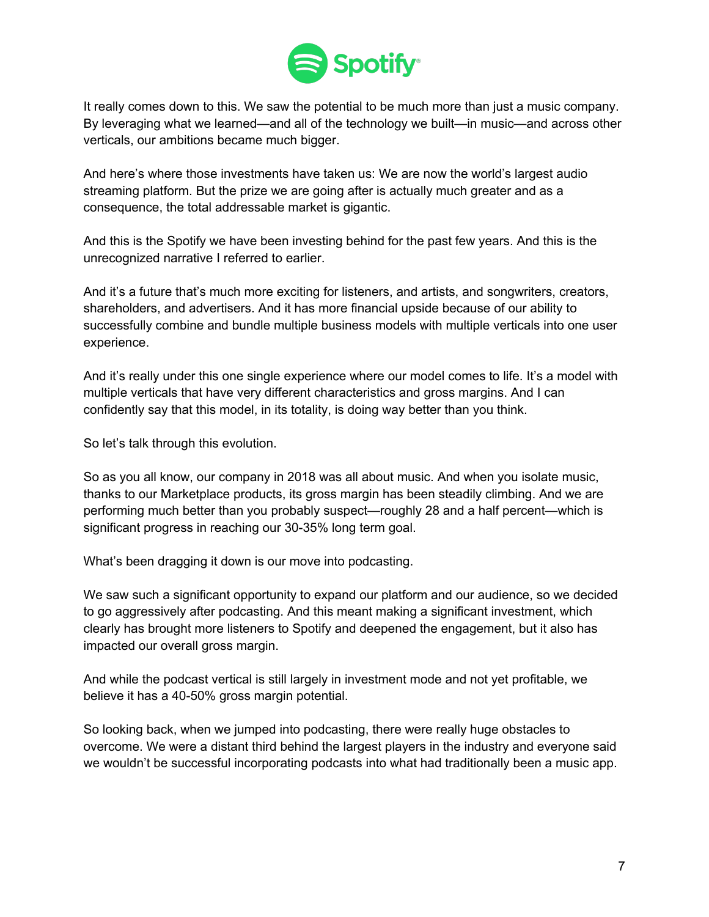

It really comes down to this. We saw the potential to be much more than just a music company. By leveraging what we learned—and all of the technology we built—in music—and across other verticals, our ambitions became much bigger.

And here's where those investments have taken us: We are now the world's largest audio streaming platform. But the prize we are going after is actually much greater and as a consequence, the total addressable market is gigantic.

And this is the Spotify we have been investing behind for the past few years. And this is the unrecognized narrative I referred to earlier.

And it's a future that's much more exciting for listeners, and artists, and songwriters, creators, shareholders, and advertisers. And it has more financial upside because of our ability to successfully combine and bundle multiple business models with multiple verticals into one user experience.

And it's really under this one single experience where our model comes to life. It's a model with multiple verticals that have very different characteristics and gross margins. And I can confidently say that this model, in its totality, is doing way better than you think.

So let's talk through this evolution.

So as you all know, our company in 2018 was all about music. And when you isolate music, thanks to our Marketplace products, its gross margin has been steadily climbing. And we are performing much better than you probably suspect—roughly 28 and a half percent—which is significant progress in reaching our 30-35% long term goal.

What's been dragging it down is our move into podcasting.

We saw such a significant opportunity to expand our platform and our audience, so we decided to go aggressively after podcasting. And this meant making a significant investment, which clearly has brought more listeners to Spotify and deepened the engagement, but it also has impacted our overall gross margin.

And while the podcast vertical is still largely in investment mode and not yet profitable, we believe it has a 40-50% gross margin potential.

So looking back, when we jumped into podcasting, there were really huge obstacles to overcome. We were a distant third behind the largest players in the industry and everyone said we wouldn't be successful incorporating podcasts into what had traditionally been a music app.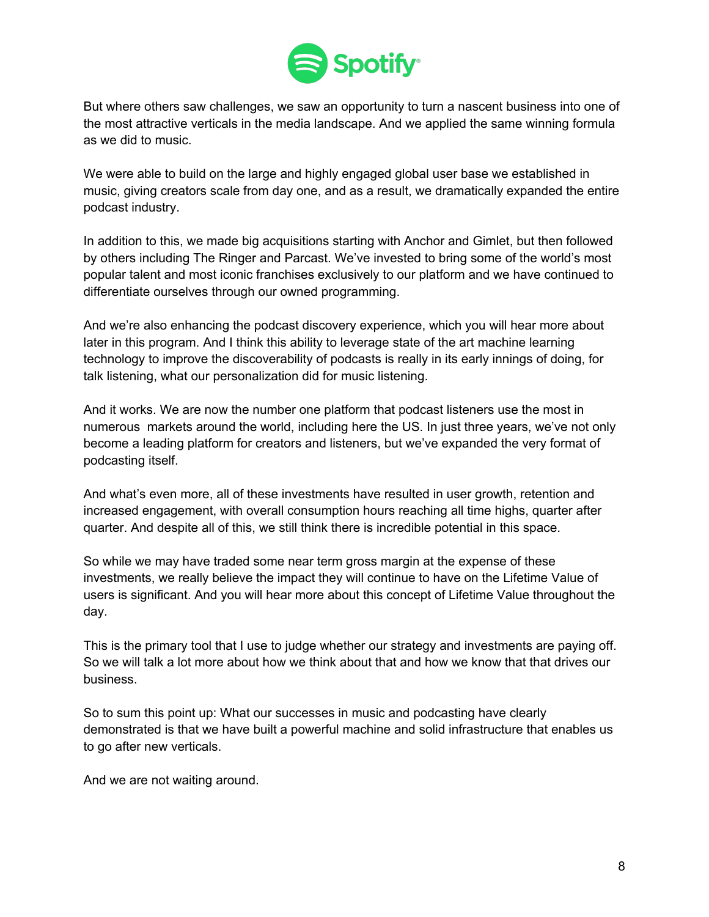

But where others saw challenges, we saw an opportunity to turn a nascent business into one of the most attractive verticals in the media landscape. And we applied the same winning formula as we did to music.

We were able to build on the large and highly engaged global user base we established in music, giving creators scale from day one, and as a result, we dramatically expanded the entire podcast industry.

In addition to this, we made big acquisitions starting with Anchor and Gimlet, but then followed by others including The Ringer and Parcast. We've invested to bring some of the world's most popular talent and most iconic franchises exclusively to our platform and we have continued to differentiate ourselves through our owned programming.

And we're also enhancing the podcast discovery experience, which you will hear more about later in this program. And I think this ability to leverage state of the art machine learning technology to improve the discoverability of podcasts is really in its early innings of doing, for talk listening, what our personalization did for music listening.

And it works. We are now the number one platform that podcast listeners use the most in numerous markets around the world, including here the US. In just three years, we've not only become a leading platform for creators and listeners, but we've expanded the very format of podcasting itself.

And what's even more, all of these investments have resulted in user growth, retention and increased engagement, with overall consumption hours reaching all time highs, quarter after quarter. And despite all of this, we still think there is incredible potential in this space.

So while we may have traded some near term gross margin at the expense of these investments, we really believe the impact they will continue to have on the Lifetime Value of users is significant. And you will hear more about this concept of Lifetime Value throughout the day.

This is the primary tool that I use to judge whether our strategy and investments are paying off. So we will talk a lot more about how we think about that and how we know that that drives our business.

So to sum this point up: What our successes in music and podcasting have clearly demonstrated is that we have built a powerful machine and solid infrastructure that enables us to go after new verticals.

And we are not waiting around.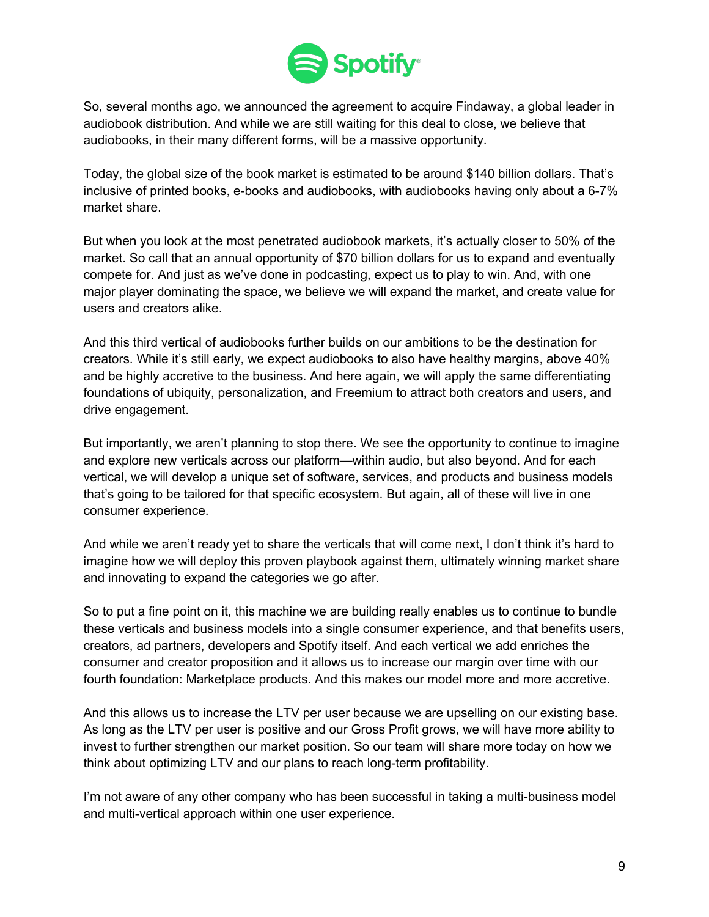

So, several months ago, we announced the agreement to acquire Findaway, a global leader in audiobook distribution. And while we are still waiting for this deal to close, we believe that audiobooks, in their many different forms, will be a massive opportunity.

Today, the global size of the book market is estimated to be around \$140 billion dollars. That's inclusive of printed books, e-books and audiobooks, with audiobooks having only about a 6-7% market share.

But when you look at the most penetrated audiobook markets, it's actually closer to 50% of the market. So call that an annual opportunity of \$70 billion dollars for us to expand and eventually compete for. And just as we've done in podcasting, expect us to play to win. And, with one major player dominating the space, we believe we will expand the market, and create value for users and creators alike.

And this third vertical of audiobooks further builds on our ambitions to be the destination for creators. While it's still early, we expect audiobooks to also have healthy margins, above 40% and be highly accretive to the business. And here again, we will apply the same differentiating foundations of ubiquity, personalization, and Freemium to attract both creators and users, and drive engagement.

But importantly, we aren't planning to stop there. We see the opportunity to continue to imagine and explore new verticals across our platform—within audio, but also beyond. And for each vertical, we will develop a unique set of software, services, and products and business models that's going to be tailored for that specific ecosystem. But again, all of these will live in one consumer experience.

And while we aren't ready yet to share the verticals that will come next, I don't think it's hard to imagine how we will deploy this proven playbook against them, ultimately winning market share and innovating to expand the categories we go after.

So to put a fine point on it, this machine we are building really enables us to continue to bundle these verticals and business models into a single consumer experience, and that benefits users, creators, ad partners, developers and Spotify itself. And each vertical we add enriches the consumer and creator proposition and it allows us to increase our margin over time with our fourth foundation: Marketplace products. And this makes our model more and more accretive.

And this allows us to increase the LTV per user because we are upselling on our existing base. As long as the LTV per user is positive and our Gross Profit grows, we will have more ability to invest to further strengthen our market position. So our team will share more today on how we think about optimizing LTV and our plans to reach long-term profitability.

I'm not aware of any other company who has been successful in taking a multi-business model and multi-vertical approach within one user experience.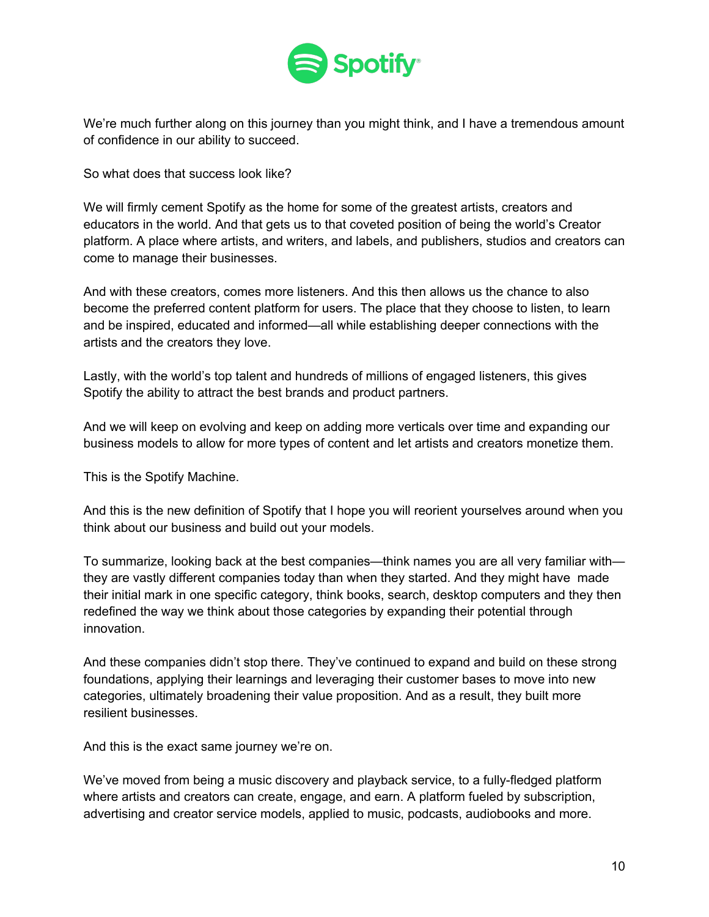

We're much further along on this journey than you might think, and I have a tremendous amount of confidence in our ability to succeed.

So what does that success look like?

We will firmly cement Spotify as the home for some of the greatest artists, creators and educators in the world. And that gets us to that coveted position of being the world's Creator platform. A place where artists, and writers, and labels, and publishers, studios and creators can come to manage their businesses.

And with these creators, comes more listeners. And this then allows us the chance to also become the preferred content platform for users. The place that they choose to listen, to learn and be inspired, educated and informed—all while establishing deeper connections with the artists and the creators they love.

Lastly, with the world's top talent and hundreds of millions of engaged listeners, this gives Spotify the ability to attract the best brands and product partners.

And we will keep on evolving and keep on adding more verticals over time and expanding our business models to allow for more types of content and let artists and creators monetize them.

This is the Spotify Machine.

And this is the new definition of Spotify that I hope you will reorient yourselves around when you think about our business and build out your models.

To summarize, looking back at the best companies—think names you are all very familiar with they are vastly different companies today than when they started. And they might have made their initial mark in one specific category, think books, search, desktop computers and they then redefined the way we think about those categories by expanding their potential through innovation.

And these companies didn't stop there. They've continued to expand and build on these strong foundations, applying their learnings and leveraging their customer bases to move into new categories, ultimately broadening their value proposition. And as a result, they built more resilient businesses.

And this is the exact same journey we're on.

We've moved from being a music discovery and playback service, to a fully-fledged platform where artists and creators can create, engage, and earn. A platform fueled by subscription, advertising and creator service models, applied to music, podcasts, audiobooks and more.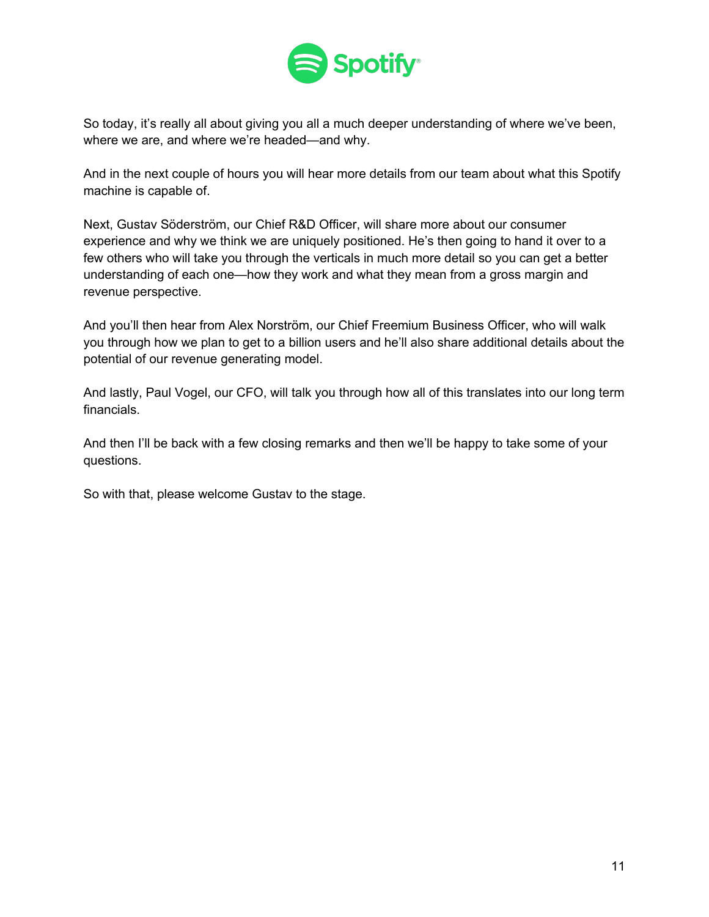

So today, it's really all about giving you all a much deeper understanding of where we've been, where we are, and where we're headed—and why.

And in the next couple of hours you will hear more details from our team about what this Spotify machine is capable of.

Next, Gustav Söderström, our Chief R&D Officer, will share more about our consumer experience and why we think we are uniquely positioned. He's then going to hand it over to a few others who will take you through the verticals in much more detail so you can get a better understanding of each one—how they work and what they mean from a gross margin and revenue perspective.

And you'll then hear from Alex Norström, our Chief Freemium Business Officer, who will walk you through how we plan to get to a billion users and he'll also share additional details about the potential of our revenue generating model.

And lastly, Paul Vogel, our CFO, will talk you through how all of this translates into our long term financials.

And then I'll be back with a few closing remarks and then we'll be happy to take some of your questions.

So with that, please welcome Gustav to the stage.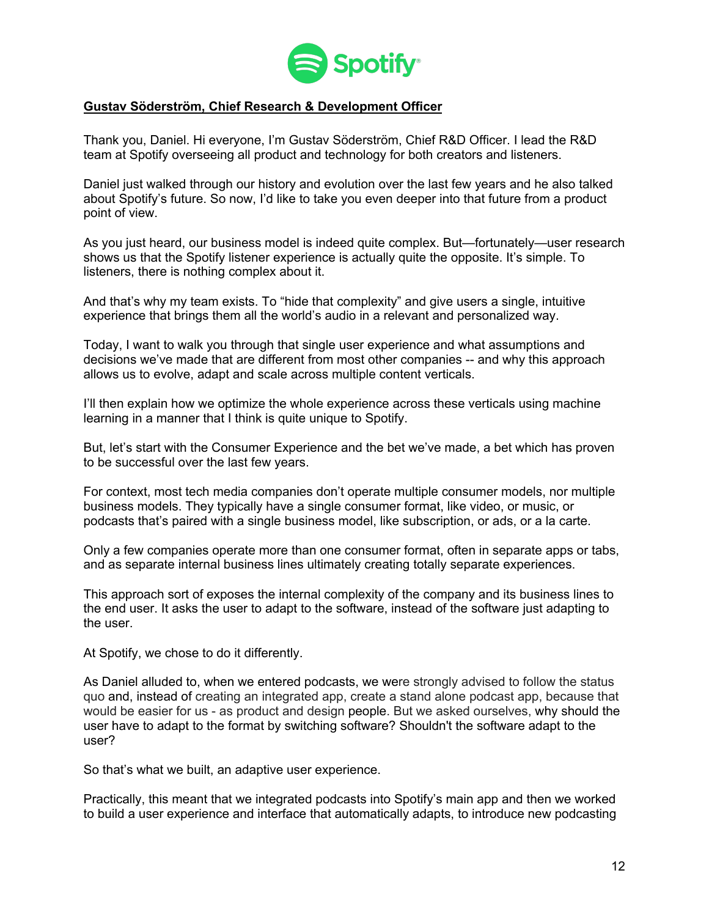

### **Gustav Söderström, Chief Research & Development Officer**

Thank you, Daniel. Hi everyone, I'm Gustav Söderström, Chief R&D Officer. I lead the R&D team at Spotify overseeing all product and technology for both creators and listeners.

Daniel just walked through our history and evolution over the last few years and he also talked about Spotify's future. So now, I'd like to take you even deeper into that future from a product point of view.

As you just heard, our business model is indeed quite complex. But—fortunately—user research shows us that the Spotify listener experience is actually quite the opposite. It's simple. To listeners, there is nothing complex about it.

And that's why my team exists. To "hide that complexity" and give users a single, intuitive experience that brings them all the world's audio in a relevant and personalized way.

Today, I want to walk you through that single user experience and what assumptions and decisions we've made that are different from most other companies -- and why this approach allows us to evolve, adapt and scale across multiple content verticals.

I'll then explain how we optimize the whole experience across these verticals using machine learning in a manner that I think is quite unique to Spotify.

But, let's start with the Consumer Experience and the bet we've made, a bet which has proven to be successful over the last few years.

For context, most tech media companies don't operate multiple consumer models, nor multiple business models. They typically have a single consumer format, like video, or music, or podcasts that's paired with a single business model, like subscription, or ads, or a la carte.

Only a few companies operate more than one consumer format, often in separate apps or tabs, and as separate internal business lines ultimately creating totally separate experiences.

This approach sort of exposes the internal complexity of the company and its business lines to the end user. It asks the user to adapt to the software, instead of the software just adapting to the user.

At Spotify, we chose to do it differently.

As Daniel alluded to, when we entered podcasts, we were strongly advised to follow the status quo and, instead of creating an integrated app, create a stand alone podcast app, because that would be easier for us - as product and design people. But we asked ourselves, why should the user have to adapt to the format by switching software? Shouldn't the software adapt to the user?

So that's what we built, an adaptive user experience.

Practically, this meant that we integrated podcasts into Spotify's main app and then we worked to build a user experience and interface that automatically adapts, to introduce new podcasting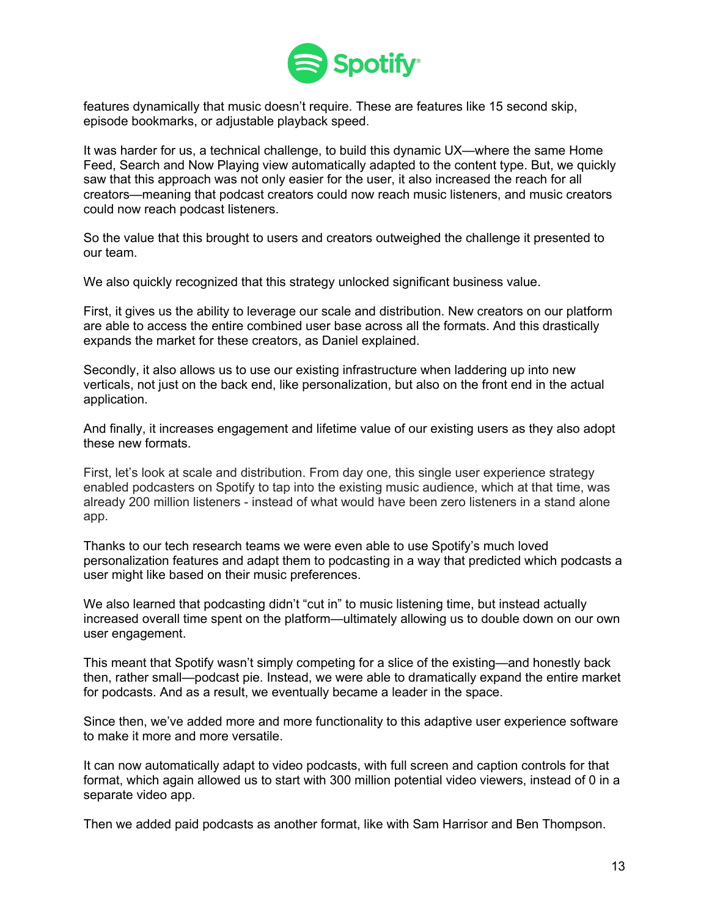

features dynamically that music doesn't require. These are features like 15 second skip, episode bookmarks, or adjustable playback speed.

It was harder for us, a technical challenge, to build this dynamic UX—where the same Home Feed, Search and Now Playing view automatically adapted to the content type. But, we quickly saw that this approach was not only easier for the user, it also increased the reach for all creators—meaning that podcast creators could now reach music listeners, and music creators could now reach podcast listeners.

So the value that this brought to users and creators outweighed the challenge it presented to our team.

We also quickly recognized that this strategy unlocked significant business value.

First, it gives us the ability to leverage our scale and distribution. New creators on our platform are able to access the entire combined user base across all the formats. And this drastically expands the market for these creators, as Daniel explained.

Secondly, it also allows us to use our existing infrastructure when laddering up into new verticals, not just on the back end, like personalization, but also on the front end in the actual application.

And finally, it increases engagement and lifetime value of our existing users as they also adopt these new formats.

First, let's look at scale and distribution. From day one, this single user experience strategy enabled podcasters on Spotify to tap into the existing music audience, which at that time, was already 200 million listeners - instead of what would have been zero listeners in a stand alone app.

Thanks to our tech research teams we were even able to use Spotify's much loved personalization features and adapt them to podcasting in a way that predicted which podcasts a user might like based on their music preferences.

We also learned that podcasting didn't "cut in" to music listening time, but instead actually increased overall time spent on the platform—ultimately allowing us to double down on our own user engagement.

This meant that Spotify wasn't simply competing for a slice of the existing—and honestly back then, rather small—podcast pie. Instead, we were able to dramatically expand the entire market for podcasts. And as a result, we eventually became a leader in the space.

Since then, we've added more and more functionality to this adaptive user experience software to make it more and more versatile.

It can now automatically adapt to video podcasts, with full screen and caption controls for that format, which again allowed us to start with 300 million potential video viewers, instead of 0 in a separate video app.

Then we added paid podcasts as another format, like with Sam Harrisor and Ben Thompson.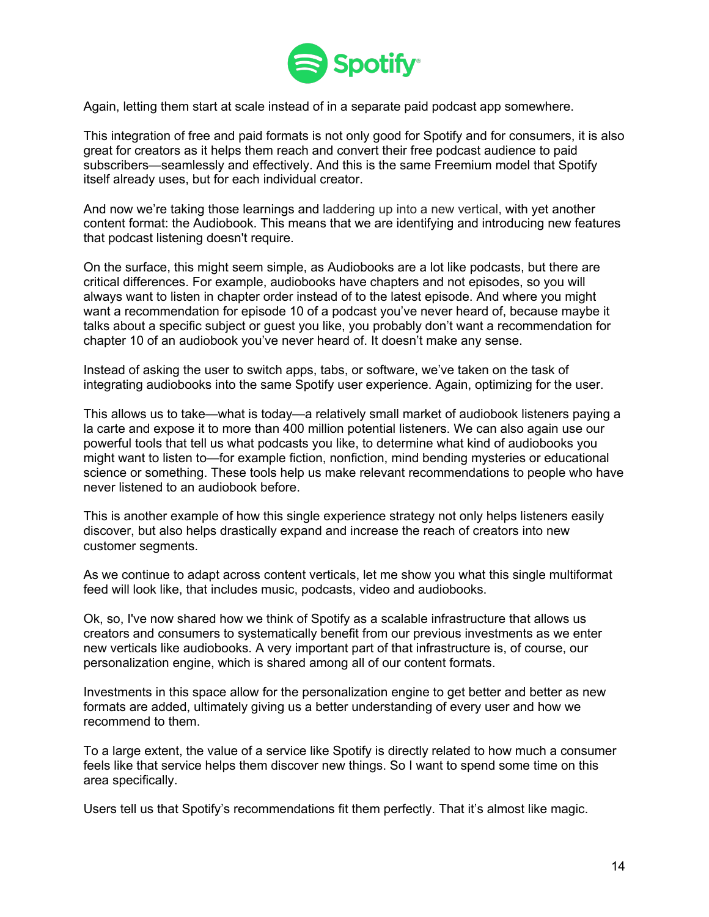

Again, letting them start at scale instead of in a separate paid podcast app somewhere.

This integration of free and paid formats is not only good for Spotify and for consumers, it is also great for creators as it helps them reach and convert their free podcast audience to paid subscribers—seamlessly and effectively. And this is the same Freemium model that Spotify itself already uses, but for each individual creator.

And now we're taking those learnings and laddering up into a new vertical, with yet another content format: the Audiobook. This means that we are identifying and introducing new features that podcast listening doesn't require.

On the surface, this might seem simple, as Audiobooks are a lot like podcasts, but there are critical differences. For example, audiobooks have chapters and not episodes, so you will always want to listen in chapter order instead of to the latest episode. And where you might want a recommendation for episode 10 of a podcast you've never heard of, because maybe it talks about a specific subject or guest you like, you probably don't want a recommendation for chapter 10 of an audiobook you've never heard of. It doesn't make any sense.

Instead of asking the user to switch apps, tabs, or software, we've taken on the task of integrating audiobooks into the same Spotify user experience. Again, optimizing for the user.

This allows us to take—what is today—a relatively small market of audiobook listeners paying a la carte and expose it to more than 400 million potential listeners. We can also again use our powerful tools that tell us what podcasts you like, to determine what kind of audiobooks you might want to listen to—for example fiction, nonfiction, mind bending mysteries or educational science or something. These tools help us make relevant recommendations to people who have never listened to an audiobook before.

This is another example of how this single experience strategy not only helps listeners easily discover, but also helps drastically expand and increase the reach of creators into new customer segments.

As we continue to adapt across content verticals, let me show you what this single multiformat feed will look like, that includes music, podcasts, video and audiobooks.

Ok, so, I've now shared how we think of Spotify as a scalable infrastructure that allows us creators and consumers to systematically benefit from our previous investments as we enter new verticals like audiobooks. A very important part of that infrastructure is, of course, our personalization engine, which is shared among all of our content formats.

Investments in this space allow for the personalization engine to get better and better as new formats are added, ultimately giving us a better understanding of every user and how we recommend to them.

To a large extent, the value of a service like Spotify is directly related to how much a consumer feels like that service helps them discover new things. So I want to spend some time on this area specifically.

Users tell us that Spotify's recommendations fit them perfectly. That it's almost like magic.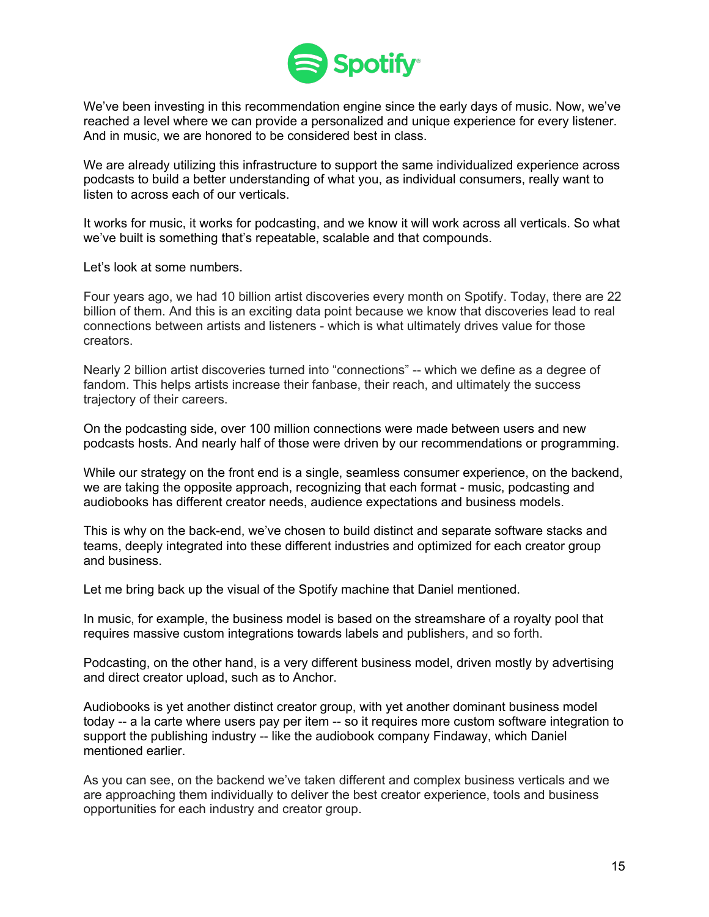

We've been investing in this recommendation engine since the early days of music. Now, we've reached a level where we can provide a personalized and unique experience for every listener. And in music, we are honored to be considered best in class.

We are already utilizing this infrastructure to support the same individualized experience across podcasts to build a better understanding of what you, as individual consumers, really want to listen to across each of our verticals.

It works for music, it works for podcasting, and we know it will work across all verticals. So what we've built is something that's repeatable, scalable and that compounds.

Let's look at some numbers.

Four years ago, we had 10 billion artist discoveries every month on Spotify. Today, there are 22 billion of them. And this is an exciting data point because we know that discoveries lead to real connections between artists and listeners - which is what ultimately drives value for those creators.

Nearly 2 billion artist discoveries turned into "connections" -- which we define as a degree of fandom. This helps artists increase their fanbase, their reach, and ultimately the success trajectory of their careers.

On the podcasting side, over 100 million connections were made between users and new podcasts hosts. And nearly half of those were driven by our recommendations or programming.

While our strategy on the front end is a single, seamless consumer experience, on the backend, we are taking the opposite approach, recognizing that each format - music, podcasting and audiobooks has different creator needs, audience expectations and business models.

This is why on the back-end, we've chosen to build distinct and separate software stacks and teams, deeply integrated into these different industries and optimized for each creator group and business.

Let me bring back up the visual of the Spotify machine that Daniel mentioned.

In music, for example, the business model is based on the streamshare of a royalty pool that requires massive custom integrations towards labels and publishers, and so forth.

Podcasting, on the other hand, is a very different business model, driven mostly by advertising and direct creator upload, such as to Anchor.

Audiobooks is yet another distinct creator group, with yet another dominant business model today -- a la carte where users pay per item -- so it requires more custom software integration to support the publishing industry -- like the audiobook company Findaway, which Daniel mentioned earlier.

As you can see, on the backend we've taken different and complex business verticals and we are approaching them individually to deliver the best creator experience, tools and business opportunities for each industry and creator group.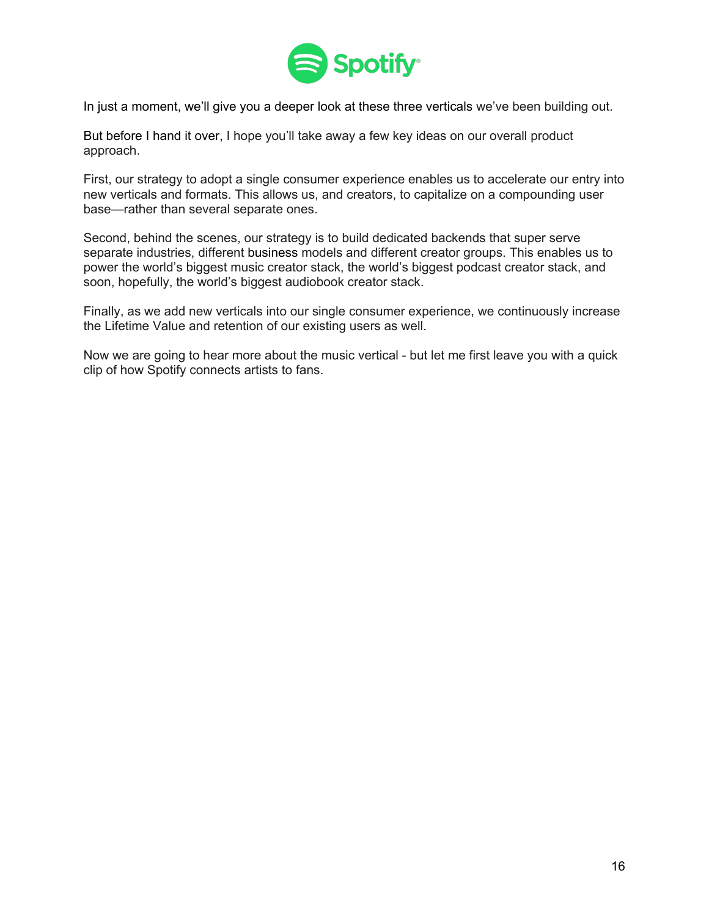

In just a moment, we'll give you a deeper look at these three verticals we've been building out.

But before I hand it over, I hope you'll take away a few key ideas on our overall product approach.

First, our strategy to adopt a single consumer experience enables us to accelerate our entry into new verticals and formats. This allows us, and creators, to capitalize on a compounding user base—rather than several separate ones.

Second, behind the scenes, our strategy is to build dedicated backends that super serve separate industries, different business models and different creator groups. This enables us to power the world's biggest music creator stack, the world's biggest podcast creator stack, and soon, hopefully, the world's biggest audiobook creator stack.

Finally, as we add new verticals into our single consumer experience, we continuously increase the Lifetime Value and retention of our existing users as well.

Now we are going to hear more about the music vertical - but let me first leave you with a quick clip of how Spotify connects artists to fans.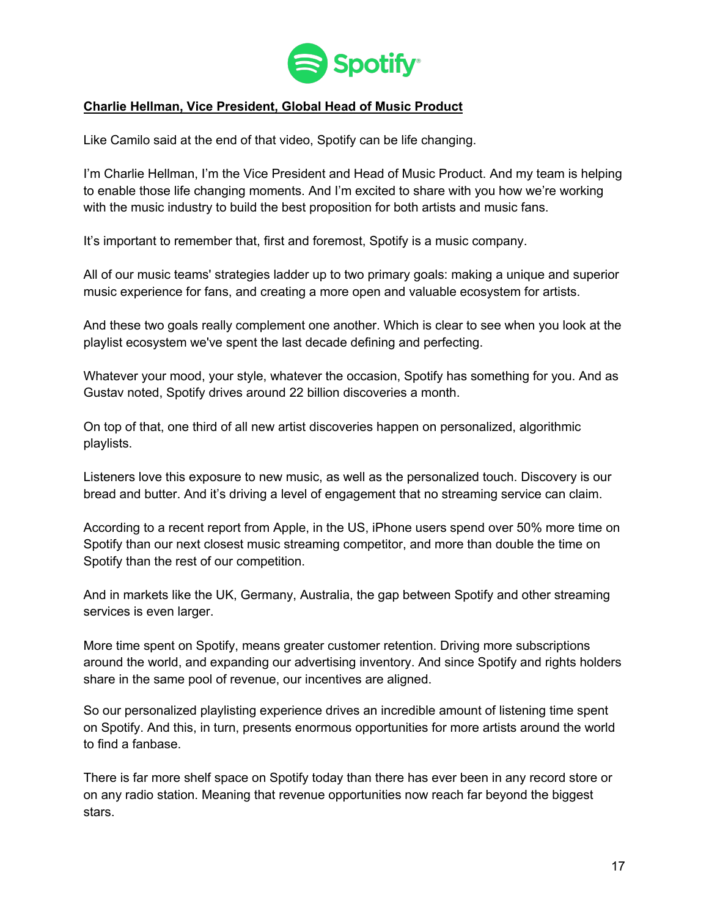

## **Charlie Hellman, Vice President, Global Head of Music Product**

Like Camilo said at the end of that video, Spotify can be life changing.

I'm Charlie Hellman, I'm the Vice President and Head of Music Product. And my team is helping to enable those life changing moments. And I'm excited to share with you how we're working with the music industry to build the best proposition for both artists and music fans.

It's important to remember that, first and foremost, Spotify is a music company.

All of our music teams' strategies ladder up to two primary goals: making a unique and superior music experience for fans, and creating a more open and valuable ecosystem for artists.

And these two goals really complement one another. Which is clear to see when you look at the playlist ecosystem we've spent the last decade defining and perfecting.

Whatever your mood, your style, whatever the occasion, Spotify has something for you. And as Gustav noted, Spotify drives around 22 billion discoveries a month.

On top of that, one third of all new artist discoveries happen on personalized, algorithmic playlists.

Listeners love this exposure to new music, as well as the personalized touch. Discovery is our bread and butter. And it's driving a level of engagement that no streaming service can claim.

According to a recent report from Apple, in the US, iPhone users spend over 50% more time on Spotify than our next closest music streaming competitor, and more than double the time on Spotify than the rest of our competition.

And in markets like the UK, Germany, Australia, the gap between Spotify and other streaming services is even larger.

More time spent on Spotify, means greater customer retention. Driving more subscriptions around the world, and expanding our advertising inventory. And since Spotify and rights holders share in the same pool of revenue, our incentives are aligned.

So our personalized playlisting experience drives an incredible amount of listening time spent on Spotify. And this, in turn, presents enormous opportunities for more artists around the world to find a fanbase.

There is far more shelf space on Spotify today than there has ever been in any record store or on any radio station. Meaning that revenue opportunities now reach far beyond the biggest stars.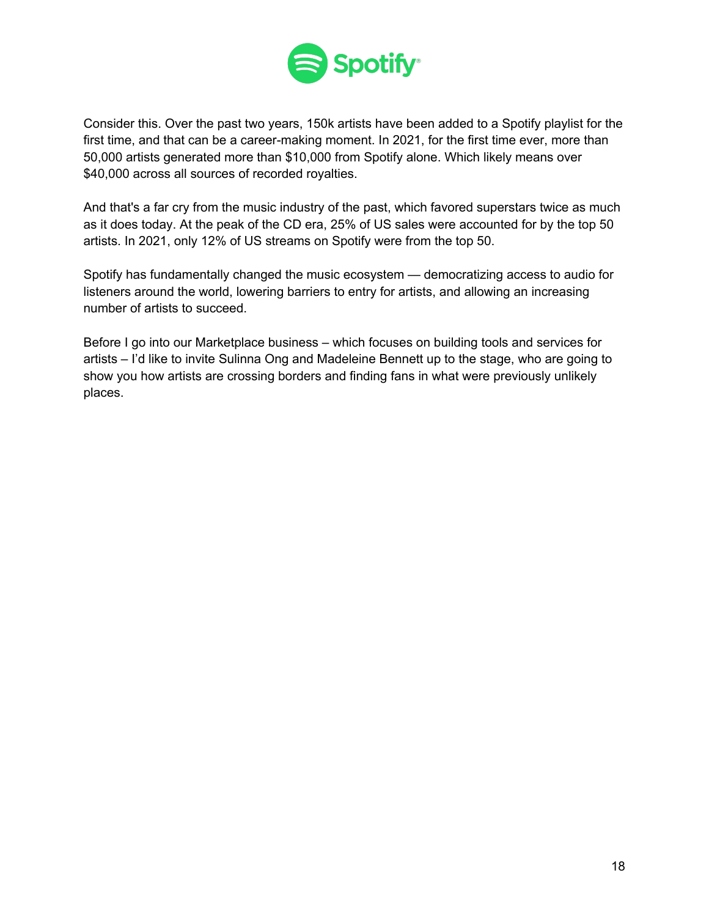

Consider this. Over the past two years, 150k artists have been added to a Spotify playlist for the first time, and that can be a career-making moment. In 2021, for the first time ever, more than 50,000 artists generated more than \$10,000 from Spotify alone. Which likely means over \$40,000 across all sources of recorded royalties.

And that's a far cry from the music industry of the past, which favored superstars twice as much as it does today. At the peak of the CD era, 25% of US sales were accounted for by the top 50 artists. In 2021, only 12% of US streams on Spotify were from the top 50.

Spotify has fundamentally changed the music ecosystem — democratizing access to audio for listeners around the world, lowering barriers to entry for artists, and allowing an increasing number of artists to succeed.

Before I go into our Marketplace business – which focuses on building tools and services for artists – I'd like to invite Sulinna Ong and Madeleine Bennett up to the stage, who are going to show you how artists are crossing borders and finding fans in what were previously unlikely places.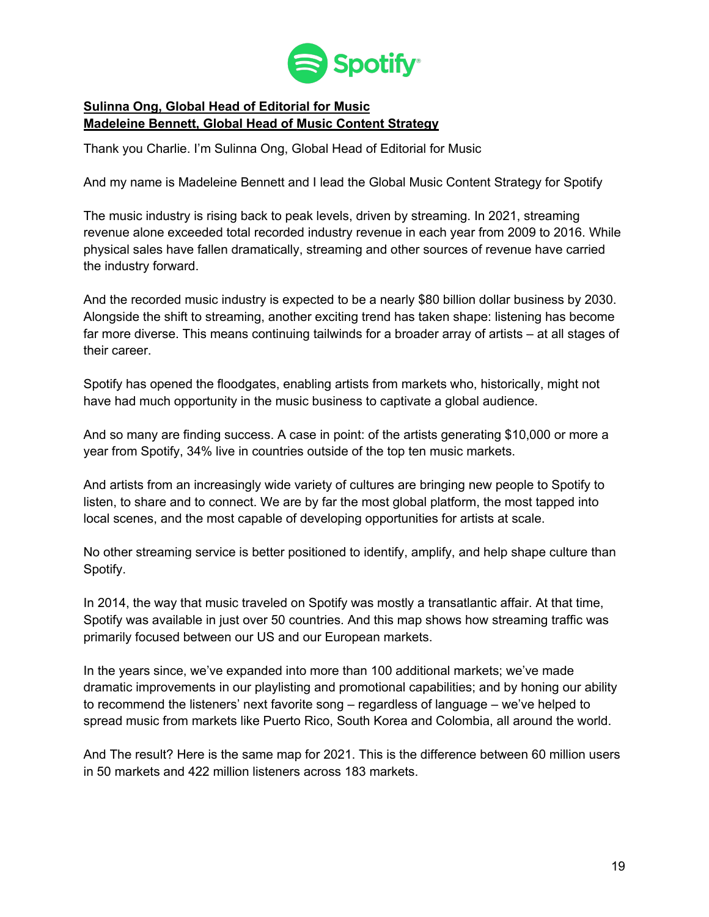

# **Sulinna Ong, Global Head of Editorial for Music Madeleine Bennett, Global Head of Music Content Strategy**

Thank you Charlie. I'm Sulinna Ong, Global Head of Editorial for Music

And my name is Madeleine Bennett and I lead the Global Music Content Strategy for Spotify

The music industry is rising back to peak levels, driven by streaming. In 2021, streaming revenue alone exceeded total recorded industry revenue in each year from 2009 to 2016. While physical sales have fallen dramatically, streaming and other sources of revenue have carried the industry forward.

And the recorded music industry is expected to be a nearly \$80 billion dollar business by 2030. Alongside the shift to streaming, another exciting trend has taken shape: listening has become far more diverse. This means continuing tailwinds for a broader array of artists – at all stages of their career.

Spotify has opened the floodgates, enabling artists from markets who, historically, might not have had much opportunity in the music business to captivate a global audience.

And so many are finding success. A case in point: of the artists generating \$10,000 or more a year from Spotify, 34% live in countries outside of the top ten music markets.

And artists from an increasingly wide variety of cultures are bringing new people to Spotify to listen, to share and to connect. We are by far the most global platform, the most tapped into local scenes, and the most capable of developing opportunities for artists at scale.

No other streaming service is better positioned to identify, amplify, and help shape culture than Spotify.

In 2014, the way that music traveled on Spotify was mostly a transatlantic affair. At that time, Spotify was available in just over 50 countries. And this map shows how streaming traffic was primarily focused between our US and our European markets.

In the years since, we've expanded into more than 100 additional markets; we've made dramatic improvements in our playlisting and promotional capabilities; and by honing our ability to recommend the listeners' next favorite song – regardless of language – we've helped to spread music from markets like Puerto Rico, South Korea and Colombia, all around the world.

And The result? Here is the same map for 2021. This is the difference between 60 million users in 50 markets and 422 million listeners across 183 markets.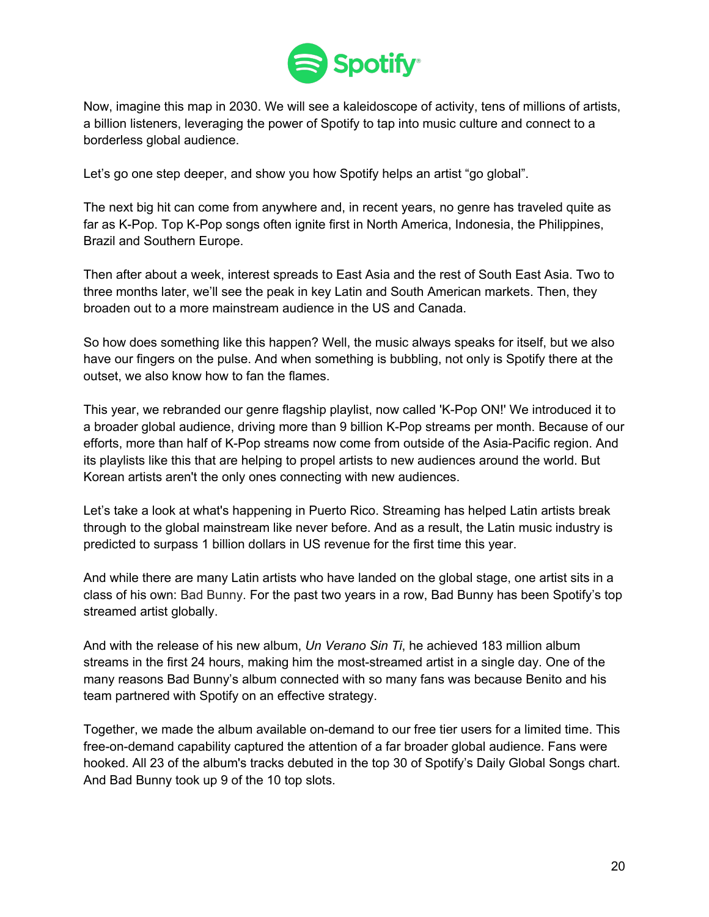

Now, imagine this map in 2030. We will see a kaleidoscope of activity, tens of millions of artists, a billion listeners, leveraging the power of Spotify to tap into music culture and connect to a borderless global audience.

Let's go one step deeper, and show you how Spotify helps an artist "go global".

The next big hit can come from anywhere and, in recent years, no genre has traveled quite as far as K-Pop. Top K-Pop songs often ignite first in North America, Indonesia, the Philippines, Brazil and Southern Europe.

Then after about a week, interest spreads to East Asia and the rest of South East Asia. Two to three months later, we'll see the peak in key Latin and South American markets. Then, they broaden out to a more mainstream audience in the US and Canada.

So how does something like this happen? Well, the music always speaks for itself, but we also have our fingers on the pulse. And when something is bubbling, not only is Spotify there at the outset, we also know how to fan the flames.

This year, we rebranded our genre flagship playlist, now called 'K-Pop ON!' We introduced it to a broader global audience, driving more than 9 billion K-Pop streams per month. Because of our efforts, more than half of K-Pop streams now come from outside of the Asia-Pacific region. And its playlists like this that are helping to propel artists to new audiences around the world. But Korean artists aren't the only ones connecting with new audiences.

Let's take a look at what's happening in Puerto Rico. Streaming has helped Latin artists break through to the global mainstream like never before. And as a result, the Latin music industry is predicted to surpass 1 billion dollars in US revenue for the first time this year.

And while there are many Latin artists who have landed on the global stage, one artist sits in a class of his own: Bad Bunny. For the past two years in a row, Bad Bunny has been Spotify's top streamed artist globally.

And with the release of his new album, *Un Verano Sin Ti*, he achieved 183 million album streams in the first 24 hours, making him the most-streamed artist in a single day. One of the many reasons Bad Bunny's album connected with so many fans was because Benito and his team partnered with Spotify on an effective strategy.

Together, we made the album available on-demand to our free tier users for a limited time. This free-on-demand capability captured the attention of a far broader global audience. Fans were hooked. All 23 of the album's tracks debuted in the top 30 of Spotify's Daily Global Songs chart. And Bad Bunny took up 9 of the 10 top slots.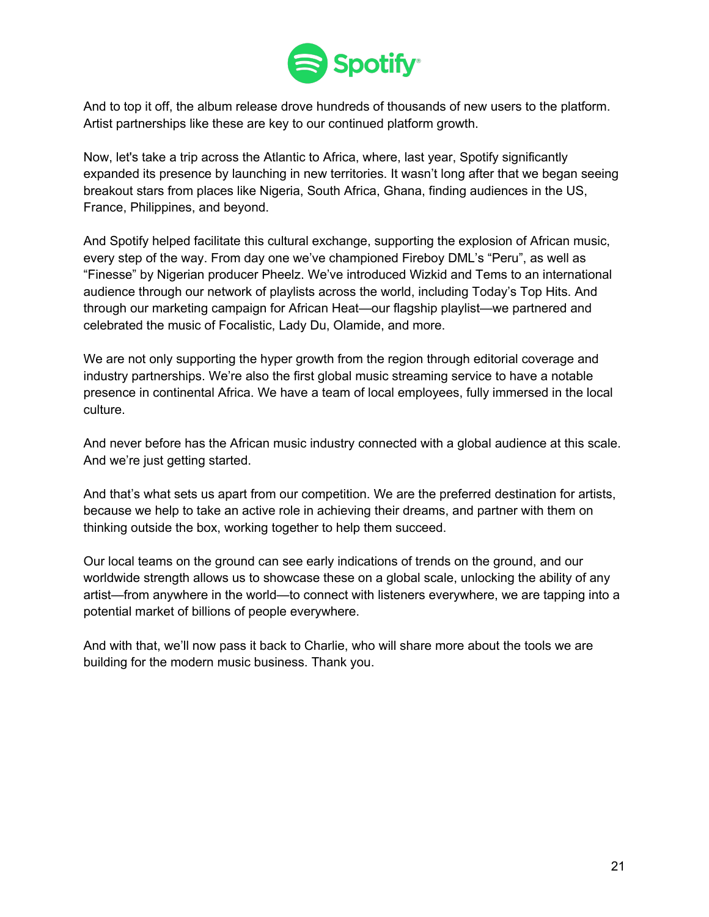

And to top it off, the album release drove hundreds of thousands of new users to the platform. Artist partnerships like these are key to our continued platform growth.

Now, let's take a trip across the Atlantic to Africa, where, last year, Spotify significantly expanded its presence by launching in new territories. It wasn't long after that we began seeing breakout stars from places like Nigeria, South Africa, Ghana, finding audiences in the US, France, Philippines, and beyond.

And Spotify helped facilitate this cultural exchange, supporting the explosion of African music, every step of the way. From day one we've championed Fireboy DML's "Peru", as well as "Finesse" by Nigerian producer Pheelz. We've introduced Wizkid and Tems to an international audience through our network of playlists across the world, including Today's Top Hits. And through our marketing campaign for African Heat—our flagship playlist—we partnered and celebrated the music of Focalistic, Lady Du, Olamide, and more.

We are not only supporting the hyper growth from the region through editorial coverage and industry partnerships. We're also the first global music streaming service to have a notable presence in continental Africa. We have a team of local employees, fully immersed in the local culture.

And never before has the African music industry connected with a global audience at this scale. And we're just getting started.

And that's what sets us apart from our competition. We are the preferred destination for artists, because we help to take an active role in achieving their dreams, and partner with them on thinking outside the box, working together to help them succeed.

Our local teams on the ground can see early indications of trends on the ground, and our worldwide strength allows us to showcase these on a global scale, unlocking the ability of any artist—from anywhere in the world—to connect with listeners everywhere, we are tapping into a potential market of billions of people everywhere.

And with that, we'll now pass it back to Charlie, who will share more about the tools we are building for the modern music business. Thank you.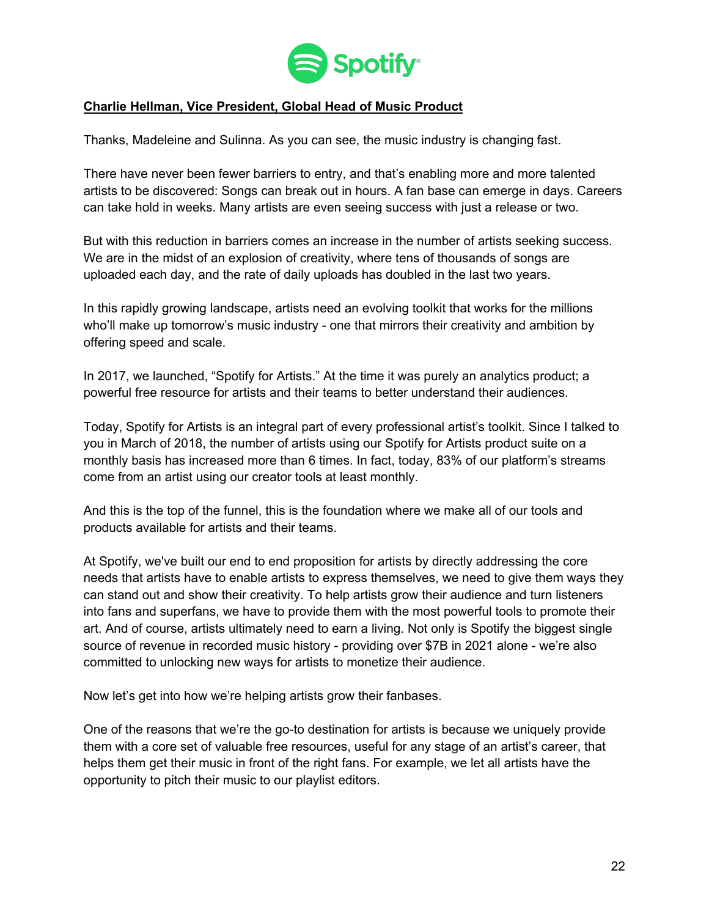

## **Charlie Hellman, Vice President, Global Head of Music Product**

Thanks, Madeleine and Sulinna. As you can see, the music industry is changing fast.

There have never been fewer barriers to entry, and that's enabling more and more talented artists to be discovered: Songs can break out in hours. A fan base can emerge in days. Careers can take hold in weeks. Many artists are even seeing success with just a release or two.

But with this reduction in barriers comes an increase in the number of artists seeking success. We are in the midst of an explosion of creativity, where tens of thousands of songs are uploaded each day, and the rate of daily uploads has doubled in the last two years.

In this rapidly growing landscape, artists need an evolving toolkit that works for the millions who'll make up tomorrow's music industry - one that mirrors their creativity and ambition by offering speed and scale.

In 2017, we launched, "Spotify for Artists." At the time it was purely an analytics product; a powerful free resource for artists and their teams to better understand their audiences.

Today, Spotify for Artists is an integral part of every professional artist's toolkit. Since I talked to you in March of 2018, the number of artists using our Spotify for Artists product suite on a monthly basis has increased more than 6 times. In fact, today, 83% of our platform's streams come from an artist using our creator tools at least monthly.

And this is the top of the funnel, this is the foundation where we make all of our tools and products available for artists and their teams.

At Spotify, we've built our end to end proposition for artists by directly addressing the core needs that artists have to enable artists to express themselves, we need to give them ways they can stand out and show their creativity. To help artists grow their audience and turn listeners into fans and superfans, we have to provide them with the most powerful tools to promote their art. And of course, artists ultimately need to earn a living. Not only is Spotify the biggest single source of revenue in recorded music history - providing over \$7B in 2021 alone - we're also committed to unlocking new ways for artists to monetize their audience.

Now let's get into how we're helping artists grow their fanbases.

One of the reasons that we're the go-to destination for artists is because we uniquely provide them with a core set of valuable free resources, useful for any stage of an artist's career, that helps them get their music in front of the right fans. For example, we let all artists have the opportunity to pitch their music to our playlist editors.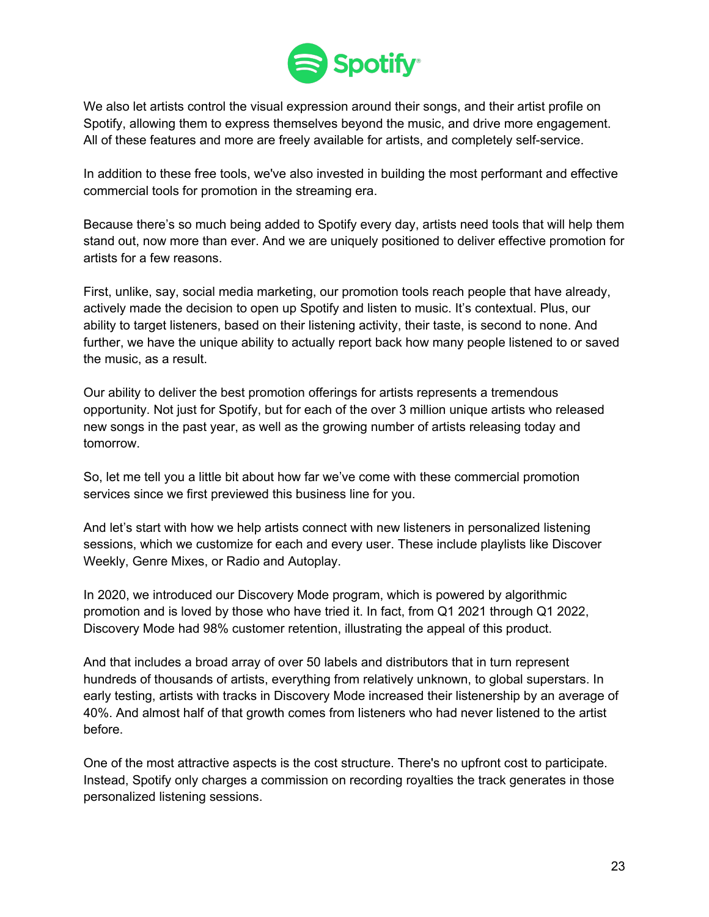

We also let artists control the visual expression around their songs, and their artist profile on Spotify, allowing them to express themselves beyond the music, and drive more engagement. All of these features and more are freely available for artists, and completely self-service.

In addition to these free tools, we've also invested in building the most performant and effective commercial tools for promotion in the streaming era.

Because there's so much being added to Spotify every day, artists need tools that will help them stand out, now more than ever. And we are uniquely positioned to deliver effective promotion for artists for a few reasons.

First, unlike, say, social media marketing, our promotion tools reach people that have already, actively made the decision to open up Spotify and listen to music. It's contextual. Plus, our ability to target listeners, based on their listening activity, their taste, is second to none. And further, we have the unique ability to actually report back how many people listened to or saved the music, as a result.

Our ability to deliver the best promotion offerings for artists represents a tremendous opportunity. Not just for Spotify, but for each of the over 3 million unique artists who released new songs in the past year, as well as the growing number of artists releasing today and tomorrow.

So, let me tell you a little bit about how far we've come with these commercial promotion services since we first previewed this business line for you.

And let's start with how we help artists connect with new listeners in personalized listening sessions, which we customize for each and every user. These include playlists like Discover Weekly, Genre Mixes, or Radio and Autoplay.

In 2020, we introduced our Discovery Mode program, which is powered by algorithmic promotion and is loved by those who have tried it. In fact, from Q1 2021 through Q1 2022, Discovery Mode had 98% customer retention, illustrating the appeal of this product.

And that includes a broad array of over 50 labels and distributors that in turn represent hundreds of thousands of artists, everything from relatively unknown, to global superstars. In early testing, artists with tracks in Discovery Mode increased their listenership by an average of 40%. And almost half of that growth comes from listeners who had never listened to the artist before.

One of the most attractive aspects is the cost structure. There's no upfront cost to participate. Instead, Spotify only charges a commission on recording royalties the track generates in those personalized listening sessions.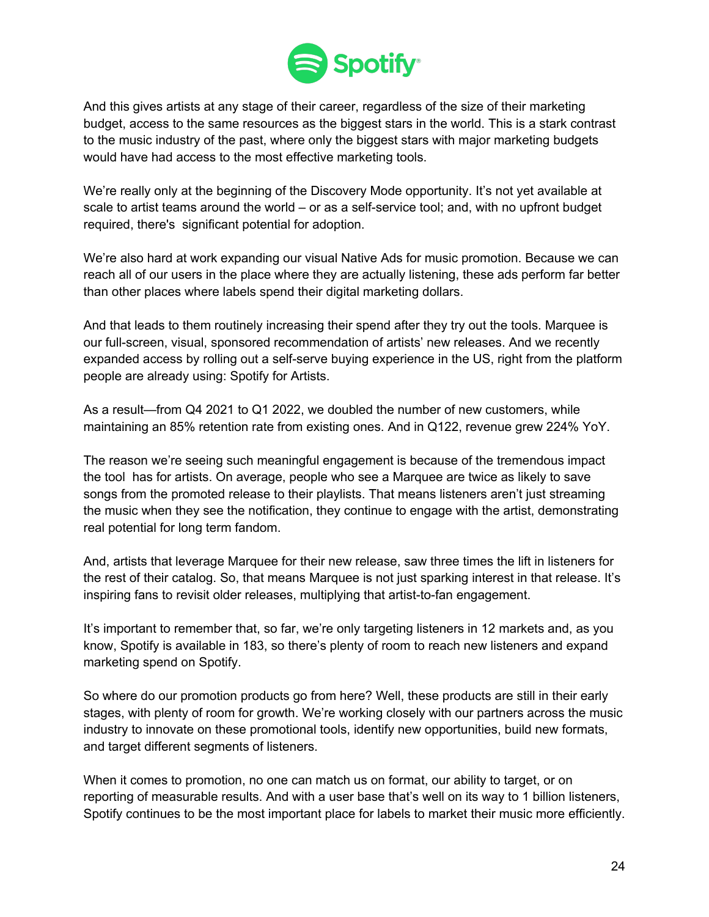

And this gives artists at any stage of their career, regardless of the size of their marketing budget, access to the same resources as the biggest stars in the world. This is a stark contrast to the music industry of the past, where only the biggest stars with major marketing budgets would have had access to the most effective marketing tools.

We're really only at the beginning of the Discovery Mode opportunity. It's not yet available at scale to artist teams around the world – or as a self-service tool; and, with no upfront budget required, there's significant potential for adoption.

We're also hard at work expanding our visual Native Ads for music promotion. Because we can reach all of our users in the place where they are actually listening, these ads perform far better than other places where labels spend their digital marketing dollars.

And that leads to them routinely increasing their spend after they try out the tools. Marquee is our full-screen, visual, sponsored recommendation of artists' new releases. And we recently expanded access by rolling out a self-serve buying experience in the US, right from the platform people are already using: Spotify for Artists.

As a result—from Q4 2021 to Q1 2022, we doubled the number of new customers, while maintaining an 85% retention rate from existing ones. And in Q122, revenue grew 224% YoY.

The reason we're seeing such meaningful engagement is because of the tremendous impact the tool has for artists. On average, people who see a Marquee are twice as likely to save songs from the promoted release to their playlists. That means listeners aren't just streaming the music when they see the notification, they continue to engage with the artist, demonstrating real potential for long term fandom.

And, artists that leverage Marquee for their new release, saw three times the lift in listeners for the rest of their catalog. So, that means Marquee is not just sparking interest in that release. It's inspiring fans to revisit older releases, multiplying that artist-to-fan engagement.

It's important to remember that, so far, we're only targeting listeners in 12 markets and, as you know, Spotify is available in 183, so there's plenty of room to reach new listeners and expand marketing spend on Spotify.

So where do our promotion products go from here? Well, these products are still in their early stages, with plenty of room for growth. We're working closely with our partners across the music industry to innovate on these promotional tools, identify new opportunities, build new formats, and target different segments of listeners.

When it comes to promotion, no one can match us on format, our ability to target, or on reporting of measurable results. And with a user base that's well on its way to 1 billion listeners, Spotify continues to be the most important place for labels to market their music more efficiently.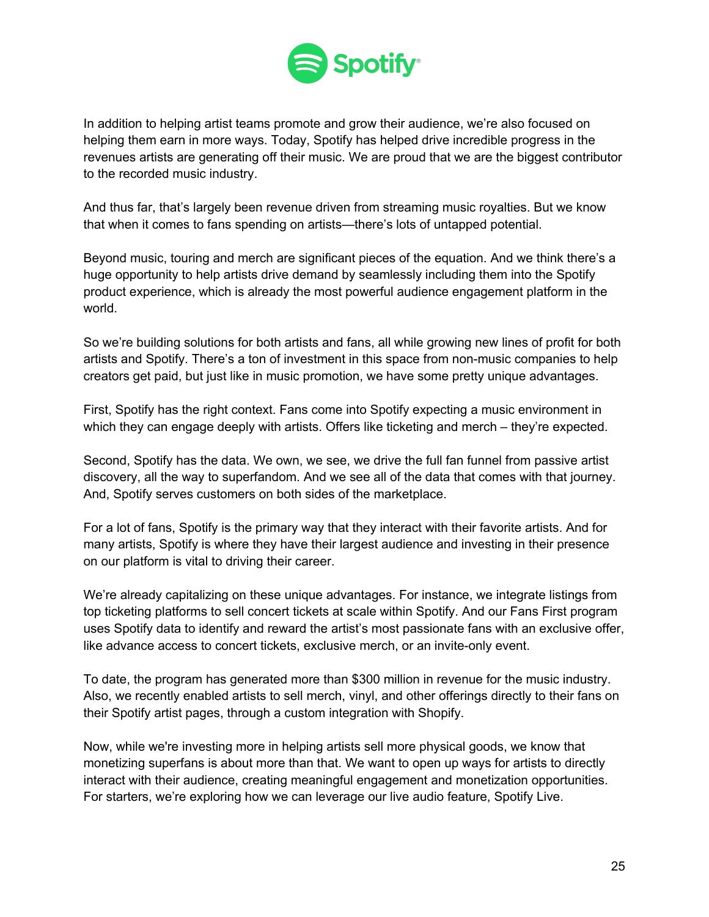

In addition to helping artist teams promote and grow their audience, we're also focused on helping them earn in more ways. Today, Spotify has helped drive incredible progress in the revenues artists are generating off their music. We are proud that we are the biggest contributor to the recorded music industry.

And thus far, that's largely been revenue driven from streaming music royalties. But we know that when it comes to fans spending on artists—there's lots of untapped potential.

Beyond music, touring and merch are significant pieces of the equation. And we think there's a huge opportunity to help artists drive demand by seamlessly including them into the Spotify product experience, which is already the most powerful audience engagement platform in the world.

So we're building solutions for both artists and fans, all while growing new lines of profit for both artists and Spotify. There's a ton of investment in this space from non-music companies to help creators get paid, but just like in music promotion, we have some pretty unique advantages.

First, Spotify has the right context. Fans come into Spotify expecting a music environment in which they can engage deeply with artists. Offers like ticketing and merch – they're expected.

Second, Spotify has the data. We own, we see, we drive the full fan funnel from passive artist discovery, all the way to superfandom. And we see all of the data that comes with that journey. And, Spotify serves customers on both sides of the marketplace.

For a lot of fans, Spotify is the primary way that they interact with their favorite artists. And for many artists, Spotify is where they have their largest audience and investing in their presence on our platform is vital to driving their career.

We're already capitalizing on these unique advantages. For instance, we integrate listings from top ticketing platforms to sell concert tickets at scale within Spotify. And our Fans First program uses Spotify data to identify and reward the artist's most passionate fans with an exclusive offer, like advance access to concert tickets, exclusive merch, or an invite-only event.

To date, the program has generated more than \$300 million in revenue for the music industry. Also, we recently enabled artists to sell merch, vinyl, and other offerings directly to their fans on their Spotify artist pages, through a custom integration with Shopify.

Now, while we're investing more in helping artists sell more physical goods, we know that monetizing superfans is about more than that. We want to open up ways for artists to directly interact with their audience, creating meaningful engagement and monetization opportunities. For starters, we're exploring how we can leverage our live audio feature, Spotify Live.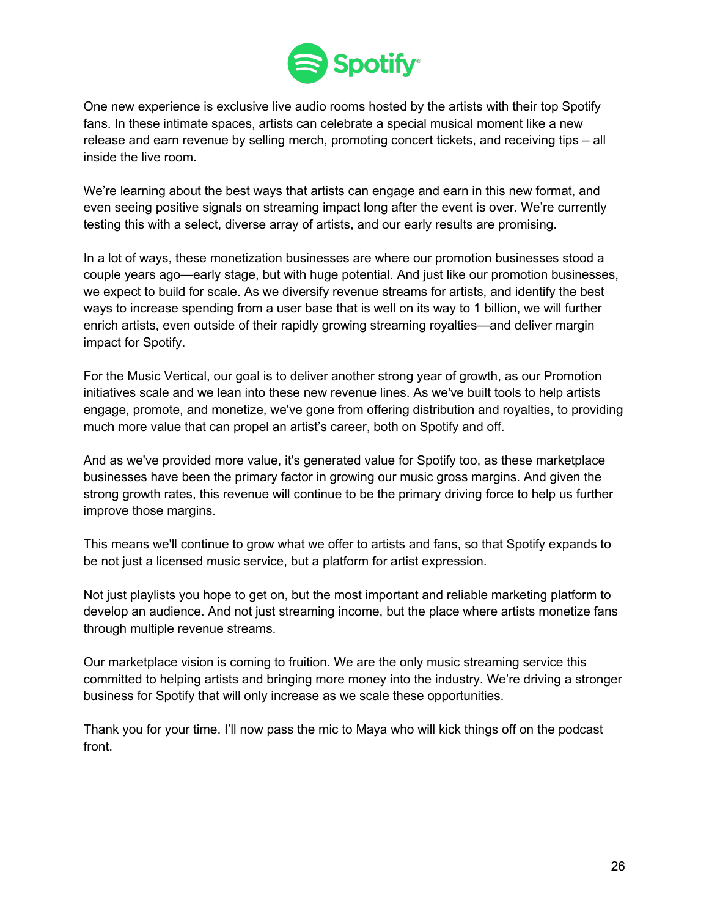

One new experience is exclusive live audio rooms hosted by the artists with their top Spotify fans. In these intimate spaces, artists can celebrate a special musical moment like a new release and earn revenue by selling merch, promoting concert tickets, and receiving tips – all inside the live room.

We're learning about the best ways that artists can engage and earn in this new format, and even seeing positive signals on streaming impact long after the event is over. We're currently testing this with a select, diverse array of artists, and our early results are promising.

In a lot of ways, these monetization businesses are where our promotion businesses stood a couple years ago—early stage, but with huge potential. And just like our promotion businesses, we expect to build for scale. As we diversify revenue streams for artists, and identify the best ways to increase spending from a user base that is well on its way to 1 billion, we will further enrich artists, even outside of their rapidly growing streaming royalties—and deliver margin impact for Spotify.

For the Music Vertical, our goal is to deliver another strong year of growth, as our Promotion initiatives scale and we lean into these new revenue lines. As we've built tools to help artists engage, promote, and monetize, we've gone from offering distribution and royalties, to providing much more value that can propel an artist's career, both on Spotify and off.

And as we've provided more value, it's generated value for Spotify too, as these marketplace businesses have been the primary factor in growing our music gross margins. And given the strong growth rates, this revenue will continue to be the primary driving force to help us further improve those margins.

This means we'll continue to grow what we offer to artists and fans, so that Spotify expands to be not just a licensed music service, but a platform for artist expression.

Not just playlists you hope to get on, but the most important and reliable marketing platform to develop an audience. And not just streaming income, but the place where artists monetize fans through multiple revenue streams.

Our marketplace vision is coming to fruition. We are the only music streaming service this committed to helping artists and bringing more money into the industry. We're driving a stronger business for Spotify that will only increase as we scale these opportunities.

Thank you for your time. I'll now pass the mic to Maya who will kick things off on the podcast front.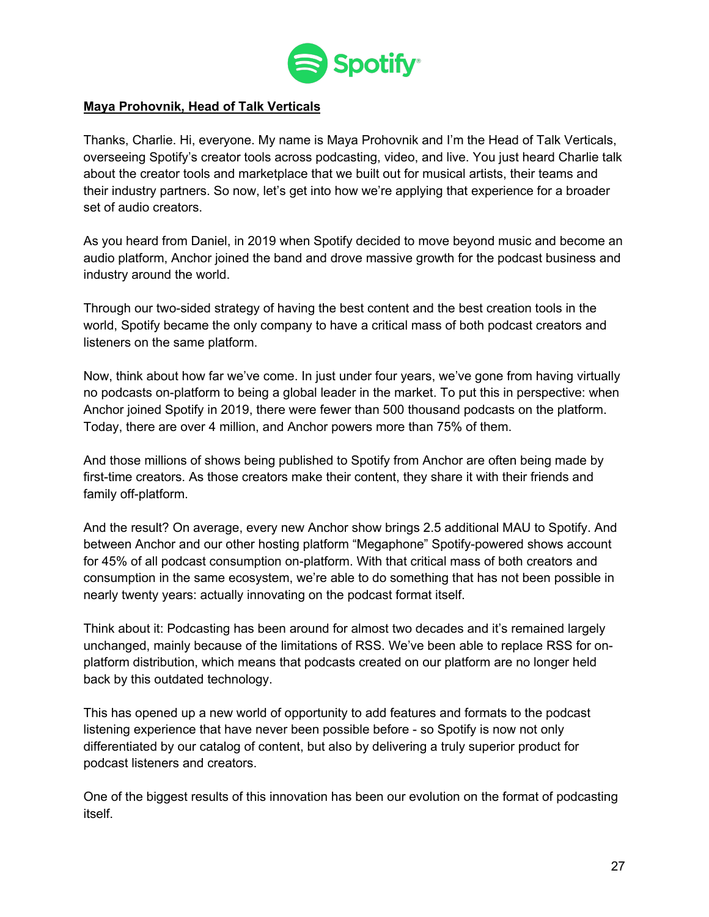

### **Maya Prohovnik, Head of Talk Verticals**

Thanks, Charlie. Hi, everyone. My name is Maya Prohovnik and I'm the Head of Talk Verticals, overseeing Spotify's creator tools across podcasting, video, and live. You just heard Charlie talk about the creator tools and marketplace that we built out for musical artists, their teams and their industry partners. So now, let's get into how we're applying that experience for a broader set of audio creators.

As you heard from Daniel, in 2019 when Spotify decided to move beyond music and become an audio platform, Anchor joined the band and drove massive growth for the podcast business and industry around the world.

Through our two-sided strategy of having the best content and the best creation tools in the world, Spotify became the only company to have a critical mass of both podcast creators and listeners on the same platform.

Now, think about how far we've come. In just under four years, we've gone from having virtually no podcasts on-platform to being a global leader in the market. To put this in perspective: when Anchor joined Spotify in 2019, there were fewer than 500 thousand podcasts on the platform. Today, there are over 4 million, and Anchor powers more than 75% of them.

And those millions of shows being published to Spotify from Anchor are often being made by first-time creators. As those creators make their content, they share it with their friends and family off-platform.

And the result? On average, every new Anchor show brings 2.5 additional MAU to Spotify. And between Anchor and our other hosting platform "Megaphone" Spotify-powered shows account for 45% of all podcast consumption on-platform. With that critical mass of both creators and consumption in the same ecosystem, we're able to do something that has not been possible in nearly twenty years: actually innovating on the podcast format itself.

Think about it: Podcasting has been around for almost two decades and it's remained largely unchanged, mainly because of the limitations of RSS. We've been able to replace RSS for onplatform distribution, which means that podcasts created on our platform are no longer held back by this outdated technology.

This has opened up a new world of opportunity to add features and formats to the podcast listening experience that have never been possible before - so Spotify is now not only differentiated by our catalog of content, but also by delivering a truly superior product for podcast listeners and creators.

One of the biggest results of this innovation has been our evolution on the format of podcasting itself.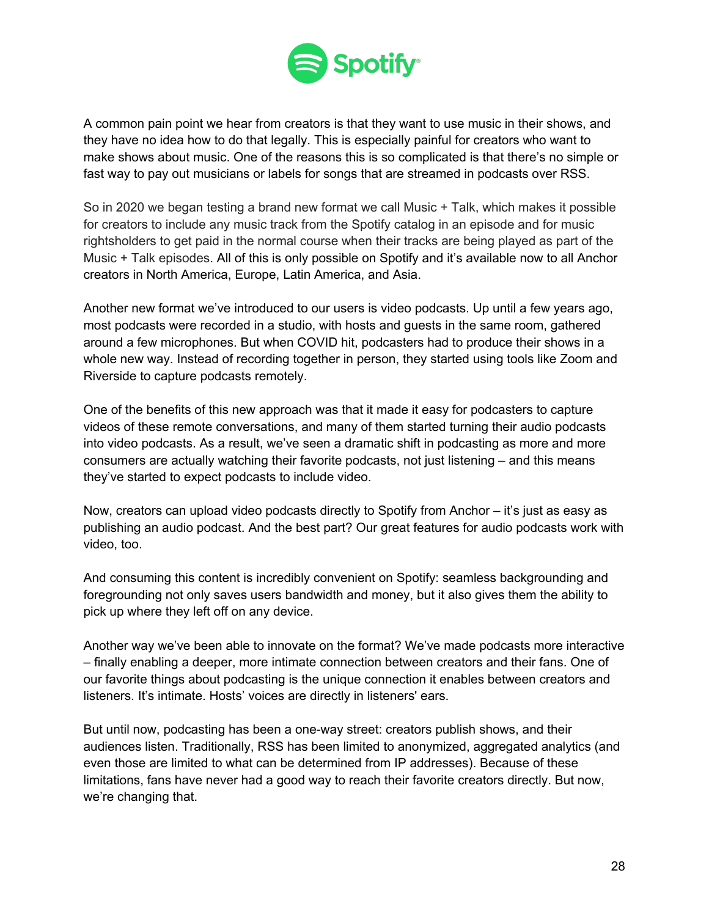

A common pain point we hear from creators is that they want to use music in their shows, and they have no idea how to do that legally. This is especially painful for creators who want to make shows about music. One of the reasons this is so complicated is that there's no simple or fast way to pay out musicians or labels for songs that are streamed in podcasts over RSS.

So in 2020 we began testing a brand new format we call Music + Talk, which makes it possible for creators to include any music track from the Spotify catalog in an episode and for music rightsholders to get paid in the normal course when their tracks are being played as part of the Music + Talk episodes. All of this is only possible on Spotify and it's available now to all Anchor creators in North America, Europe, Latin America, and Asia.

Another new format we've introduced to our users is video podcasts. Up until a few years ago, most podcasts were recorded in a studio, with hosts and guests in the same room, gathered around a few microphones. But when COVID hit, podcasters had to produce their shows in a whole new way. Instead of recording together in person, they started using tools like Zoom and Riverside to capture podcasts remotely.

One of the benefits of this new approach was that it made it easy for podcasters to capture videos of these remote conversations, and many of them started turning their audio podcasts into video podcasts. As a result, we've seen a dramatic shift in podcasting as more and more consumers are actually watching their favorite podcasts, not just listening – and this means they've started to expect podcasts to include video.

Now, creators can upload video podcasts directly to Spotify from Anchor – it's just as easy as publishing an audio podcast. And the best part? Our great features for audio podcasts work with video, too.

And consuming this content is incredibly convenient on Spotify: seamless backgrounding and foregrounding not only saves users bandwidth and money, but it also gives them the ability to pick up where they left off on any device.

Another way we've been able to innovate on the format? We've made podcasts more interactive – finally enabling a deeper, more intimate connection between creators and their fans. One of our favorite things about podcasting is the unique connection it enables between creators and listeners. It's intimate. Hosts' voices are directly in listeners' ears.

But until now, podcasting has been a one-way street: creators publish shows, and their audiences listen. Traditionally, RSS has been limited to anonymized, aggregated analytics (and even those are limited to what can be determined from IP addresses). Because of these limitations, fans have never had a good way to reach their favorite creators directly. But now, we're changing that.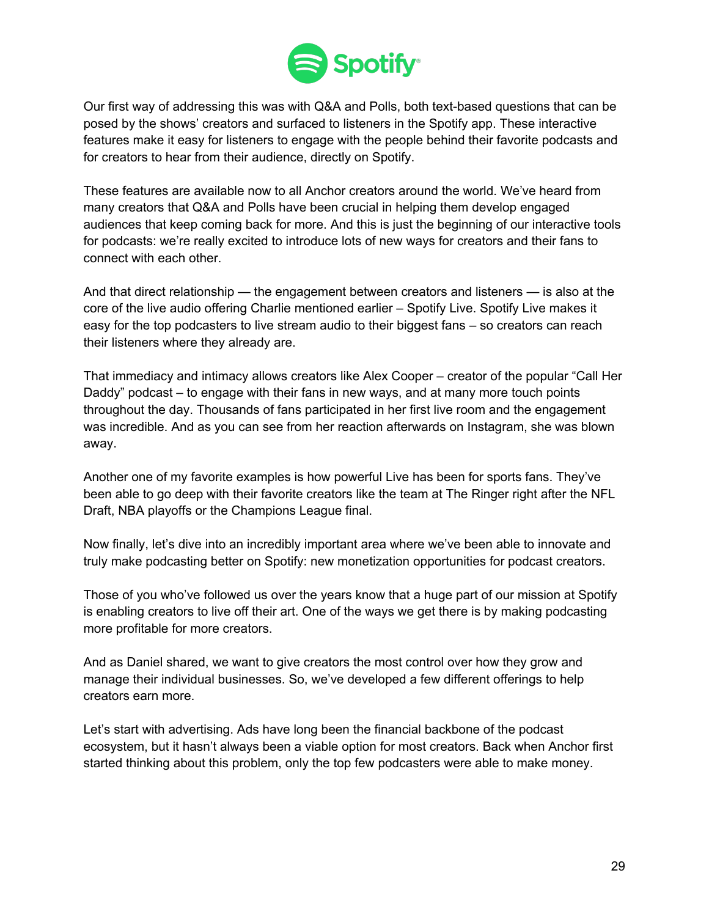

Our first way of addressing this was with Q&A and Polls, both text-based questions that can be posed by the shows' creators and surfaced to listeners in the Spotify app. These interactive features make it easy for listeners to engage with the people behind their favorite podcasts and for creators to hear from their audience, directly on Spotify.

These features are available now to all Anchor creators around the world. We've heard from many creators that Q&A and Polls have been crucial in helping them develop engaged audiences that keep coming back for more. And this is just the beginning of our interactive tools for podcasts: we're really excited to introduce lots of new ways for creators and their fans to connect with each other.

And that direct relationship — the engagement between creators and listeners — is also at the core of the live audio offering Charlie mentioned earlier – Spotify Live. Spotify Live makes it easy for the top podcasters to live stream audio to their biggest fans – so creators can reach their listeners where they already are.

That immediacy and intimacy allows creators like Alex Cooper – creator of the popular "Call Her Daddy" podcast – to engage with their fans in new ways, and at many more touch points throughout the day. Thousands of fans participated in her first live room and the engagement was incredible. And as you can see from her reaction afterwards on Instagram, she was blown away.

Another one of my favorite examples is how powerful Live has been for sports fans. They've been able to go deep with their favorite creators like the team at The Ringer right after the NFL Draft, NBA playoffs or the Champions League final.

Now finally, let's dive into an incredibly important area where we've been able to innovate and truly make podcasting better on Spotify: new monetization opportunities for podcast creators.

Those of you who've followed us over the years know that a huge part of our mission at Spotify is enabling creators to live off their art. One of the ways we get there is by making podcasting more profitable for more creators.

And as Daniel shared, we want to give creators the most control over how they grow and manage their individual businesses. So, we've developed a few different offerings to help creators earn more.

Let's start with advertising. Ads have long been the financial backbone of the podcast ecosystem, but it hasn't always been a viable option for most creators. Back when Anchor first started thinking about this problem, only the top few podcasters were able to make money.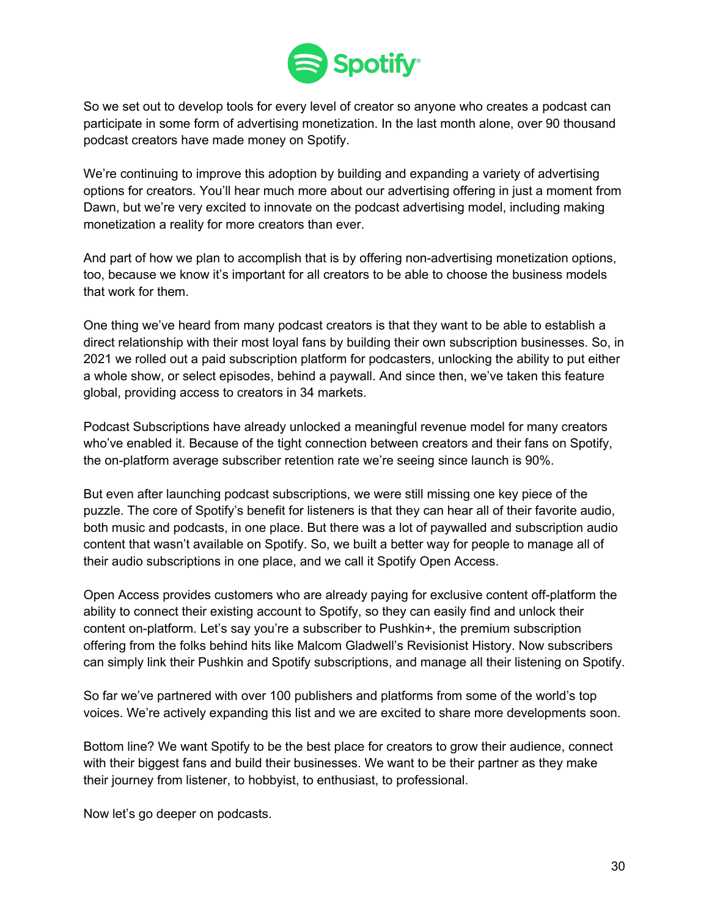

So we set out to develop tools for every level of creator so anyone who creates a podcast can participate in some form of advertising monetization. In the last month alone, over 90 thousand podcast creators have made money on Spotify.

We're continuing to improve this adoption by building and expanding a variety of advertising options for creators. You'll hear much more about our advertising offering in just a moment from Dawn, but we're very excited to innovate on the podcast advertising model, including making monetization a reality for more creators than ever.

And part of how we plan to accomplish that is by offering non-advertising monetization options, too, because we know it's important for all creators to be able to choose the business models that work for them.

One thing we've heard from many podcast creators is that they want to be able to establish a direct relationship with their most loyal fans by building their own subscription businesses. So, in 2021 we rolled out a paid subscription platform for podcasters, unlocking the ability to put either a whole show, or select episodes, behind a paywall. And since then, we've taken this feature global, providing access to creators in 34 markets.

Podcast Subscriptions have already unlocked a meaningful revenue model for many creators who've enabled it. Because of the tight connection between creators and their fans on Spotify, the on-platform average subscriber retention rate we're seeing since launch is 90%.

But even after launching podcast subscriptions, we were still missing one key piece of the puzzle. The core of Spotify's benefit for listeners is that they can hear all of their favorite audio, both music and podcasts, in one place. But there was a lot of paywalled and subscription audio content that wasn't available on Spotify. So, we built a better way for people to manage all of their audio subscriptions in one place, and we call it Spotify Open Access.

Open Access provides customers who are already paying for exclusive content off-platform the ability to connect their existing account to Spotify, so they can easily find and unlock their content on-platform. Let's say you're a subscriber to Pushkin+, the premium subscription offering from the folks behind hits like Malcom Gladwell's Revisionist History. Now subscribers can simply link their Pushkin and Spotify subscriptions, and manage all their listening on Spotify.

So far we've partnered with over 100 publishers and platforms from some of the world's top voices. We're actively expanding this list and we are excited to share more developments soon.

Bottom line? We want Spotify to be the best place for creators to grow their audience, connect with their biggest fans and build their businesses. We want to be their partner as they make their journey from listener, to hobbyist, to enthusiast, to professional.

Now let's go deeper on podcasts.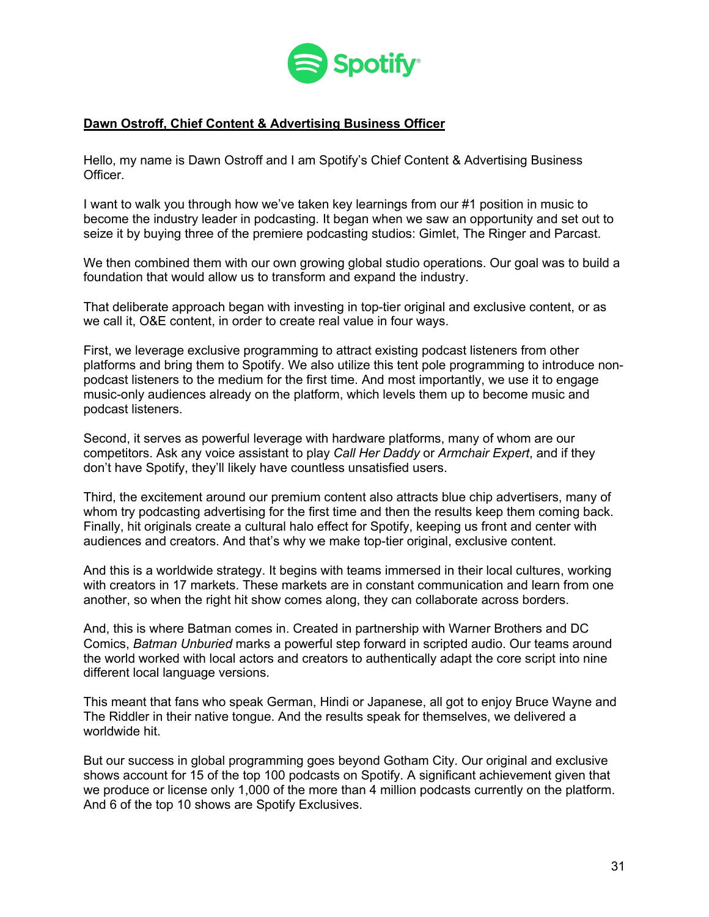

## **Dawn Ostroff, Chief Content & Advertising Business Officer**

Hello, my name is Dawn Ostroff and I am Spotify's Chief Content & Advertising Business **Officer** 

I want to walk you through how we've taken key learnings from our #1 position in music to become the industry leader in podcasting. It began when we saw an opportunity and set out to seize it by buying three of the premiere podcasting studios: Gimlet, The Ringer and Parcast.

We then combined them with our own growing global studio operations. Our goal was to build a foundation that would allow us to transform and expand the industry.

That deliberate approach began with investing in top-tier original and exclusive content, or as we call it, O&E content, in order to create real value in four ways.

First, we leverage exclusive programming to attract existing podcast listeners from other platforms and bring them to Spotify. We also utilize this tent pole programming to introduce nonpodcast listeners to the medium for the first time. And most importantly, we use it to engage music-only audiences already on the platform, which levels them up to become music and podcast listeners.

Second, it serves as powerful leverage with hardware platforms, many of whom are our competitors. Ask any voice assistant to play *Call Her Daddy* or *Armchair Expert*, and if they don't have Spotify, they'll likely have countless unsatisfied users.

Third, the excitement around our premium content also attracts blue chip advertisers, many of whom try podcasting advertising for the first time and then the results keep them coming back. Finally, hit originals create a cultural halo effect for Spotify, keeping us front and center with audiences and creators. And that's why we make top-tier original, exclusive content.

And this is a worldwide strategy. It begins with teams immersed in their local cultures, working with creators in 17 markets. These markets are in constant communication and learn from one another, so when the right hit show comes along, they can collaborate across borders.

And, this is where Batman comes in. Created in partnership with Warner Brothers and DC Comics, *Batman Unburied* marks a powerful step forward in scripted audio. Our teams around the world worked with local actors and creators to authentically adapt the core script into nine different local language versions.

This meant that fans who speak German, Hindi or Japanese, all got to enjoy Bruce Wayne and The Riddler in their native tongue. And the results speak for themselves, we delivered a worldwide hit

But our success in global programming goes beyond Gotham City. Our original and exclusive shows account for 15 of the top 100 podcasts on Spotify. A significant achievement given that we produce or license only 1,000 of the more than 4 million podcasts currently on the platform. And 6 of the top 10 shows are Spotify Exclusives.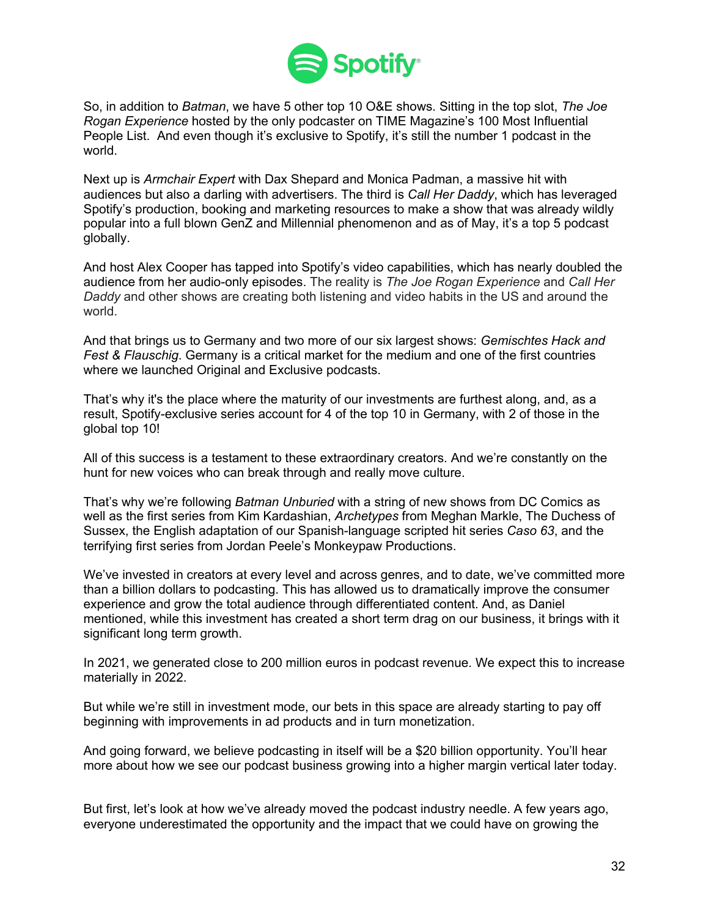

So, in addition to *Batman*, we have 5 other top 10 O&E shows. Sitting in the top slot, *The Joe Rogan Experience* hosted by the only podcaster on TIME Magazine's 100 Most Influential People List. And even though it's exclusive to Spotify, it's still the number 1 podcast in the world.

Next up is *Armchair Expert* with Dax Shepard and Monica Padman, a massive hit with audiences but also a darling with advertisers. The third is *Call Her Daddy*, which has leveraged Spotify's production, booking and marketing resources to make a show that was already wildly popular into a full blown GenZ and Millennial phenomenon and as of May, it's a top 5 podcast globally.

And host Alex Cooper has tapped into Spotify's video capabilities, which has nearly doubled the audience from her audio-only episodes. The reality is *The Joe Rogan Experience* and *Call Her Daddy* and other shows are creating both listening and video habits in the US and around the world.

And that brings us to Germany and two more of our six largest shows: *Gemischtes Hack and Fest & Flauschig*. Germany is a critical market for the medium and one of the first countries where we launched Original and Exclusive podcasts.

That's why it's the place where the maturity of our investments are furthest along, and, as a result, Spotify-exclusive series account for 4 of the top 10 in Germany, with 2 of those in the global top 10!

All of this success is a testament to these extraordinary creators. And we're constantly on the hunt for new voices who can break through and really move culture.

That's why we're following *Batman Unburied* with a string of new shows from DC Comics as well as the first series from Kim Kardashian, *Archetypes* from Meghan Markle, The Duchess of Sussex, the English adaptation of our Spanish-language scripted hit series *Caso 63*, and the terrifying first series from Jordan Peele's Monkeypaw Productions.

We've invested in creators at every level and across genres, and to date, we've committed more than a billion dollars to podcasting. This has allowed us to dramatically improve the consumer experience and grow the total audience through differentiated content. And, as Daniel mentioned, while this investment has created a short term drag on our business, it brings with it significant long term growth.

In 2021, we generated close to 200 million euros in podcast revenue. We expect this to increase materially in 2022.

But while we're still in investment mode, our bets in this space are already starting to pay off beginning with improvements in ad products and in turn monetization.

And going forward, we believe podcasting in itself will be a \$20 billion opportunity. You'll hear more about how we see our podcast business growing into a higher margin vertical later today.

But first, let's look at how we've already moved the podcast industry needle. A few years ago, everyone underestimated the opportunity and the impact that we could have on growing the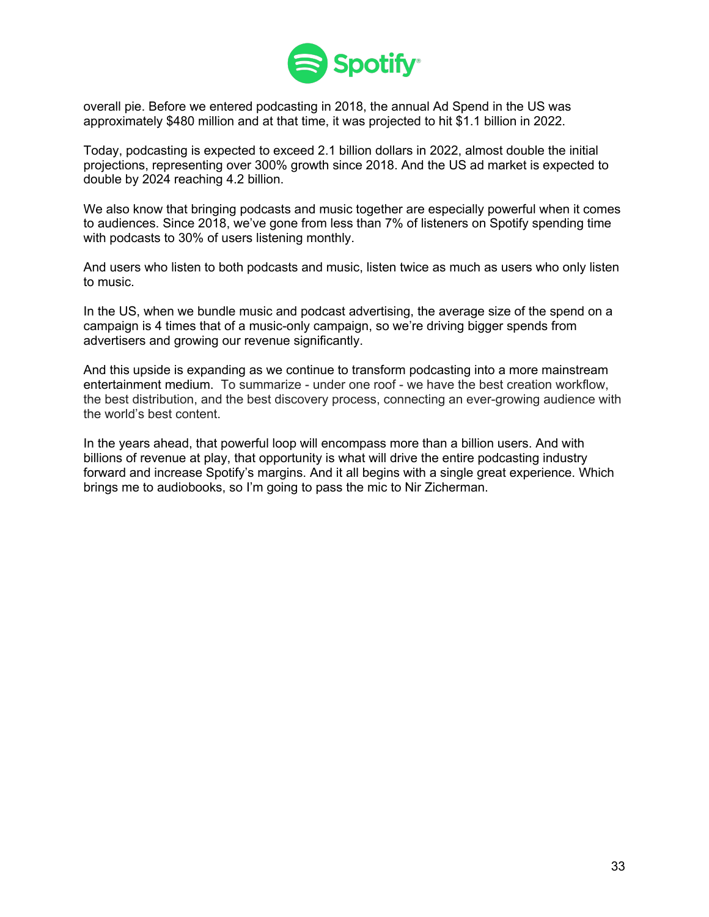

overall pie. Before we entered podcasting in 2018, the annual Ad Spend in the US was approximately \$480 million and at that time, it was projected to hit \$1.1 billion in 2022.

Today, podcasting is expected to exceed 2.1 billion dollars in 2022, almost double the initial projections, representing over 300% growth since 2018. And the US ad market is expected to double by 2024 reaching 4.2 billion.

We also know that bringing podcasts and music together are especially powerful when it comes to audiences. Since 2018, we've gone from less than 7% of listeners on Spotify spending time with podcasts to 30% of users listening monthly.

And users who listen to both podcasts and music, listen twice as much as users who only listen to music.

In the US, when we bundle music and podcast advertising, the average size of the spend on a campaign is 4 times that of a music-only campaign, so we're driving bigger spends from advertisers and growing our revenue significantly.

And this upside is expanding as we continue to transform podcasting into a more mainstream entertainment medium. To summarize - under one roof - we have the best creation workflow, the best distribution, and the best discovery process, connecting an ever-growing audience with the world's best content.

In the years ahead, that powerful loop will encompass more than a billion users. And with billions of revenue at play, that opportunity is what will drive the entire podcasting industry forward and increase Spotify's margins. And it all begins with a single great experience. Which brings me to audiobooks, so I'm going to pass the mic to Nir Zicherman.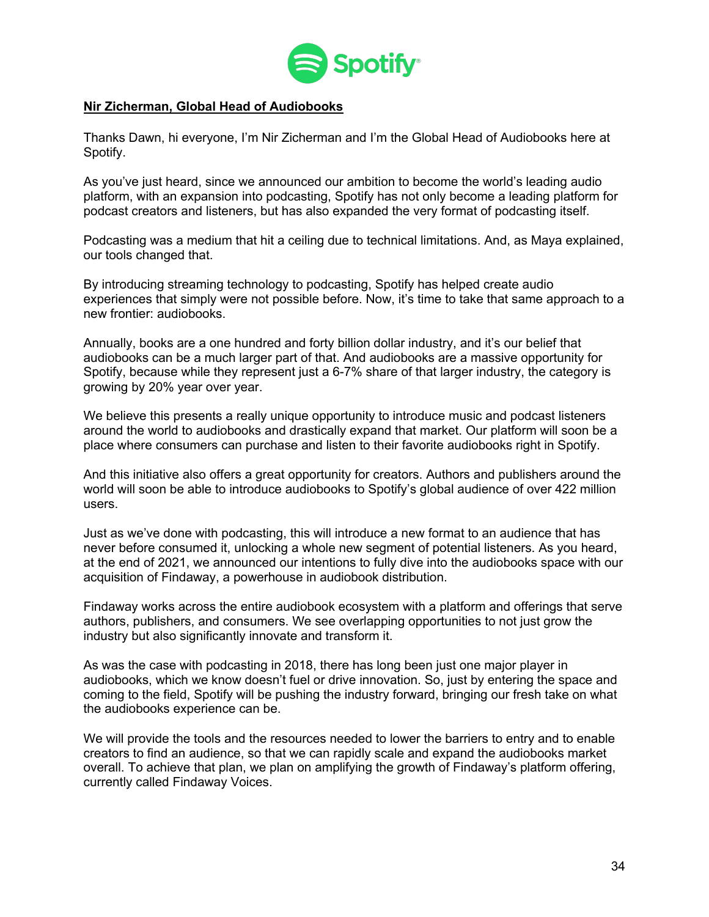

#### **Nir Zicherman, Global Head of Audiobooks**

Thanks Dawn, hi everyone, I'm Nir Zicherman and I'm the Global Head of Audiobooks here at Spotify.

As you've just heard, since we announced our ambition to become the world's leading audio platform, with an expansion into podcasting, Spotify has not only become a leading platform for podcast creators and listeners, but has also expanded the very format of podcasting itself.

Podcasting was a medium that hit a ceiling due to technical limitations. And, as Maya explained, our tools changed that.

By introducing streaming technology to podcasting, Spotify has helped create audio experiences that simply were not possible before. Now, it's time to take that same approach to a new frontier: audiobooks.

Annually, books are a one hundred and forty billion dollar industry, and it's our belief that audiobooks can be a much larger part of that. And audiobooks are a massive opportunity for Spotify, because while they represent just a 6-7% share of that larger industry, the category is growing by 20% year over year.

We believe this presents a really unique opportunity to introduce music and podcast listeners around the world to audiobooks and drastically expand that market. Our platform will soon be a place where consumers can purchase and listen to their favorite audiobooks right in Spotify.

And this initiative also offers a great opportunity for creators. Authors and publishers around the world will soon be able to introduce audiobooks to Spotify's global audience of over 422 million users.

Just as we've done with podcasting, this will introduce a new format to an audience that has never before consumed it, unlocking a whole new segment of potential listeners. As you heard, at the end of 2021, we announced our intentions to fully dive into the audiobooks space with our acquisition of Findaway, a powerhouse in audiobook distribution.

Findaway works across the entire audiobook ecosystem with a platform and offerings that serve authors, publishers, and consumers. We see overlapping opportunities to not just grow the industry but also significantly innovate and transform it.

As was the case with podcasting in 2018, there has long been just one major player in audiobooks, which we know doesn't fuel or drive innovation. So, just by entering the space and coming to the field, Spotify will be pushing the industry forward, bringing our fresh take on what the audiobooks experience can be.

We will provide the tools and the resources needed to lower the barriers to entry and to enable creators to find an audience, so that we can rapidly scale and expand the audiobooks market overall. To achieve that plan, we plan on amplifying the growth of Findaway's platform offering, currently called Findaway Voices.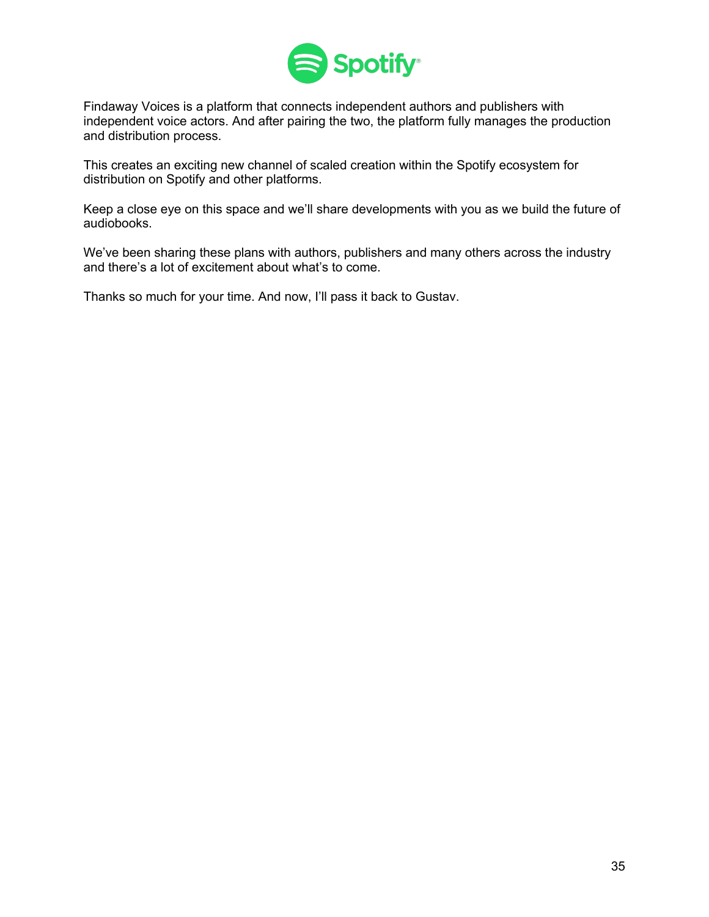

Findaway Voices is a platform that connects independent authors and publishers with independent voice actors. And after pairing the two, the platform fully manages the production and distribution process.

This creates an exciting new channel of scaled creation within the Spotify ecosystem for distribution on Spotify and other platforms.

Keep a close eye on this space and we'll share developments with you as we build the future of audiobooks.

We've been sharing these plans with authors, publishers and many others across the industry and there's a lot of excitement about what's to come.

Thanks so much for your time. And now, I'll pass it back to Gustav.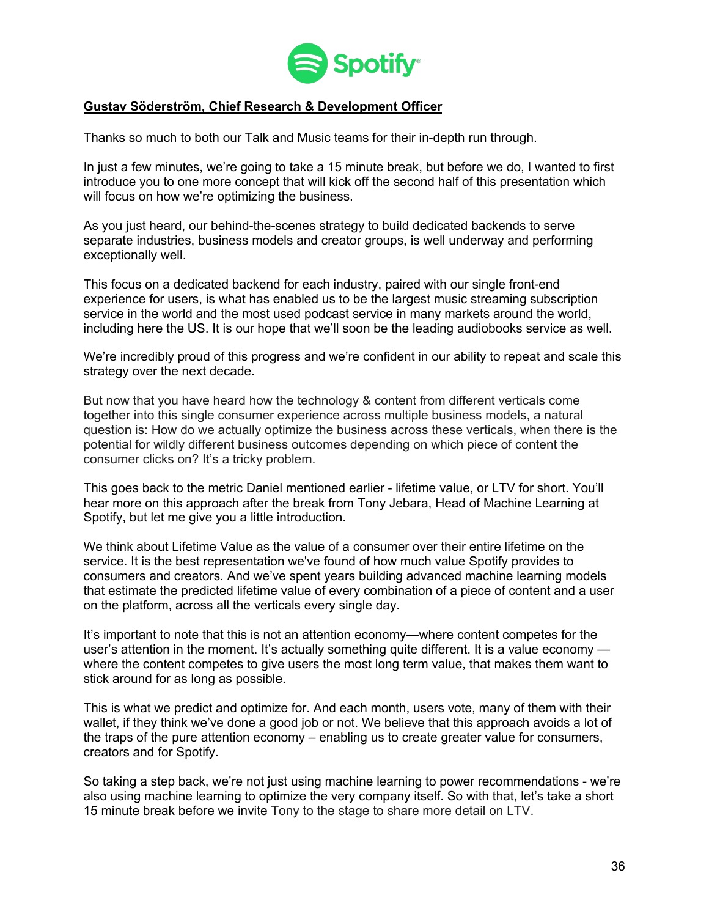

### **Gustav Söderström, Chief Research & Development Officer**

Thanks so much to both our Talk and Music teams for their in-depth run through.

In just a few minutes, we're going to take a 15 minute break, but before we do, I wanted to first introduce you to one more concept that will kick off the second half of this presentation which will focus on how we're optimizing the business.

As you just heard, our behind-the-scenes strategy to build dedicated backends to serve separate industries, business models and creator groups, is well underway and performing exceptionally well.

This focus on a dedicated backend for each industry, paired with our single front-end experience for users, is what has enabled us to be the largest music streaming subscription service in the world and the most used podcast service in many markets around the world, including here the US. It is our hope that we'll soon be the leading audiobooks service as well.

We're incredibly proud of this progress and we're confident in our ability to repeat and scale this strategy over the next decade.

But now that you have heard how the technology & content from different verticals come together into this single consumer experience across multiple business models, a natural question is: How do we actually optimize the business across these verticals, when there is the potential for wildly different business outcomes depending on which piece of content the consumer clicks on? It's a tricky problem.

This goes back to the metric Daniel mentioned earlier - lifetime value, or LTV for short. You'll hear more on this approach after the break from Tony Jebara, Head of Machine Learning at Spotify, but let me give you a little introduction.

We think about Lifetime Value as the value of a consumer over their entire lifetime on the service. It is the best representation we've found of how much value Spotify provides to consumers and creators. And we've spent years building advanced machine learning models that estimate the predicted lifetime value of every combination of a piece of content and a user on the platform, across all the verticals every single day.

It's important to note that this is not an attention economy—where content competes for the user's attention in the moment. It's actually something quite different. It is a value economy where the content competes to give users the most long term value, that makes them want to stick around for as long as possible.

This is what we predict and optimize for. And each month, users vote, many of them with their wallet, if they think we've done a good job or not. We believe that this approach avoids a lot of the traps of the pure attention economy – enabling us to create greater value for consumers, creators and for Spotify.

So taking a step back, we're not just using machine learning to power recommendations - we're also using machine learning to optimize the very company itself. So with that, let's take a short 15 minute break before we invite Tony to the stage to share more detail on LTV.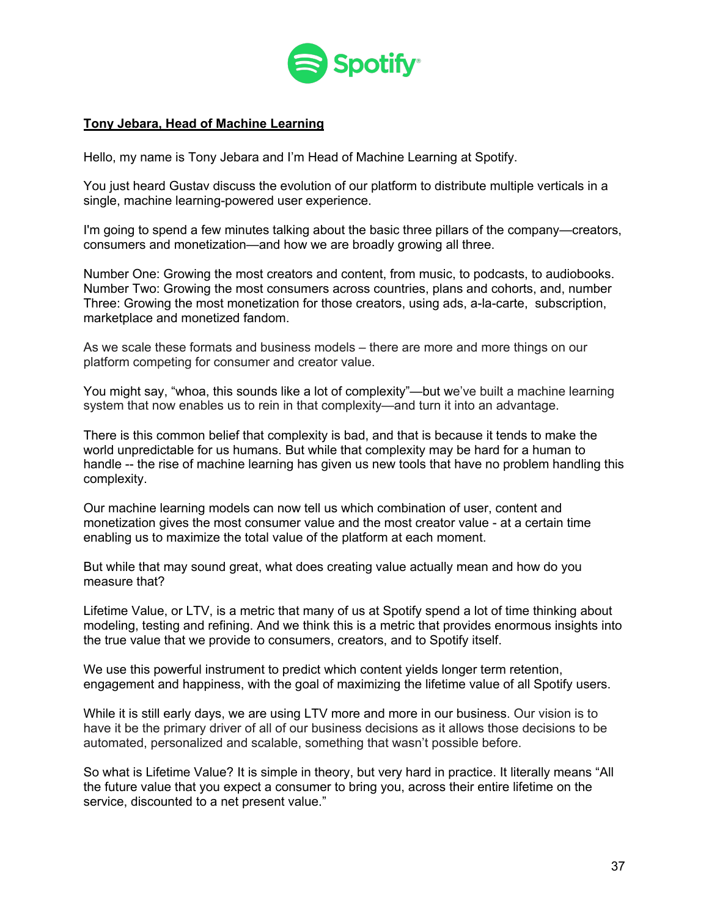

### **Tony Jebara, Head of Machine Learning**

Hello, my name is Tony Jebara and I'm Head of Machine Learning at Spotify.

You just heard Gustav discuss the evolution of our platform to distribute multiple verticals in a single, machine learning-powered user experience.

I'm going to spend a few minutes talking about the basic three pillars of the company—creators, consumers and monetization—and how we are broadly growing all three.

Number One: Growing the most creators and content, from music, to podcasts, to audiobooks. Number Two: Growing the most consumers across countries, plans and cohorts, and, number Three: Growing the most monetization for those creators, using ads, a-la-carte, subscription, marketplace and monetized fandom.

As we scale these formats and business models – there are more and more things on our platform competing for consumer and creator value.

You might say, "whoa, this sounds like a lot of complexity"—but we've built a machine learning system that now enables us to rein in that complexity—and turn it into an advantage.

There is this common belief that complexity is bad, and that is because it tends to make the world unpredictable for us humans. But while that complexity may be hard for a human to handle -- the rise of machine learning has given us new tools that have no problem handling this complexity.

Our machine learning models can now tell us which combination of user, content and monetization gives the most consumer value and the most creator value - at a certain time enabling us to maximize the total value of the platform at each moment.

But while that may sound great, what does creating value actually mean and how do you measure that?

Lifetime Value, or LTV, is a metric that many of us at Spotify spend a lot of time thinking about modeling, testing and refining. And we think this is a metric that provides enormous insights into the true value that we provide to consumers, creators, and to Spotify itself.

We use this powerful instrument to predict which content yields longer term retention, engagement and happiness, with the goal of maximizing the lifetime value of all Spotify users.

While it is still early days, we are using LTV more and more in our business. Our vision is to have it be the primary driver of all of our business decisions as it allows those decisions to be automated, personalized and scalable, something that wasn't possible before.

So what is Lifetime Value? It is simple in theory, but very hard in practice. It literally means "All the future value that you expect a consumer to bring you, across their entire lifetime on the service, discounted to a net present value."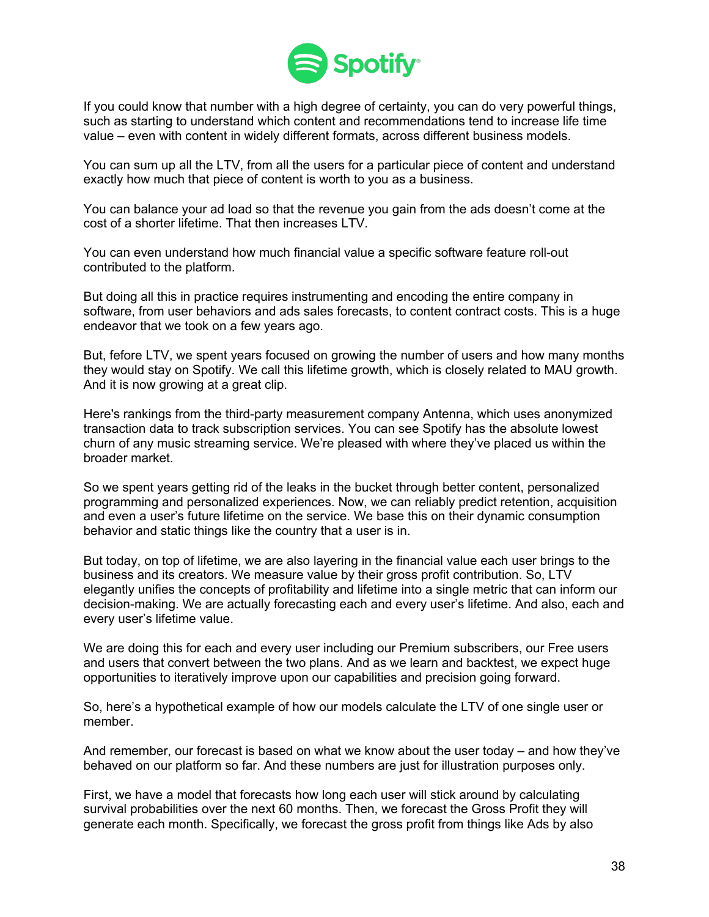

If you could know that number with a high degree of certainty, you can do very powerful things, such as starting to understand which content and recommendations tend to increase life time value – even with content in widely different formats, across different business models.

You can sum up all the LTV, from all the users for a particular piece of content and understand exactly how much that piece of content is worth to you as a business.

You can balance your ad load so that the revenue you gain from the ads doesn't come at the cost of a shorter lifetime. That then increases LTV.

You can even understand how much financial value a specific software feature roll-out contributed to the platform.

But doing all this in practice requires instrumenting and encoding the entire company in software, from user behaviors and ads sales forecasts, to content contract costs. This is a huge endeavor that we took on a few years ago.

But, fefore LTV, we spent years focused on growing the number of users and how many months they would stay on Spotify. We call this lifetime growth, which is closely related to MAU growth. And it is now growing at a great clip.

Here's rankings from the third-party measurement company Antenna, which uses anonymized transaction data to track subscription services. You can see Spotify has the absolute lowest churn of any music streaming service. We're pleased with where they've placed us within the broader market.

So we spent years getting rid of the leaks in the bucket through better content, personalized programming and personalized experiences. Now, we can reliably predict retention, acquisition and even a user's future lifetime on the service. We base this on their dynamic consumption behavior and static things like the country that a user is in.

But today, on top of lifetime, we are also layering in the financial value each user brings to the business and its creators. We measure value by their gross profit contribution. So, LTV elegantly unifies the concepts of profitability and lifetime into a single metric that can inform our decision-making. We are actually forecasting each and every user's lifetime. And also, each and every user's lifetime value.

We are doing this for each and every user including our Premium subscribers, our Free users and users that convert between the two plans. And as we learn and backtest, we expect huge opportunities to iteratively improve upon our capabilities and precision going forward.

So, here's a hypothetical example of how our models calculate the LTV of one single user or member.

And remember, our forecast is based on what we know about the user today – and how they've behaved on our platform so far. And these numbers are just for illustration purposes only.

First, we have a model that forecasts how long each user will stick around by calculating survival probabilities over the next 60 months. Then, we forecast the Gross Profit they will generate each month. Specifically, we forecast the gross profit from things like Ads by also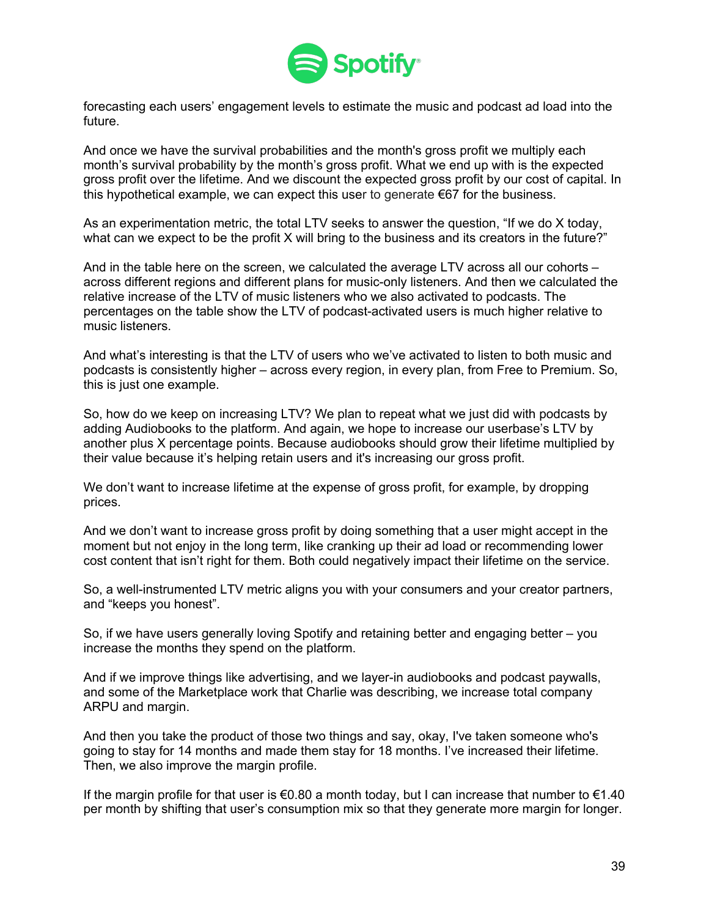

forecasting each users' engagement levels to estimate the music and podcast ad load into the future.

And once we have the survival probabilities and the month's gross profit we multiply each month's survival probability by the month's gross profit. What we end up with is the expected gross profit over the lifetime. And we discount the expected gross profit by our cost of capital. In this hypothetical example, we can expect this user to generate  $\epsilon$ 67 for the business.

As an experimentation metric, the total LTV seeks to answer the question, "If we do X today, what can we expect to be the profit X will bring to the business and its creators in the future?"

And in the table here on the screen, we calculated the average LTV across all our cohorts – across different regions and different plans for music-only listeners. And then we calculated the relative increase of the LTV of music listeners who we also activated to podcasts. The percentages on the table show the LTV of podcast-activated users is much higher relative to music listeners.

And what's interesting is that the LTV of users who we've activated to listen to both music and podcasts is consistently higher – across every region, in every plan, from Free to Premium. So, this is just one example.

So, how do we keep on increasing LTV? We plan to repeat what we just did with podcasts by adding Audiobooks to the platform. And again, we hope to increase our userbase's LTV by another plus X percentage points. Because audiobooks should grow their lifetime multiplied by their value because it's helping retain users and it's increasing our gross profit.

We don't want to increase lifetime at the expense of gross profit, for example, by dropping prices.

And we don't want to increase gross profit by doing something that a user might accept in the moment but not enjoy in the long term, like cranking up their ad load or recommending lower cost content that isn't right for them. Both could negatively impact their lifetime on the service.

So, a well-instrumented LTV metric aligns you with your consumers and your creator partners, and "keeps you honest".

So, if we have users generally loving Spotify and retaining better and engaging better – you increase the months they spend on the platform.

And if we improve things like advertising, and we layer-in audiobooks and podcast paywalls, and some of the Marketplace work that Charlie was describing, we increase total company ARPU and margin.

And then you take the product of those two things and say, okay, I've taken someone who's going to stay for 14 months and made them stay for 18 months. I've increased their lifetime. Then, we also improve the margin profile.

If the margin profile for that user is  $\epsilon$ 0.80 a month today, but I can increase that number to  $\epsilon$ 1.40 per month by shifting that user's consumption mix so that they generate more margin for longer.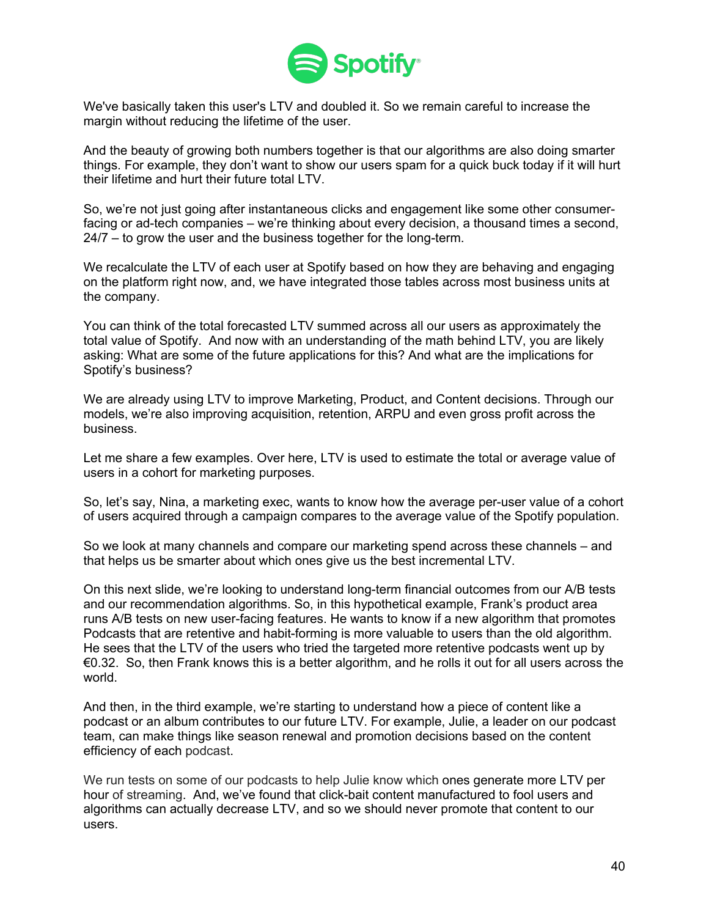

We've basically taken this user's LTV and doubled it. So we remain careful to increase the margin without reducing the lifetime of the user.

And the beauty of growing both numbers together is that our algorithms are also doing smarter things. For example, they don't want to show our users spam for a quick buck today if it will hurt their lifetime and hurt their future total LTV.

So, we're not just going after instantaneous clicks and engagement like some other consumerfacing or ad-tech companies – we're thinking about every decision, a thousand times a second, 24/7 – to grow the user and the business together for the long-term.

We recalculate the LTV of each user at Spotify based on how they are behaving and engaging on the platform right now, and, we have integrated those tables across most business units at the company.

You can think of the total forecasted LTV summed across all our users as approximately the total value of Spotify. And now with an understanding of the math behind LTV, you are likely asking: What are some of the future applications for this? And what are the implications for Spotify's business?

We are already using LTV to improve Marketing, Product, and Content decisions. Through our models, we're also improving acquisition, retention, ARPU and even gross profit across the business.

Let me share a few examples. Over here, LTV is used to estimate the total or average value of users in a cohort for marketing purposes.

So, let's say, Nina, a marketing exec, wants to know how the average per-user value of a cohort of users acquired through a campaign compares to the average value of the Spotify population.

So we look at many channels and compare our marketing spend across these channels – and that helps us be smarter about which ones give us the best incremental LTV.

On this next slide, we're looking to understand long-term financial outcomes from our A/B tests and our recommendation algorithms. So, in this hypothetical example, Frank's product area runs A/B tests on new user-facing features. He wants to know if a new algorithm that promotes Podcasts that are retentive and habit-forming is more valuable to users than the old algorithm. He sees that the LTV of the users who tried the targeted more retentive podcasts went up by €0.32. So, then Frank knows this is a better algorithm, and he rolls it out for all users across the world.

And then, in the third example, we're starting to understand how a piece of content like a podcast or an album contributes to our future LTV. For example, Julie, a leader on our podcast team, can make things like season renewal and promotion decisions based on the content efficiency of each podcast.

We run tests on some of our podcasts to help Julie know which ones generate more LTV per hour of streaming. And, we've found that click-bait content manufactured to fool users and algorithms can actually decrease LTV, and so we should never promote that content to our users.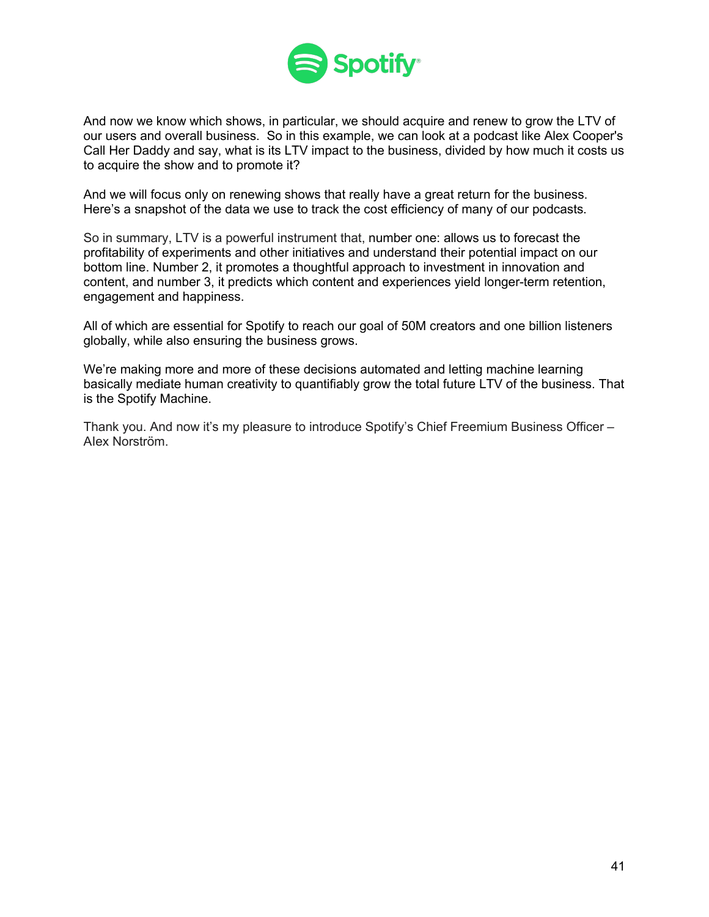

And now we know which shows, in particular, we should acquire and renew to grow the LTV of our users and overall business. So in this example, we can look at a podcast like Alex Cooper's Call Her Daddy and say, what is its LTV impact to the business, divided by how much it costs us to acquire the show and to promote it?

And we will focus only on renewing shows that really have a great return for the business. Here's a snapshot of the data we use to track the cost efficiency of many of our podcasts.

So in summary, LTV is a powerful instrument that, number one: allows us to forecast the profitability of experiments and other initiatives and understand their potential impact on our bottom line. Number 2, it promotes a thoughtful approach to investment in innovation and content, and number 3, it predicts which content and experiences yield longer-term retention, engagement and happiness.

All of which are essential for Spotify to reach our goal of 50M creators and one billion listeners globally, while also ensuring the business grows.

We're making more and more of these decisions automated and letting machine learning basically mediate human creativity to quantifiably grow the total future LTV of the business. That is the Spotify Machine.

Thank you. And now it's my pleasure to introduce Spotify's Chief Freemium Business Officer – AIex Norström.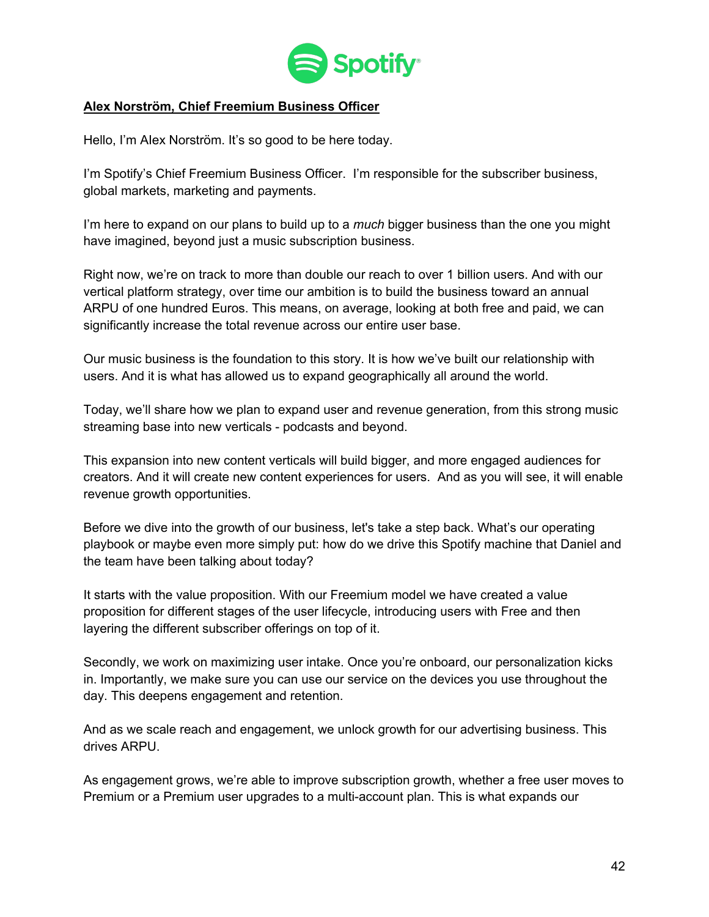

## **Alex Norström, Chief Freemium Business Officer**

Hello, I'm AIex Norström. It's so good to be here today.

I'm Spotify's Chief Freemium Business Officer. I'm responsible for the subscriber business, global markets, marketing and payments.

I'm here to expand on our plans to build up to a *much* bigger business than the one you might have imagined, beyond just a music subscription business.

Right now, we're on track to more than double our reach to over 1 billion users. And with our vertical platform strategy, over time our ambition is to build the business toward an annual ARPU of one hundred Euros. This means, on average, looking at both free and paid, we can significantly increase the total revenue across our entire user base.

Our music business is the foundation to this story. It is how we've built our relationship with users. And it is what has allowed us to expand geographically all around the world.

Today, we'll share how we plan to expand user and revenue generation, from this strong music streaming base into new verticals - podcasts and beyond.

This expansion into new content verticals will build bigger, and more engaged audiences for creators. And it will create new content experiences for users. And as you will see, it will enable revenue growth opportunities.

Before we dive into the growth of our business, let's take a step back. What's our operating playbook or maybe even more simply put: how do we drive this Spotify machine that Daniel and the team have been talking about today?

It starts with the value proposition. With our Freemium model we have created a value proposition for different stages of the user lifecycle, introducing users with Free and then layering the different subscriber offerings on top of it.

Secondly, we work on maximizing user intake. Once you're onboard, our personalization kicks in. Importantly, we make sure you can use our service on the devices you use throughout the day. This deepens engagement and retention.

And as we scale reach and engagement, we unlock growth for our advertising business. This drives ARPU.

As engagement grows, we're able to improve subscription growth, whether a free user moves to Premium or a Premium user upgrades to a multi-account plan. This is what expands our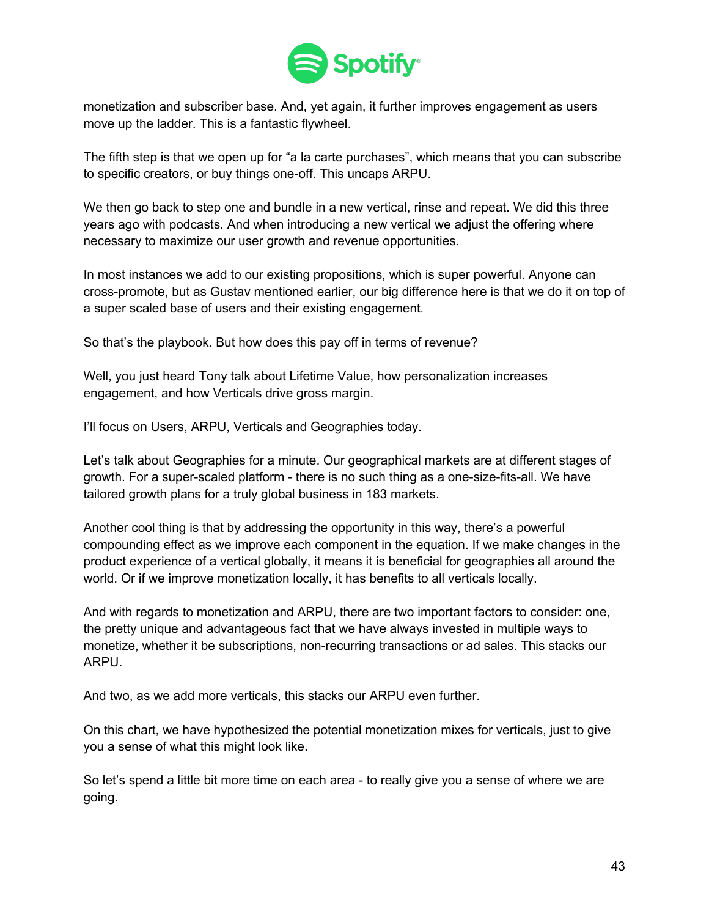

monetization and subscriber base. And, yet again, it further improves engagement as users move up the ladder. This is a fantastic flywheel.

The fifth step is that we open up for "a la carte purchases", which means that you can subscribe to specific creators, or buy things one-off. This uncaps ARPU.

We then go back to step one and bundle in a new vertical, rinse and repeat. We did this three years ago with podcasts. And when introducing a new vertical we adjust the offering where necessary to maximize our user growth and revenue opportunities.

In most instances we add to our existing propositions, which is super powerful. Anyone can cross-promote, but as Gustav mentioned earlier, our big difference here is that we do it on top of a super scaled base of users and their existing engagement.

So that's the playbook. But how does this pay off in terms of revenue?

Well, you just heard Tony talk about Lifetime Value, how personalization increases engagement, and how Verticals drive gross margin.

I'll focus on Users, ARPU, Verticals and Geographies today.

Let's talk about Geographies for a minute. Our geographical markets are at different stages of growth. For a super-scaled platform - there is no such thing as a one-size-fits-all. We have tailored growth plans for a truly global business in 183 markets.

Another cool thing is that by addressing the opportunity in this way, there's a powerful compounding effect as we improve each component in the equation. If we make changes in the product experience of a vertical globally, it means it is beneficial for geographies all around the world. Or if we improve monetization locally, it has benefits to all verticals locally.

And with regards to monetization and ARPU, there are two important factors to consider: one, the pretty unique and advantageous fact that we have always invested in multiple ways to monetize, whether it be subscriptions, non-recurring transactions or ad sales. This stacks our ARPU.

And two, as we add more verticals, this stacks our ARPU even further.

On this chart, we have hypothesized the potential monetization mixes for verticals, just to give you a sense of what this might look like.

So let's spend a little bit more time on each area - to really give you a sense of where we are going.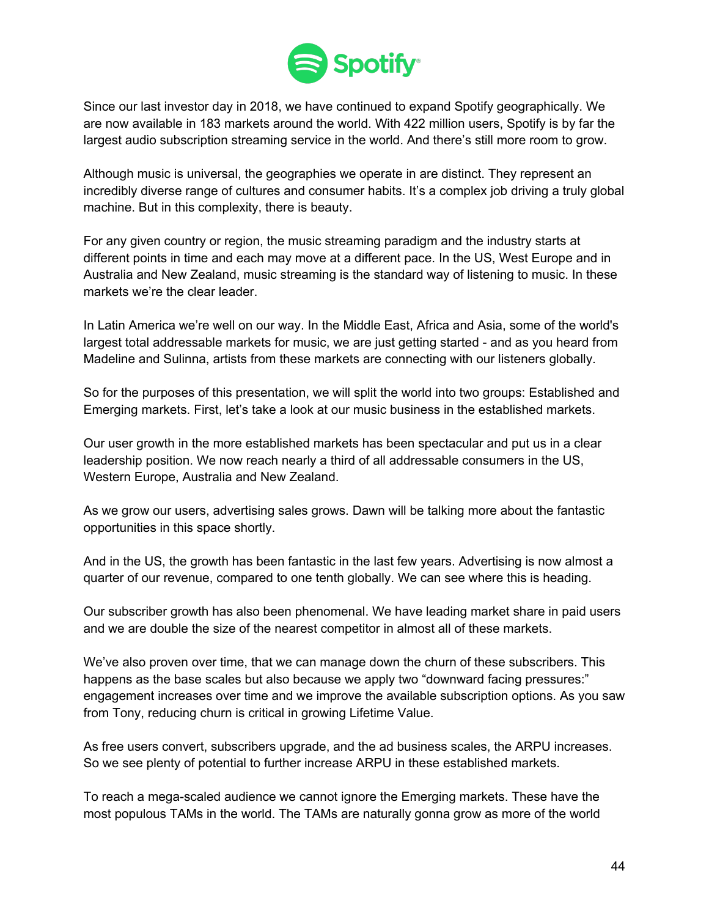

Since our last investor day in 2018, we have continued to expand Spotify geographically. We are now available in 183 markets around the world. With 422 million users, Spotify is by far the largest audio subscription streaming service in the world. And there's still more room to grow.

Although music is universal, the geographies we operate in are distinct. They represent an incredibly diverse range of cultures and consumer habits. It's a complex job driving a truly global machine. But in this complexity, there is beauty.

For any given country or region, the music streaming paradigm and the industry starts at different points in time and each may move at a different pace. In the US, West Europe and in Australia and New Zealand, music streaming is the standard way of listening to music. In these markets we're the clear leader.

In Latin America we're well on our way. In the Middle East, Africa and Asia, some of the world's largest total addressable markets for music, we are just getting started - and as you heard from Madeline and Sulinna, artists from these markets are connecting with our listeners globally.

So for the purposes of this presentation, we will split the world into two groups: Established and Emerging markets. First, let's take a look at our music business in the established markets.

Our user growth in the more established markets has been spectacular and put us in a clear leadership position. We now reach nearly a third of all addressable consumers in the US, Western Europe, Australia and New Zealand.

As we grow our users, advertising sales grows. Dawn will be talking more about the fantastic opportunities in this space shortly.

And in the US, the growth has been fantastic in the last few years. Advertising is now almost a quarter of our revenue, compared to one tenth globally. We can see where this is heading.

Our subscriber growth has also been phenomenal. We have leading market share in paid users and we are double the size of the nearest competitor in almost all of these markets.

We've also proven over time, that we can manage down the churn of these subscribers. This happens as the base scales but also because we apply two "downward facing pressures:" engagement increases over time and we improve the available subscription options. As you saw from Tony, reducing churn is critical in growing Lifetime Value.

As free users convert, subscribers upgrade, and the ad business scales, the ARPU increases. So we see plenty of potential to further increase ARPU in these established markets.

To reach a mega-scaled audience we cannot ignore the Emerging markets. These have the most populous TAMs in the world. The TAMs are naturally gonna grow as more of the world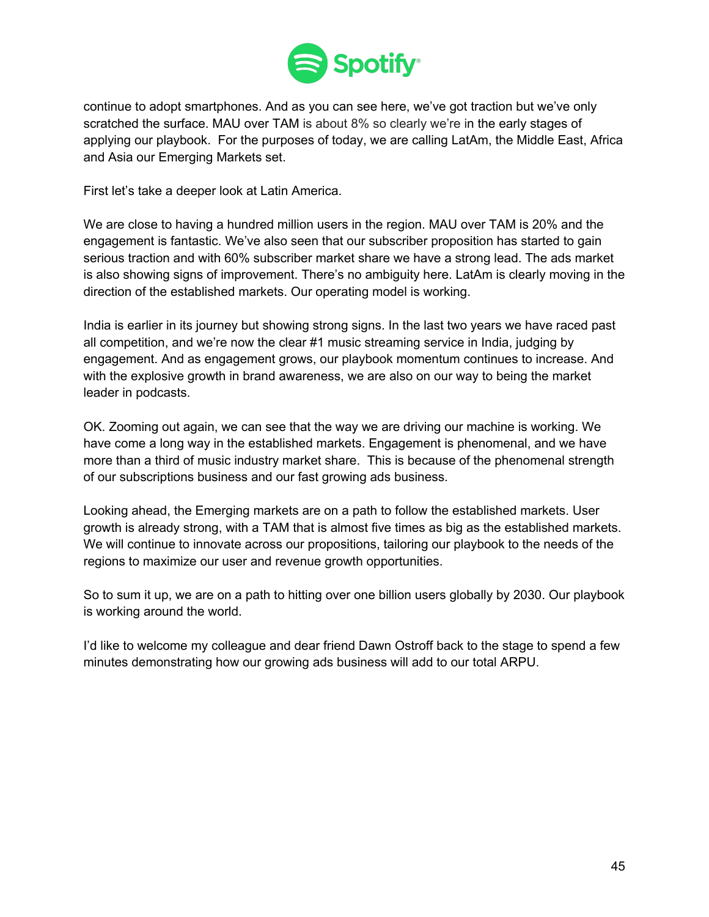

continue to adopt smartphones. And as you can see here, we've got traction but we've only scratched the surface. MAU over TAM is about 8% so clearly we're in the early stages of applying our playbook. For the purposes of today, we are calling LatAm, the Middle East, Africa and Asia our Emerging Markets set.

First let's take a deeper look at Latin America.

We are close to having a hundred million users in the region. MAU over TAM is 20% and the engagement is fantastic. We've also seen that our subscriber proposition has started to gain serious traction and with 60% subscriber market share we have a strong lead. The ads market is also showing signs of improvement. There's no ambiguity here. LatAm is clearly moving in the direction of the established markets. Our operating model is working.

India is earlier in its journey but showing strong signs. In the last two years we have raced past all competition, and we're now the clear #1 music streaming service in India, judging by engagement. And as engagement grows, our playbook momentum continues to increase. And with the explosive growth in brand awareness, we are also on our way to being the market leader in podcasts.

OK. Zooming out again, we can see that the way we are driving our machine is working. We have come a long way in the established markets. Engagement is phenomenal, and we have more than a third of music industry market share. This is because of the phenomenal strength of our subscriptions business and our fast growing ads business.

Looking ahead, the Emerging markets are on a path to follow the established markets. User growth is already strong, with a TAM that is almost five times as big as the established markets. We will continue to innovate across our propositions, tailoring our playbook to the needs of the regions to maximize our user and revenue growth opportunities.

So to sum it up, we are on a path to hitting over one billion users globally by 2030. Our playbook is working around the world.

I'd like to welcome my colleague and dear friend Dawn Ostroff back to the stage to spend a few minutes demonstrating how our growing ads business will add to our total ARPU.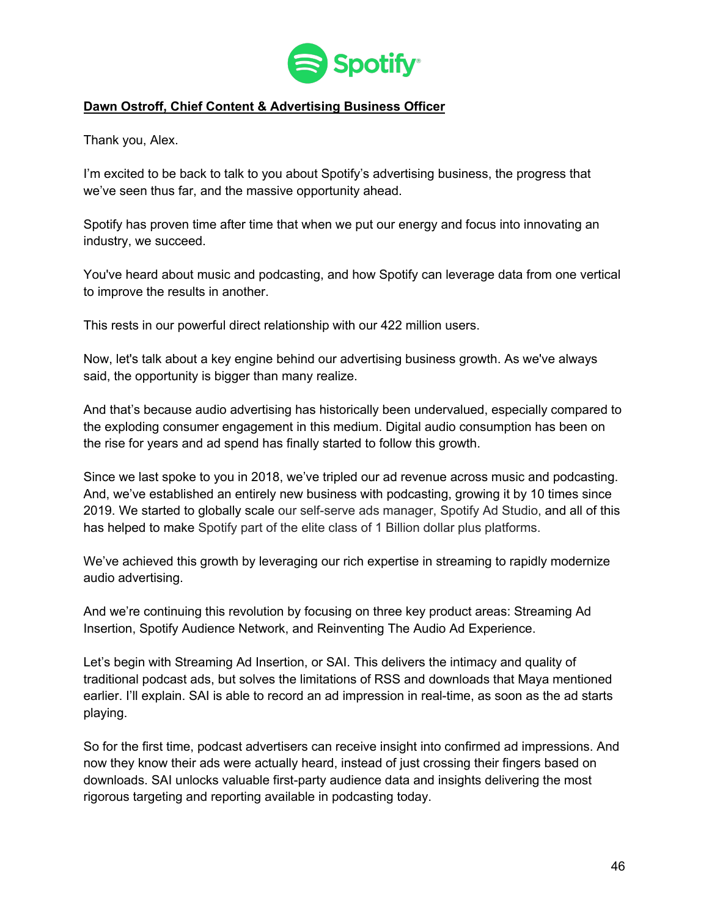

## **Dawn Ostroff, Chief Content & Advertising Business Officer**

Thank you, Alex.

I'm excited to be back to talk to you about Spotify's advertising business, the progress that we've seen thus far, and the massive opportunity ahead.

Spotify has proven time after time that when we put our energy and focus into innovating an industry, we succeed.

You've heard about music and podcasting, and how Spotify can leverage data from one vertical to improve the results in another.

This rests in our powerful direct relationship with our 422 million users.

Now, let's talk about a key engine behind our advertising business growth. As we've always said, the opportunity is bigger than many realize.

And that's because audio advertising has historically been undervalued, especially compared to the exploding consumer engagement in this medium. Digital audio consumption has been on the rise for years and ad spend has finally started to follow this growth.

Since we last spoke to you in 2018, we've tripled our ad revenue across music and podcasting. And, we've established an entirely new business with podcasting, growing it by 10 times since 2019. We started to globally scale our self-serve ads manager, Spotify Ad Studio, and all of this has helped to make Spotify part of the elite class of 1 Billion dollar plus platforms.

We've achieved this growth by leveraging our rich expertise in streaming to rapidly modernize audio advertising.

And we're continuing this revolution by focusing on three key product areas: Streaming Ad Insertion, Spotify Audience Network, and Reinventing The Audio Ad Experience.

Let's begin with Streaming Ad Insertion, or SAI. This delivers the intimacy and quality of traditional podcast ads, but solves the limitations of RSS and downloads that Maya mentioned earlier. I'll explain. SAI is able to record an ad impression in real-time, as soon as the ad starts playing.

So for the first time, podcast advertisers can receive insight into confirmed ad impressions. And now they know their ads were actually heard, instead of just crossing their fingers based on downloads. SAI unlocks valuable first-party audience data and insights delivering the most rigorous targeting and reporting available in podcasting today.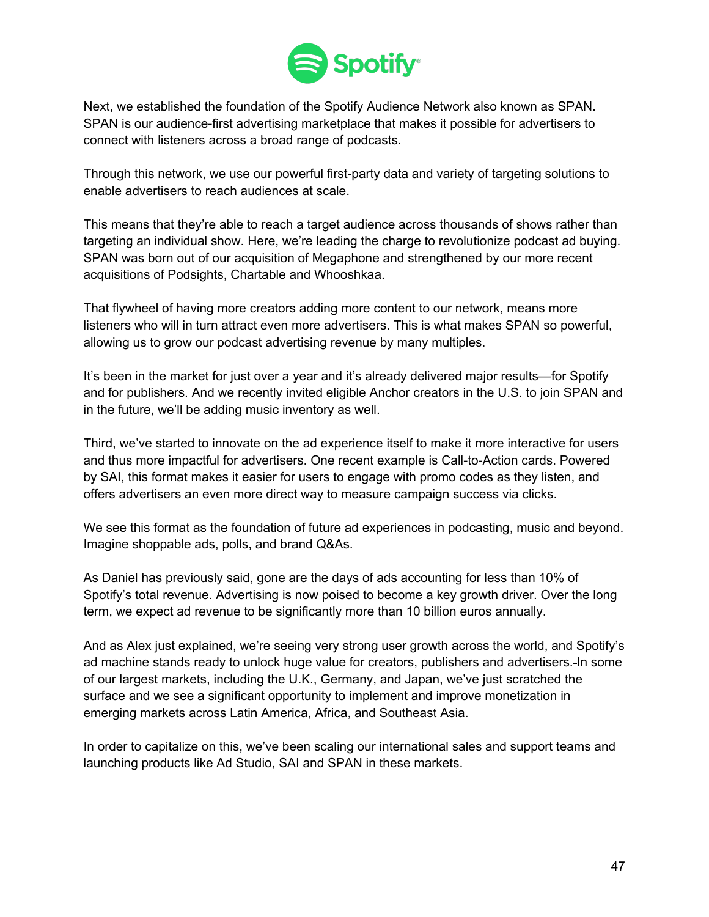

Next, we established the foundation of the Spotify Audience Network also known as SPAN. SPAN is our audience-first advertising marketplace that makes it possible for advertisers to connect with listeners across a broad range of podcasts.

Through this network, we use our powerful first-party data and variety of targeting solutions to enable advertisers to reach audiences at scale.

This means that they're able to reach a target audience across thousands of shows rather than targeting an individual show. Here, we're leading the charge to revolutionize podcast ad buying. SPAN was born out of our acquisition of Megaphone and strengthened by our more recent acquisitions of Podsights, Chartable and Whooshkaa.

That flywheel of having more creators adding more content to our network, means more listeners who will in turn attract even more advertisers. This is what makes SPAN so powerful, allowing us to grow our podcast advertising revenue by many multiples.

It's been in the market for just over a year and it's already delivered major results—for Spotify and for publishers. And we recently invited eligible Anchor creators in the U.S. to join SPAN and in the future, we'll be adding music inventory as well.

Third, we've started to innovate on the ad experience itself to make it more interactive for users and thus more impactful for advertisers. One recent example is Call-to-Action cards. Powered by SAI, this format makes it easier for users to engage with promo codes as they listen, and offers advertisers an even more direct way to measure campaign success via clicks.

We see this format as the foundation of future ad experiences in podcasting, music and beyond. Imagine shoppable ads, polls, and brand Q&As.

As Daniel has previously said, gone are the days of ads accounting for less than 10% of Spotify's total revenue. Advertising is now poised to become a key growth driver. Over the long term, we expect ad revenue to be significantly more than 10 billion euros annually.

And as Alex just explained, we're seeing very strong user growth across the world, and Spotify's ad machine stands ready to unlock huge value for creators, publishers and advertisers. In some of our largest markets, including the U.K., Germany, and Japan, we've just scratched the surface and we see a significant opportunity to implement and improve monetization in emerging markets across Latin America, Africa, and Southeast Asia.

In order to capitalize on this, we've been scaling our international sales and support teams and launching products like Ad Studio, SAI and SPAN in these markets.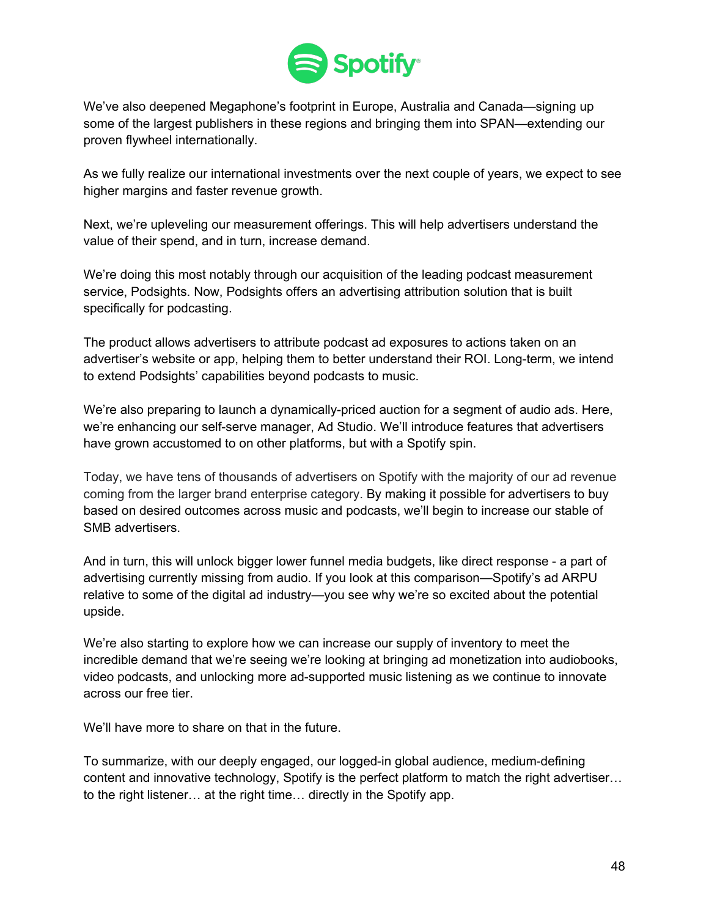

We've also deepened Megaphone's footprint in Europe, Australia and Canada—signing up some of the largest publishers in these regions and bringing them into SPAN—extending our proven flywheel internationally.

As we fully realize our international investments over the next couple of years, we expect to see higher margins and faster revenue growth.

Next, we're upleveling our measurement offerings. This will help advertisers understand the value of their spend, and in turn, increase demand.

We're doing this most notably through our acquisition of the leading podcast measurement service, Podsights. Now, Podsights offers an advertising attribution solution that is built specifically for podcasting.

The product allows advertisers to attribute podcast ad exposures to actions taken on an advertiser's website or app, helping them to better understand their ROI. Long-term, we intend to extend Podsights' capabilities beyond podcasts to music.

We're also preparing to launch a dynamically-priced auction for a segment of audio ads. Here, we're enhancing our self-serve manager, Ad Studio. We'll introduce features that advertisers have grown accustomed to on other platforms, but with a Spotify spin.

Today, we have tens of thousands of advertisers on Spotify with the majority of our ad revenue coming from the larger brand enterprise category. By making it possible for advertisers to buy based on desired outcomes across music and podcasts, we'll begin to increase our stable of SMB advertisers.

And in turn, this will unlock bigger lower funnel media budgets, like direct response - a part of advertising currently missing from audio. If you look at this comparison—Spotify's ad ARPU relative to some of the digital ad industry—you see why we're so excited about the potential upside.

We're also starting to explore how we can increase our supply of inventory to meet the incredible demand that we're seeing we're looking at bringing ad monetization into audiobooks, video podcasts, and unlocking more ad-supported music listening as we continue to innovate across our free tier.

We'll have more to share on that in the future.

To summarize, with our deeply engaged, our logged-in global audience, medium-defining content and innovative technology, Spotify is the perfect platform to match the right advertiser… to the right listener… at the right time… directly in the Spotify app.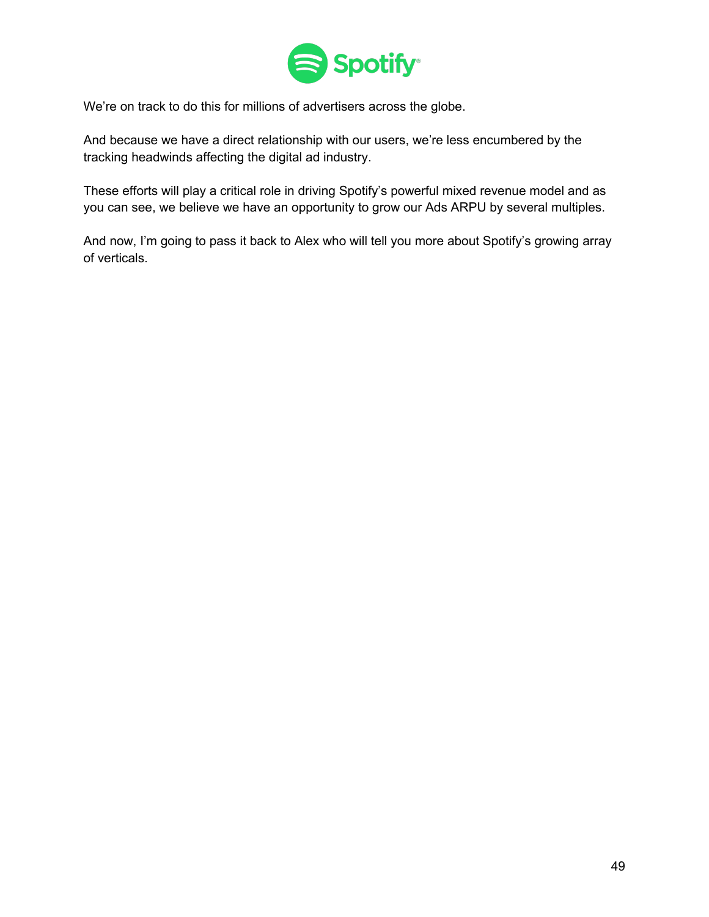

We're on track to do this for millions of advertisers across the globe.

And because we have a direct relationship with our users, we're less encumbered by the tracking headwinds affecting the digital ad industry.

These efforts will play a critical role in driving Spotify's powerful mixed revenue model and as you can see, we believe we have an opportunity to grow our Ads ARPU by several multiples.

And now, I'm going to pass it back to Alex who will tell you more about Spotify's growing array of verticals.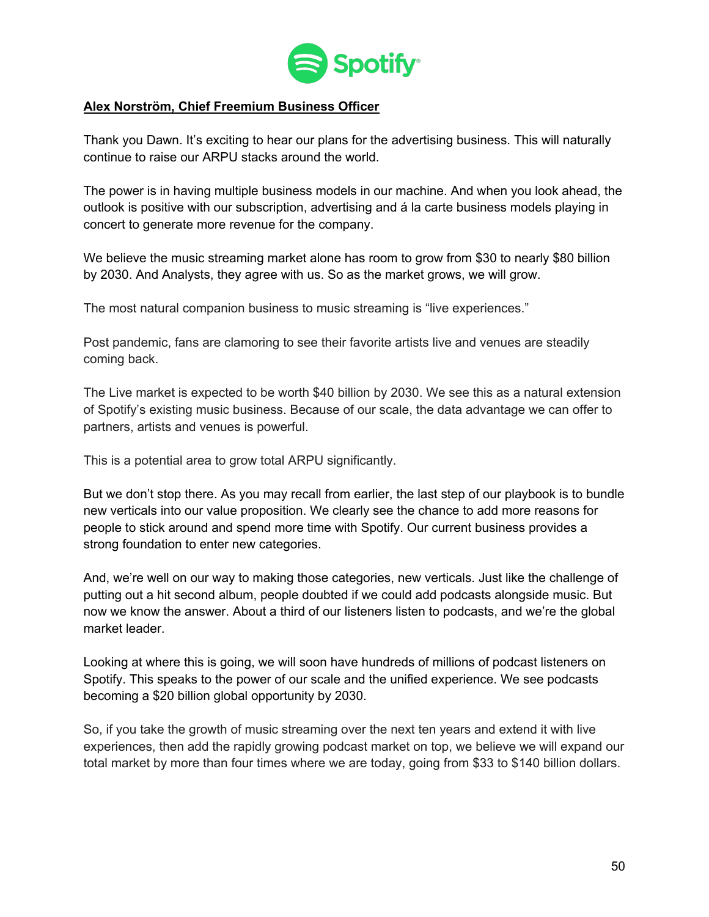

### **Alex Norström, Chief Freemium Business Officer**

Thank you Dawn. It's exciting to hear our plans for the advertising business. This will naturally continue to raise our ARPU stacks around the world.

The power is in having multiple business models in our machine. And when you look ahead, the outlook is positive with our subscription, advertising and á la carte business models playing in concert to generate more revenue for the company.

We believe the music streaming market alone has room to grow from \$30 to nearly \$80 billion by 2030. And Analysts, they agree with us. So as the market grows, we will grow.

The most natural companion business to music streaming is "live experiences."

Post pandemic, fans are clamoring to see their favorite artists live and venues are steadily coming back.

The Live market is expected to be worth \$40 billion by 2030. We see this as a natural extension of Spotify's existing music business. Because of our scale, the data advantage we can offer to partners, artists and venues is powerful.

This is a potential area to grow total ARPU significantly.

But we don't stop there. As you may recall from earlier, the last step of our playbook is to bundle new verticals into our value proposition. We clearly see the chance to add more reasons for people to stick around and spend more time with Spotify. Our current business provides a strong foundation to enter new categories.

And, we're well on our way to making those categories, new verticals. Just like the challenge of putting out a hit second album, people doubted if we could add podcasts alongside music. But now we know the answer. About a third of our listeners listen to podcasts, and we're the global market leader.

Looking at where this is going, we will soon have hundreds of millions of podcast listeners on Spotify. This speaks to the power of our scale and the unified experience. We see podcasts becoming a \$20 billion global opportunity by 2030.

So, if you take the growth of music streaming over the next ten years and extend it with live experiences, then add the rapidly growing podcast market on top, we believe we will expand our total market by more than four times where we are today, going from \$33 to \$140 billion dollars.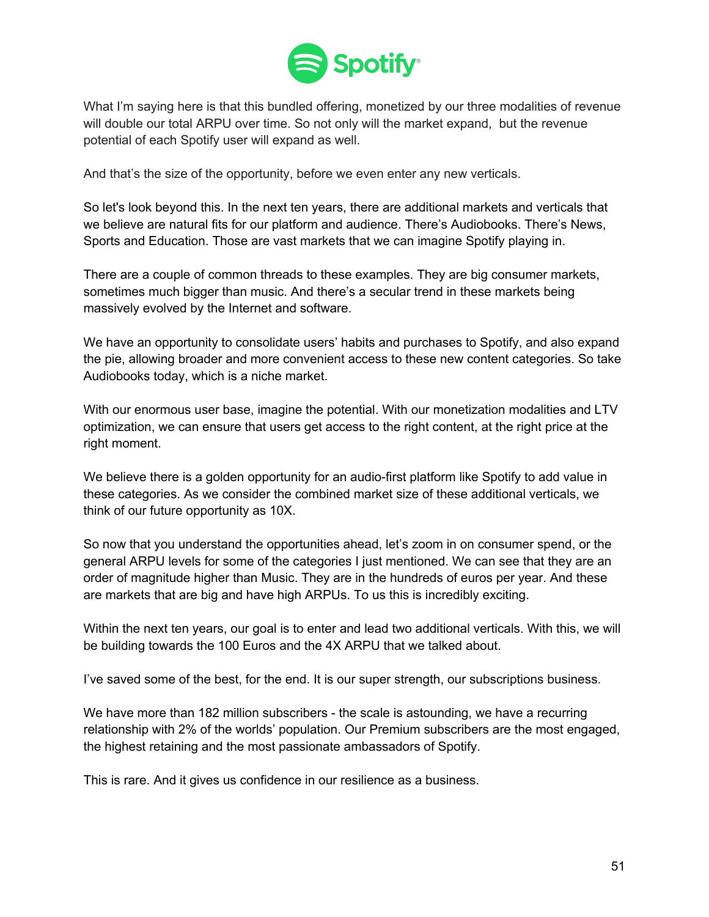

What I'm saying here is that this bundled offering, monetized by our three modalities of revenue will double our total ARPU over time. So not only will the market expand, but the revenue potential of each Spotify user will expand as well.

And that's the size of the opportunity, before we even enter any new verticals.

So let's look beyond this. In the next ten years, there are additional markets and verticals that we believe are natural fits for our platform and audience. There's Audiobooks. There's News, Sports and Education. Those are vast markets that we can imagine Spotify playing in.

There are a couple of common threads to these examples. They are big consumer markets, sometimes much bigger than music. And there's a secular trend in these markets being massively evolved by the Internet and software.

We have an opportunity to consolidate users' habits and purchases to Spotify, and also expand the pie, allowing broader and more convenient access to these new content categories. So take Audiobooks today, which is a niche market.

With our enormous user base, imagine the potential. With our monetization modalities and LTV optimization, we can ensure that users get access to the right content, at the right price at the right moment.

We believe there is a golden opportunity for an audio-first platform like Spotify to add value in these categories. As we consider the combined market size of these additional verticals, we think of our future opportunity as 10X.

So now that you understand the opportunities ahead, let's zoom in on consumer spend, or the general ARPU levels for some of the categories I just mentioned. We can see that they are an order of magnitude higher than Music. They are in the hundreds of euros per year. And these are markets that are big and have high ARPUs. To us this is incredibly exciting.

Within the next ten years, our goal is to enter and lead two additional verticals. With this, we will be building towards the 100 Euros and the 4X ARPU that we talked about.

I've saved some of the best, for the end. It is our super strength, our subscriptions business.

We have more than 182 million subscribers - the scale is astounding, we have a recurring relationship with 2% of the worlds' population. Our Premium subscribers are the most engaged, the highest retaining and the most passionate ambassadors of Spotify.

This is rare. And it gives us confidence in our resilience as a business.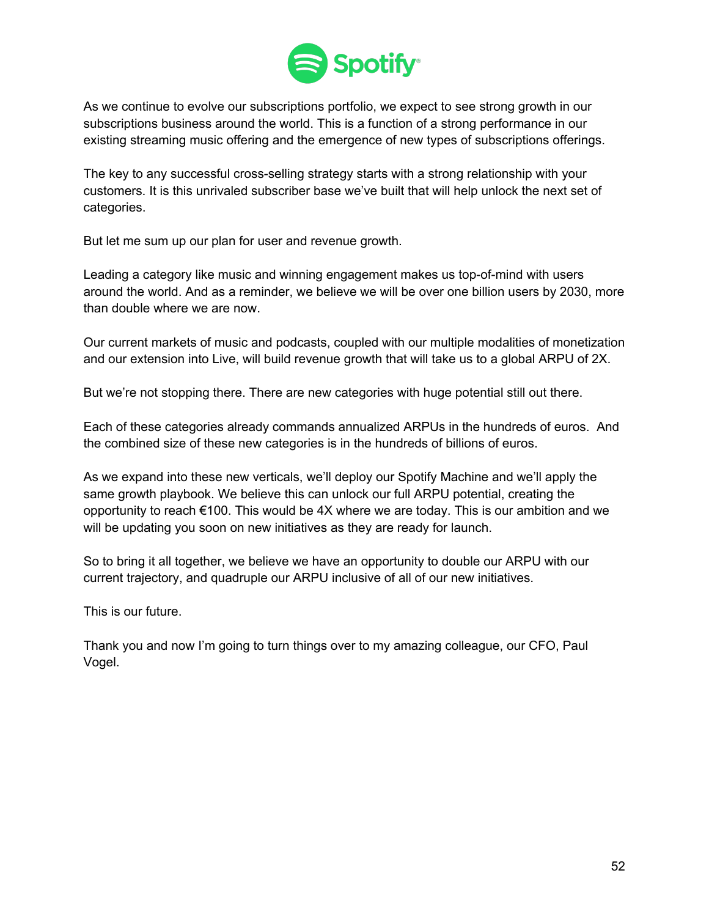

As we continue to evolve our subscriptions portfolio, we expect to see strong growth in our subscriptions business around the world. This is a function of a strong performance in our existing streaming music offering and the emergence of new types of subscriptions offerings.

The key to any successful cross-selling strategy starts with a strong relationship with your customers. It is this unrivaled subscriber base we've built that will help unlock the next set of categories.

But let me sum up our plan for user and revenue growth.

Leading a category like music and winning engagement makes us top-of-mind with users around the world. And as a reminder, we believe we will be over one billion users by 2030, more than double where we are now.

Our current markets of music and podcasts, coupled with our multiple modalities of monetization and our extension into Live, will build revenue growth that will take us to a global ARPU of 2X.

But we're not stopping there. There are new categories with huge potential still out there.

Each of these categories already commands annualized ARPUs in the hundreds of euros. And the combined size of these new categories is in the hundreds of billions of euros.

As we expand into these new verticals, we'll deploy our Spotify Machine and we'll apply the same growth playbook. We believe this can unlock our full ARPU potential, creating the opportunity to reach  $\epsilon$ 100. This would be 4X where we are today. This is our ambition and we will be updating you soon on new initiatives as they are ready for launch.

So to bring it all together, we believe we have an opportunity to double our ARPU with our current trajectory, and quadruple our ARPU inclusive of all of our new initiatives.

This is our future.

Thank you and now I'm going to turn things over to my amazing colleague, our CFO, Paul Vogel.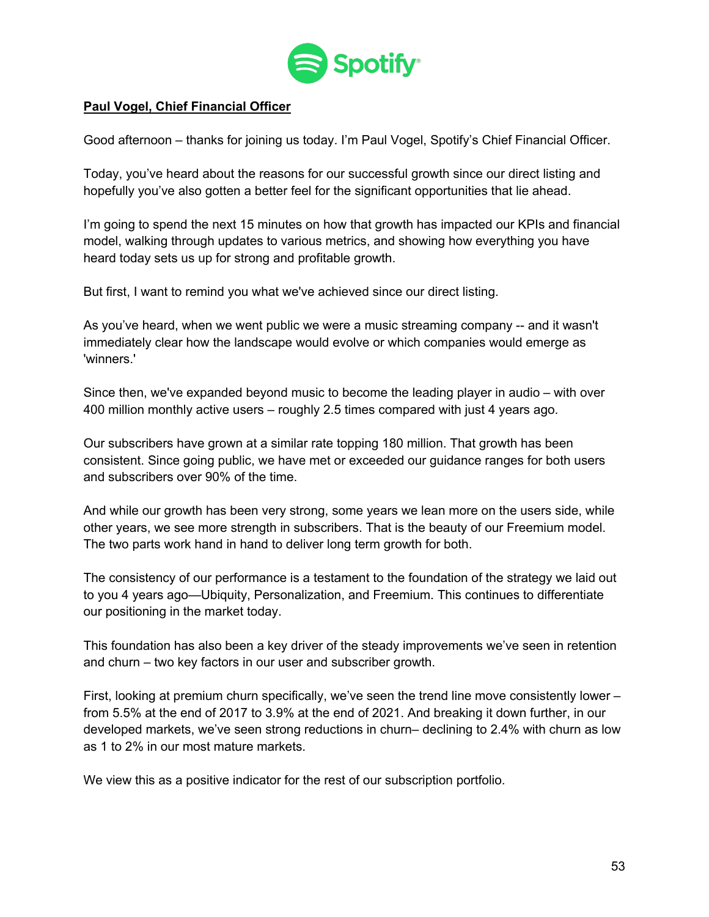

## **Paul Vogel, Chief Financial Officer**

Good afternoon – thanks for joining us today. I'm Paul Vogel, Spotify's Chief Financial Officer.

Today, you've heard about the reasons for our successful growth since our direct listing and hopefully you've also gotten a better feel for the significant opportunities that lie ahead.

I'm going to spend the next 15 minutes on how that growth has impacted our KPIs and financial model, walking through updates to various metrics, and showing how everything you have heard today sets us up for strong and profitable growth.

But first, I want to remind you what we've achieved since our direct listing.

As you've heard, when we went public we were a music streaming company -- and it wasn't immediately clear how the landscape would evolve or which companies would emerge as 'winners.'

Since then, we've expanded beyond music to become the leading player in audio – with over 400 million monthly active users – roughly 2.5 times compared with just 4 years ago.

Our subscribers have grown at a similar rate topping 180 million. That growth has been consistent. Since going public, we have met or exceeded our guidance ranges for both users and subscribers over 90% of the time.

And while our growth has been very strong, some years we lean more on the users side, while other years, we see more strength in subscribers. That is the beauty of our Freemium model. The two parts work hand in hand to deliver long term growth for both.

The consistency of our performance is a testament to the foundation of the strategy we laid out to you 4 years ago—Ubiquity, Personalization, and Freemium. This continues to differentiate our positioning in the market today.

This foundation has also been a key driver of the steady improvements we've seen in retention and churn – two key factors in our user and subscriber growth.

First, looking at premium churn specifically, we've seen the trend line move consistently lower – from 5.5% at the end of 2017 to 3.9% at the end of 2021. And breaking it down further, in our developed markets, we've seen strong reductions in churn– declining to 2.4% with churn as low as 1 to 2% in our most mature markets.

We view this as a positive indicator for the rest of our subscription portfolio.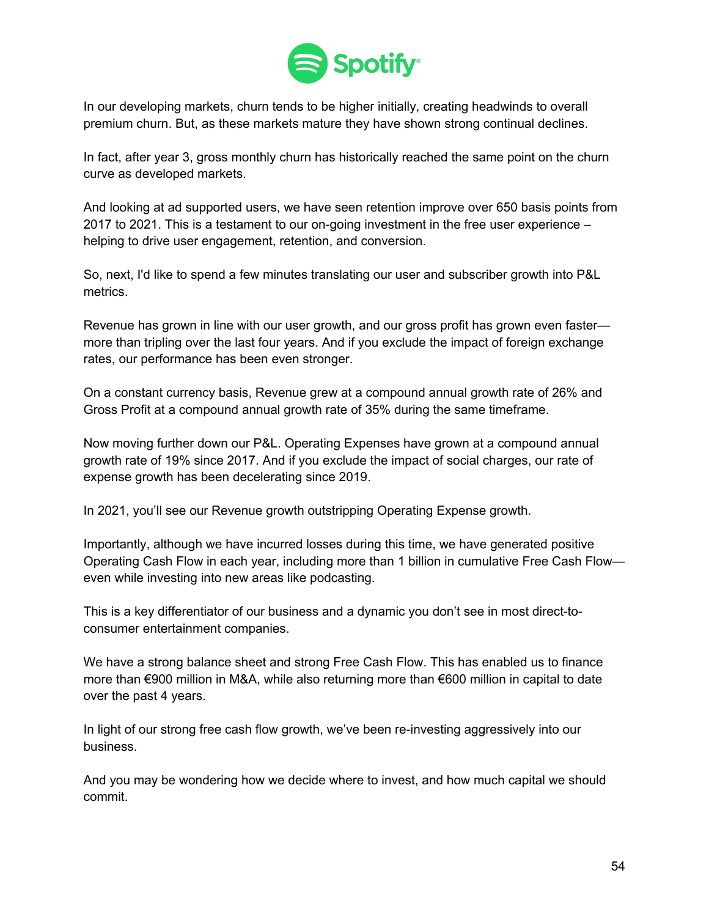

In our developing markets, churn tends to be higher initially, creating headwinds to overall premium churn. But, as these markets mature they have shown strong continual declines.

In fact, after year 3, gross monthly churn has historically reached the same point on the churn curve as developed markets.

And looking at ad supported users, we have seen retention improve over 650 basis points from 2017 to 2021. This is a testament to our on-going investment in the free user experience – helping to drive user engagement, retention, and conversion.

So, next, I'd like to spend a few minutes translating our user and subscriber growth into P&L metrics.

Revenue has grown in line with our user growth, and our gross profit has grown even faster more than tripling over the last four years. And if you exclude the impact of foreign exchange rates, our performance has been even stronger.

On a constant currency basis, Revenue grew at a compound annual growth rate of 26% and Gross Profit at a compound annual growth rate of 35% during the same timeframe.

Now moving further down our P&L. Operating Expenses have grown at a compound annual growth rate of 19% since 2017. And if you exclude the impact of social charges, our rate of expense growth has been decelerating since 2019.

In 2021, you'll see our Revenue growth outstripping Operating Expense growth.

Importantly, although we have incurred losses during this time, we have generated positive Operating Cash Flow in each year, including more than 1 billion in cumulative Free Cash Flow even while investing into new areas like podcasting.

This is a key differentiator of our business and a dynamic you don't see in most direct-toconsumer entertainment companies.

We have a strong balance sheet and strong Free Cash Flow. This has enabled us to finance more than €900 million in M&A, while also returning more than €600 million in capital to date over the past 4 years.

In light of our strong free cash flow growth, we've been re-investing aggressively into our business.

And you may be wondering how we decide where to invest, and how much capital we should commit.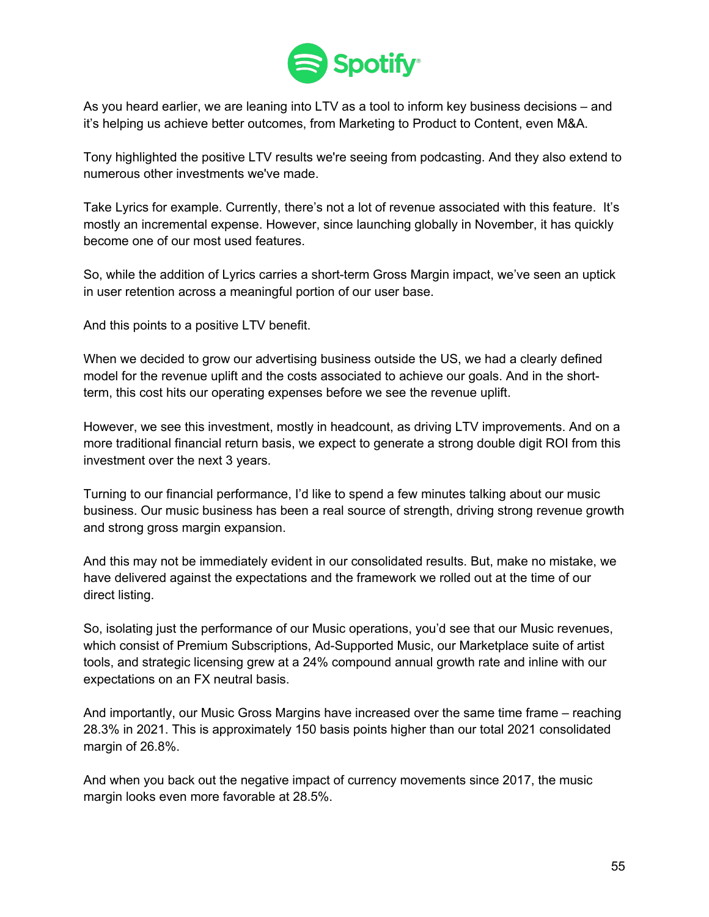

As you heard earlier, we are leaning into LTV as a tool to inform key business decisions – and it's helping us achieve better outcomes, from Marketing to Product to Content, even M&A.

Tony highlighted the positive LTV results we're seeing from podcasting. And they also extend to numerous other investments we've made.

Take Lyrics for example. Currently, there's not a lot of revenue associated with this feature. It's mostly an incremental expense. However, since launching globally in November, it has quickly become one of our most used features.

So, while the addition of Lyrics carries a short-term Gross Margin impact, we've seen an uptick in user retention across a meaningful portion of our user base.

And this points to a positive LTV benefit.

When we decided to grow our advertising business outside the US, we had a clearly defined model for the revenue uplift and the costs associated to achieve our goals. And in the shortterm, this cost hits our operating expenses before we see the revenue uplift.

However, we see this investment, mostly in headcount, as driving LTV improvements. And on a more traditional financial return basis, we expect to generate a strong double digit ROI from this investment over the next 3 years.

Turning to our financial performance, I'd like to spend a few minutes talking about our music business. Our music business has been a real source of strength, driving strong revenue growth and strong gross margin expansion.

And this may not be immediately evident in our consolidated results. But, make no mistake, we have delivered against the expectations and the framework we rolled out at the time of our direct listing.

So, isolating just the performance of our Music operations, you'd see that our Music revenues, which consist of Premium Subscriptions, Ad-Supported Music, our Marketplace suite of artist tools, and strategic licensing grew at a 24% compound annual growth rate and inline with our expectations on an FX neutral basis.

And importantly, our Music Gross Margins have increased over the same time frame – reaching 28.3% in 2021. This is approximately 150 basis points higher than our total 2021 consolidated margin of 26.8%.

And when you back out the negative impact of currency movements since 2017, the music margin looks even more favorable at 28.5%.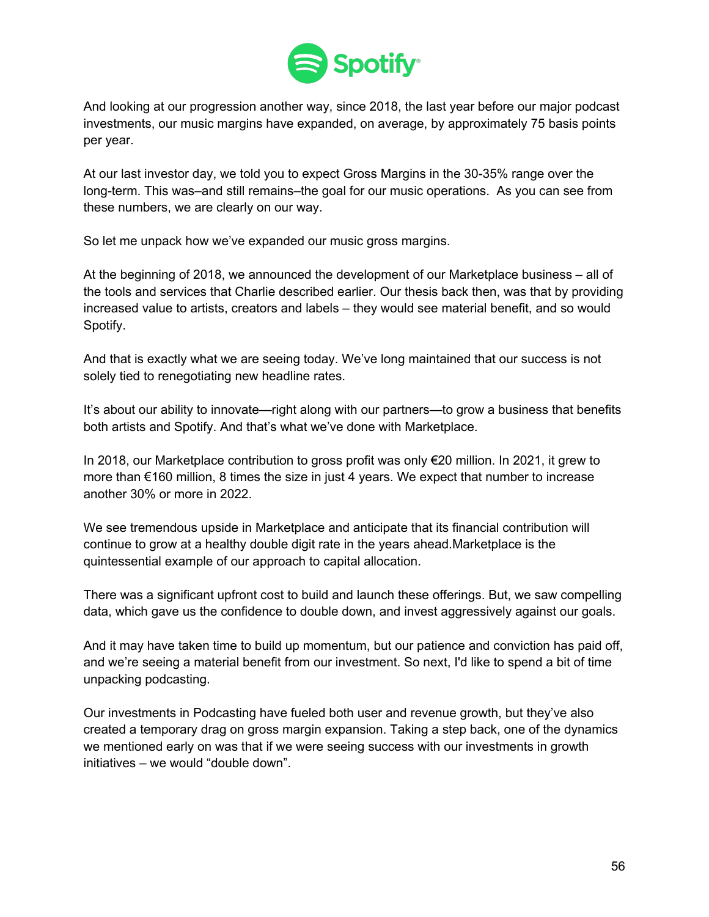

And looking at our progression another way, since 2018, the last year before our major podcast investments, our music margins have expanded, on average, by approximately 75 basis points per year.

At our last investor day, we told you to expect Gross Margins in the 30-35% range over the long-term. This was–and still remains–the goal for our music operations. As you can see from these numbers, we are clearly on our way.

So let me unpack how we've expanded our music gross margins.

At the beginning of 2018, we announced the development of our Marketplace business – all of the tools and services that Charlie described earlier. Our thesis back then, was that by providing increased value to artists, creators and labels – they would see material benefit, and so would Spotify.

And that is exactly what we are seeing today. We've long maintained that our success is not solely tied to renegotiating new headline rates.

It's about our ability to innovate—right along with our partners—to grow a business that benefits both artists and Spotify. And that's what we've done with Marketplace.

In 2018, our Marketplace contribution to gross profit was only €20 million. In 2021, it grew to more than €160 million, 8 times the size in just 4 years. We expect that number to increase another 30% or more in 2022.

We see tremendous upside in Marketplace and anticipate that its financial contribution will continue to grow at a healthy double digit rate in the years ahead.Marketplace is the quintessential example of our approach to capital allocation.

There was a significant upfront cost to build and launch these offerings. But, we saw compelling data, which gave us the confidence to double down, and invest aggressively against our goals.

And it may have taken time to build up momentum, but our patience and conviction has paid off, and we're seeing a material benefit from our investment. So next, I'd like to spend a bit of time unpacking podcasting.

Our investments in Podcasting have fueled both user and revenue growth, but they've also created a temporary drag on gross margin expansion. Taking a step back, one of the dynamics we mentioned early on was that if we were seeing success with our investments in growth initiatives – we would "double down".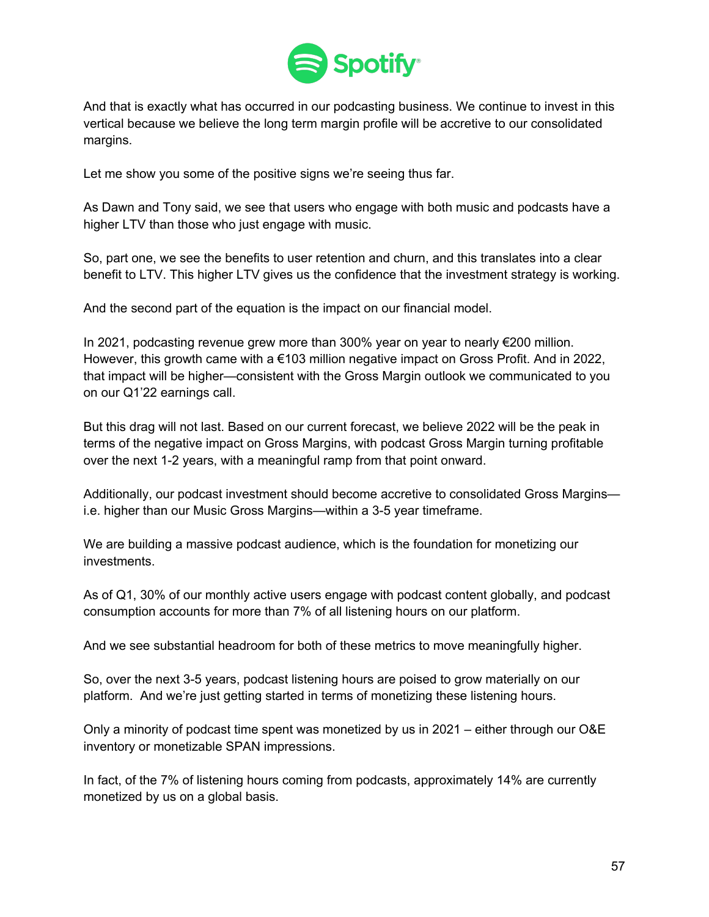

And that is exactly what has occurred in our podcasting business. We continue to invest in this vertical because we believe the long term margin profile will be accretive to our consolidated margins.

Let me show you some of the positive signs we're seeing thus far.

As Dawn and Tony said, we see that users who engage with both music and podcasts have a higher LTV than those who just engage with music.

So, part one, we see the benefits to user retention and churn, and this translates into a clear benefit to LTV. This higher LTV gives us the confidence that the investment strategy is working.

And the second part of the equation is the impact on our financial model.

In 2021, podcasting revenue grew more than 300% year on year to nearly €200 million. However, this growth came with a €103 million negative impact on Gross Profit. And in 2022, that impact will be higher—consistent with the Gross Margin outlook we communicated to you on our Q1'22 earnings call.

But this drag will not last. Based on our current forecast, we believe 2022 will be the peak in terms of the negative impact on Gross Margins, with podcast Gross Margin turning profitable over the next 1-2 years, with a meaningful ramp from that point onward.

Additionally, our podcast investment should become accretive to consolidated Gross Margins i.e. higher than our Music Gross Margins—within a 3-5 year timeframe.

We are building a massive podcast audience, which is the foundation for monetizing our investments.

As of Q1, 30% of our monthly active users engage with podcast content globally, and podcast consumption accounts for more than 7% of all listening hours on our platform.

And we see substantial headroom for both of these metrics to move meaningfully higher.

So, over the next 3-5 years, podcast listening hours are poised to grow materially on our platform. And we're just getting started in terms of monetizing these listening hours.

Only a minority of podcast time spent was monetized by us in 2021 – either through our O&E inventory or monetizable SPAN impressions.

In fact, of the 7% of listening hours coming from podcasts, approximately 14% are currently monetized by us on a global basis.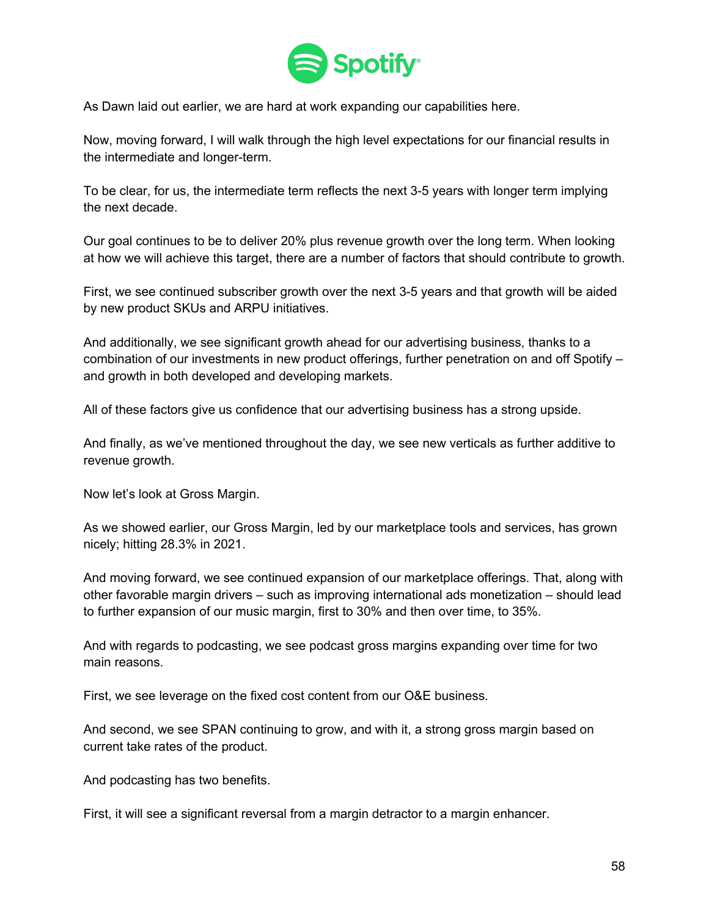

As Dawn laid out earlier, we are hard at work expanding our capabilities here.

Now, moving forward, I will walk through the high level expectations for our financial results in the intermediate and longer-term.

To be clear, for us, the intermediate term reflects the next 3-5 years with longer term implying the next decade.

Our goal continues to be to deliver 20% plus revenue growth over the long term. When looking at how we will achieve this target, there are a number of factors that should contribute to growth.

First, we see continued subscriber growth over the next 3-5 years and that growth will be aided by new product SKUs and ARPU initiatives.

And additionally, we see significant growth ahead for our advertising business, thanks to a combination of our investments in new product offerings, further penetration on and off Spotify – and growth in both developed and developing markets.

All of these factors give us confidence that our advertising business has a strong upside.

And finally, as we've mentioned throughout the day, we see new verticals as further additive to revenue growth.

Now let's look at Gross Margin.

As we showed earlier, our Gross Margin, led by our marketplace tools and services, has grown nicely; hitting 28.3% in 2021.

And moving forward, we see continued expansion of our marketplace offerings. That, along with other favorable margin drivers – such as improving international ads monetization – should lead to further expansion of our music margin, first to 30% and then over time, to 35%.

And with regards to podcasting, we see podcast gross margins expanding over time for two main reasons.

First, we see leverage on the fixed cost content from our O&E business.

And second, we see SPAN continuing to grow, and with it, a strong gross margin based on current take rates of the product.

And podcasting has two benefits.

First, it will see a significant reversal from a margin detractor to a margin enhancer.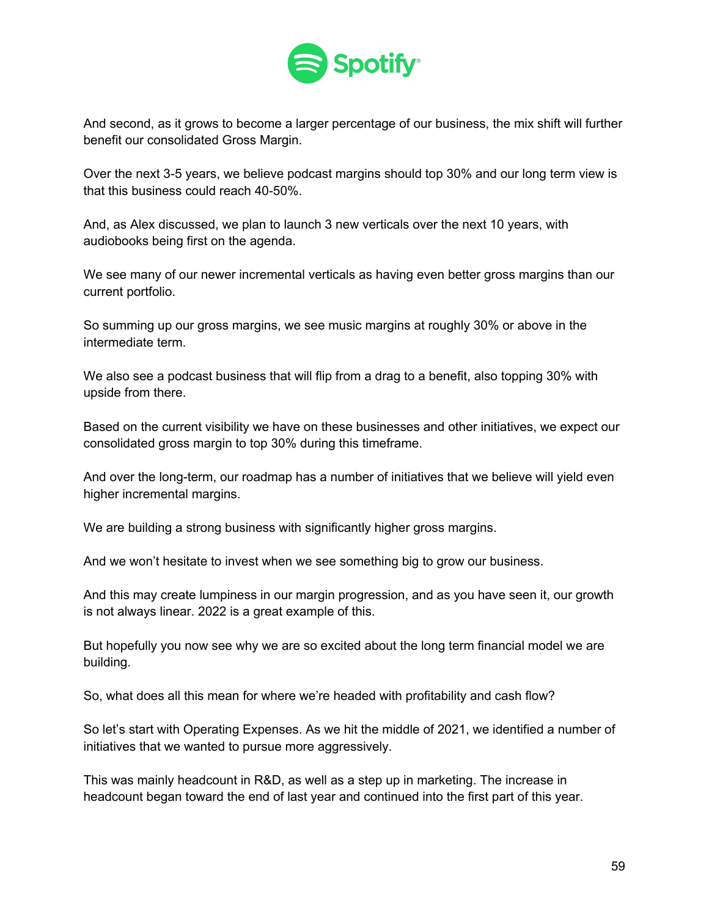

And second, as it grows to become a larger percentage of our business, the mix shift will further benefit our consolidated Gross Margin.

Over the next 3-5 years, we believe podcast margins should top 30% and our long term view is that this business could reach 40-50%.

And, as Alex discussed, we plan to launch 3 new verticals over the next 10 years, with audiobooks being first on the agenda.

We see many of our newer incremental verticals as having even better gross margins than our current portfolio.

So summing up our gross margins, we see music margins at roughly 30% or above in the intermediate term.

We also see a podcast business that will flip from a drag to a benefit, also topping 30% with upside from there.

Based on the current visibility we have on these businesses and other initiatives, we expect our consolidated gross margin to top 30% during this timeframe.

And over the long-term, our roadmap has a number of initiatives that we believe will yield even higher incremental margins.

We are building a strong business with significantly higher gross margins.

And we won't hesitate to invest when we see something big to grow our business.

And this may create lumpiness in our margin progression, and as you have seen it, our growth is not always linear. 2022 is a great example of this.

But hopefully you now see why we are so excited about the long term financial model we are building.

So, what does all this mean for where we're headed with profitability and cash flow?

So let's start with Operating Expenses. As we hit the middle of 2021, we identified a number of initiatives that we wanted to pursue more aggressively.

This was mainly headcount in R&D, as well as a step up in marketing. The increase in headcount began toward the end of last year and continued into the first part of this year.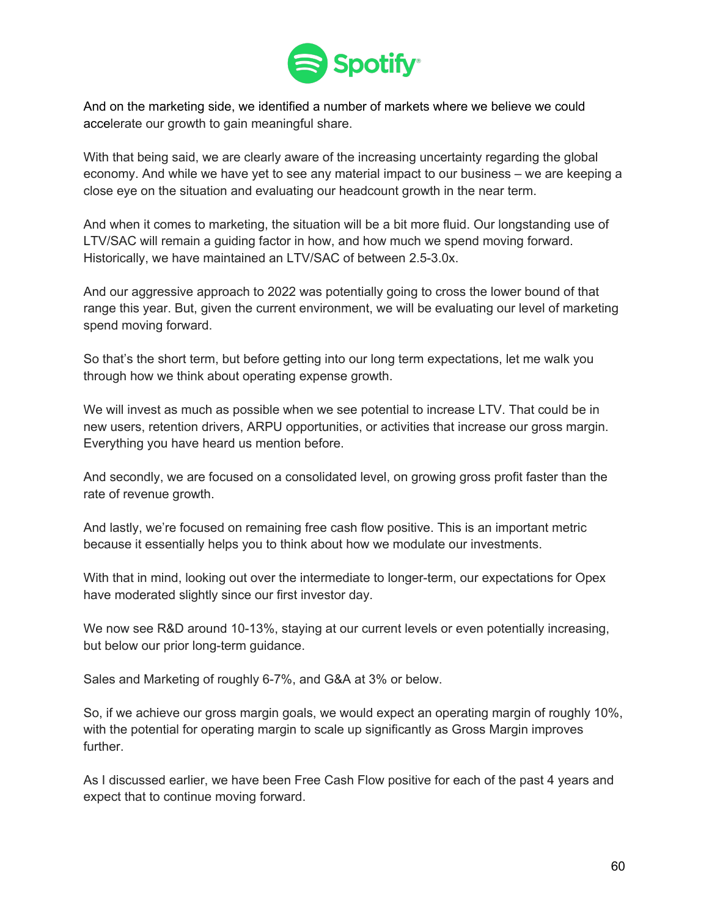

And on the marketing side, we identified a number of markets where we believe we could accelerate our growth to gain meaningful share.

With that being said, we are clearly aware of the increasing uncertainty regarding the global economy. And while we have yet to see any material impact to our business – we are keeping a close eye on the situation and evaluating our headcount growth in the near term.

And when it comes to marketing, the situation will be a bit more fluid. Our longstanding use of LTV/SAC will remain a guiding factor in how, and how much we spend moving forward. Historically, we have maintained an LTV/SAC of between 2.5-3.0x.

And our aggressive approach to 2022 was potentially going to cross the lower bound of that range this year. But, given the current environment, we will be evaluating our level of marketing spend moving forward.

So that's the short term, but before getting into our long term expectations, let me walk you through how we think about operating expense growth.

We will invest as much as possible when we see potential to increase LTV. That could be in new users, retention drivers, ARPU opportunities, or activities that increase our gross margin. Everything you have heard us mention before.

And secondly, we are focused on a consolidated level, on growing gross profit faster than the rate of revenue growth.

And lastly, we're focused on remaining free cash flow positive. This is an important metric because it essentially helps you to think about how we modulate our investments.

With that in mind, looking out over the intermediate to longer-term, our expectations for Opex have moderated slightly since our first investor day.

We now see R&D around 10-13%, staying at our current levels or even potentially increasing, but below our prior long-term guidance.

Sales and Marketing of roughly 6-7%, and G&A at 3% or below.

So, if we achieve our gross margin goals, we would expect an operating margin of roughly 10%, with the potential for operating margin to scale up significantly as Gross Margin improves further.

As I discussed earlier, we have been Free Cash Flow positive for each of the past 4 years and expect that to continue moving forward.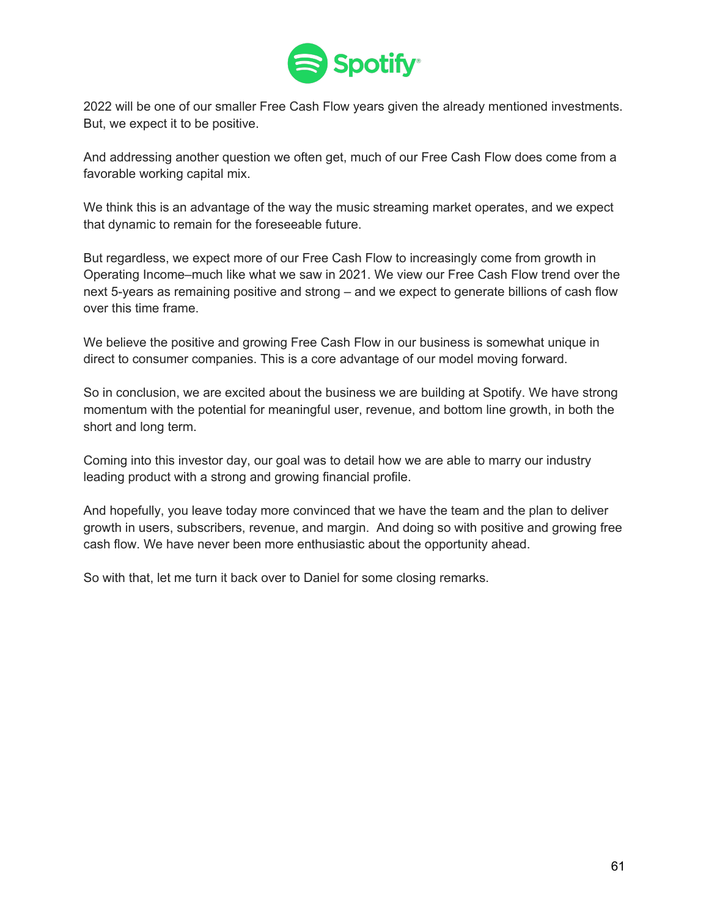

2022 will be one of our smaller Free Cash Flow years given the already mentioned investments. But, we expect it to be positive.

And addressing another question we often get, much of our Free Cash Flow does come from a favorable working capital mix.

We think this is an advantage of the way the music streaming market operates, and we expect that dynamic to remain for the foreseeable future.

But regardless, we expect more of our Free Cash Flow to increasingly come from growth in Operating Income–much like what we saw in 2021. We view our Free Cash Flow trend over the next 5-years as remaining positive and strong – and we expect to generate billions of cash flow over this time frame.

We believe the positive and growing Free Cash Flow in our business is somewhat unique in direct to consumer companies. This is a core advantage of our model moving forward.

So in conclusion, we are excited about the business we are building at Spotify. We have strong momentum with the potential for meaningful user, revenue, and bottom line growth, in both the short and long term.

Coming into this investor day, our goal was to detail how we are able to marry our industry leading product with a strong and growing financial profile.

And hopefully, you leave today more convinced that we have the team and the plan to deliver growth in users, subscribers, revenue, and margin. And doing so with positive and growing free cash flow. We have never been more enthusiastic about the opportunity ahead.

So with that, let me turn it back over to Daniel for some closing remarks.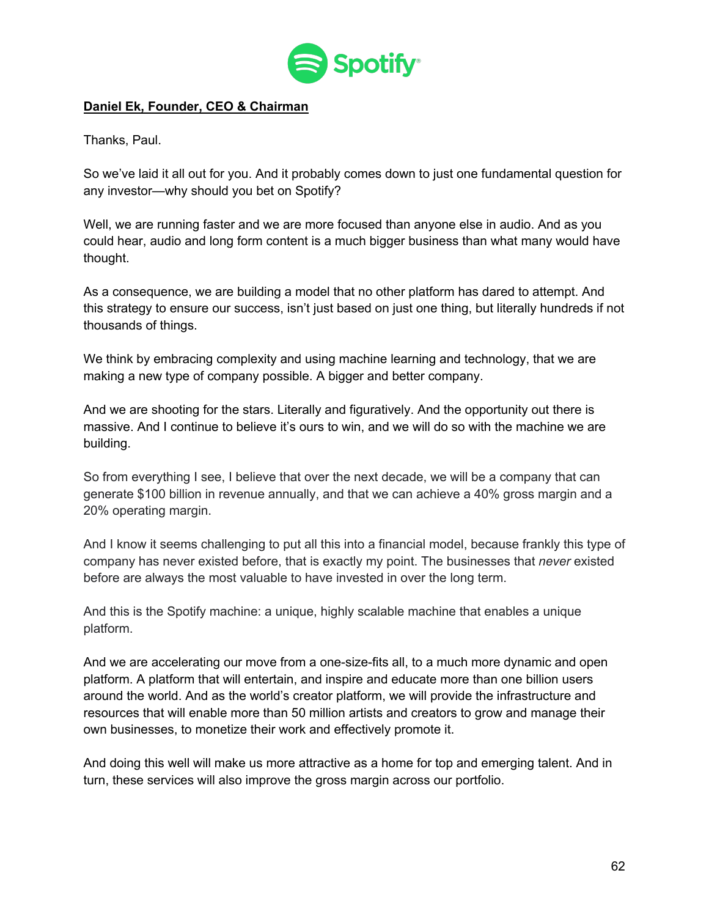

### **Daniel Ek, Founder, CEO & Chairman**

Thanks, Paul.

So we've laid it all out for you. And it probably comes down to just one fundamental question for any investor—why should you bet on Spotify?

Well, we are running faster and we are more focused than anyone else in audio. And as you could hear, audio and long form content is a much bigger business than what many would have thought.

As a consequence, we are building a model that no other platform has dared to attempt. And this strategy to ensure our success, isn't just based on just one thing, but literally hundreds if not thousands of things.

We think by embracing complexity and using machine learning and technology, that we are making a new type of company possible. A bigger and better company.

And we are shooting for the stars. Literally and figuratively. And the opportunity out there is massive. And I continue to believe it's ours to win, and we will do so with the machine we are building.

So from everything I see, I believe that over the next decade, we will be a company that can generate \$100 billion in revenue annually, and that we can achieve a 40% gross margin and a 20% operating margin.

And I know it seems challenging to put all this into a financial model, because frankly this type of company has never existed before, that is exactly my point. The businesses that *never* existed before are always the most valuable to have invested in over the long term.

And this is the Spotify machine: a unique, highly scalable machine that enables a unique platform.

And we are accelerating our move from a one-size-fits all, to a much more dynamic and open platform. A platform that will entertain, and inspire and educate more than one billion users around the world. And as the world's creator platform, we will provide the infrastructure and resources that will enable more than 50 million artists and creators to grow and manage their own businesses, to monetize their work and effectively promote it.

And doing this well will make us more attractive as a home for top and emerging talent. And in turn, these services will also improve the gross margin across our portfolio.